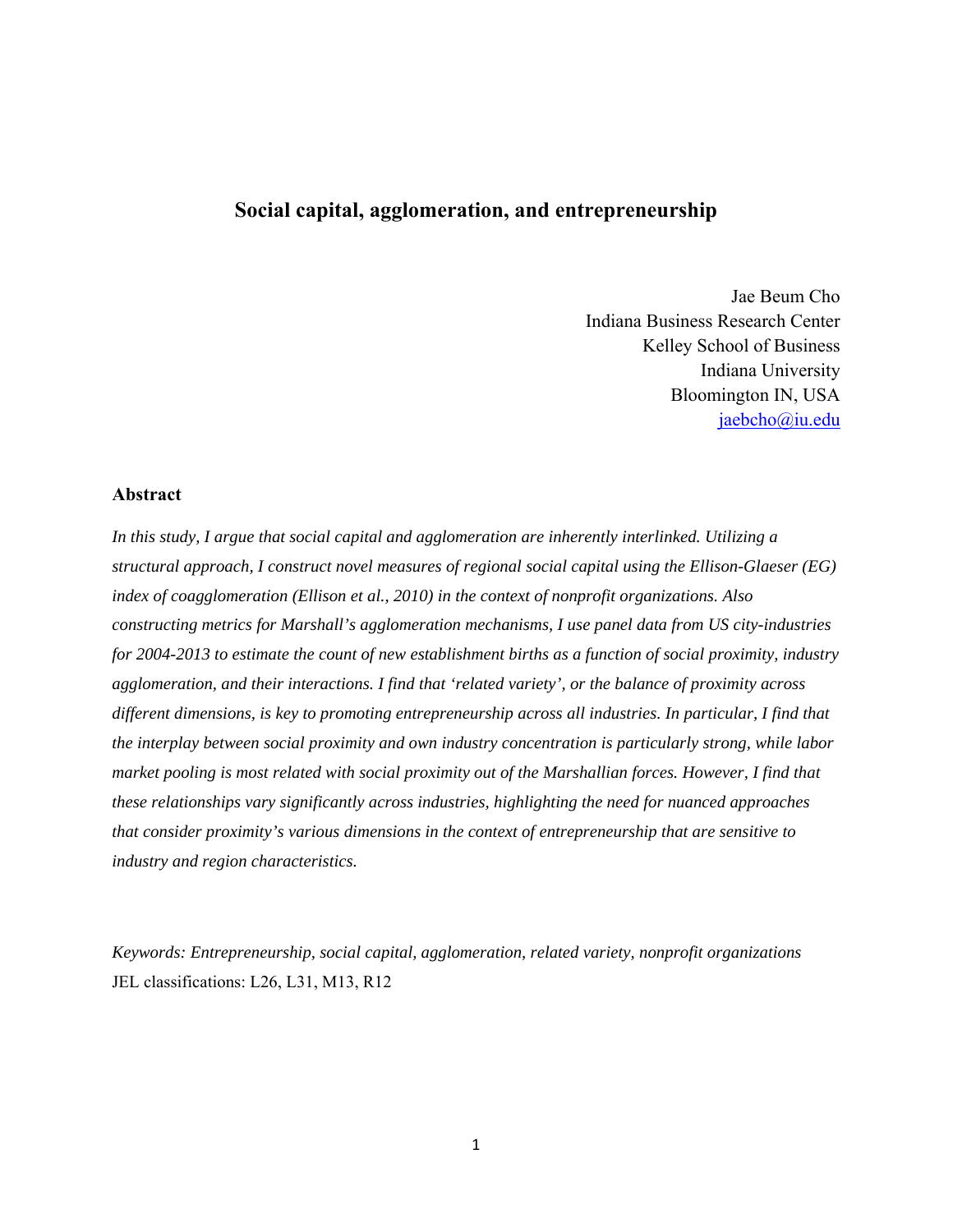# **Social capital, agglomeration, and entrepreneurship**

Jae Beum Cho Indiana Business Research Center Kelley School of Business Indiana University Bloomington IN, USA [jaebcho@iu.edu](mailto:jaebcho@iu.edu)

## **Abstract**

*In this study, I argue that social capital and agglomeration are inherently interlinked. Utilizing a structural approach, I construct novel measures of regional social capital using the Ellison-Glaeser (EG) index of coagglomeration (Ellison et al., 2010) in the context of nonprofit organizations. Also constructing metrics for Marshall's agglomeration mechanisms, I use panel data from US city-industries for 2004-2013 to estimate the count of new establishment births as a function of social proximity, industry agglomeration, and their interactions. I find that 'related variety', or the balance of proximity across different dimensions, is key to promoting entrepreneurship across all industries. In particular, I find that the interplay between social proximity and own industry concentration is particularly strong, while labor market pooling is most related with social proximity out of the Marshallian forces. However, I find that these relationships vary significantly across industries, highlighting the need for nuanced approaches that consider proximity's various dimensions in the context of entrepreneurship that are sensitive to industry and region characteristics.* 

*Keywords: Entrepreneurship, social capital, agglomeration, related variety, nonprofit organizations*  JEL classifications: L26, L31, M13, R12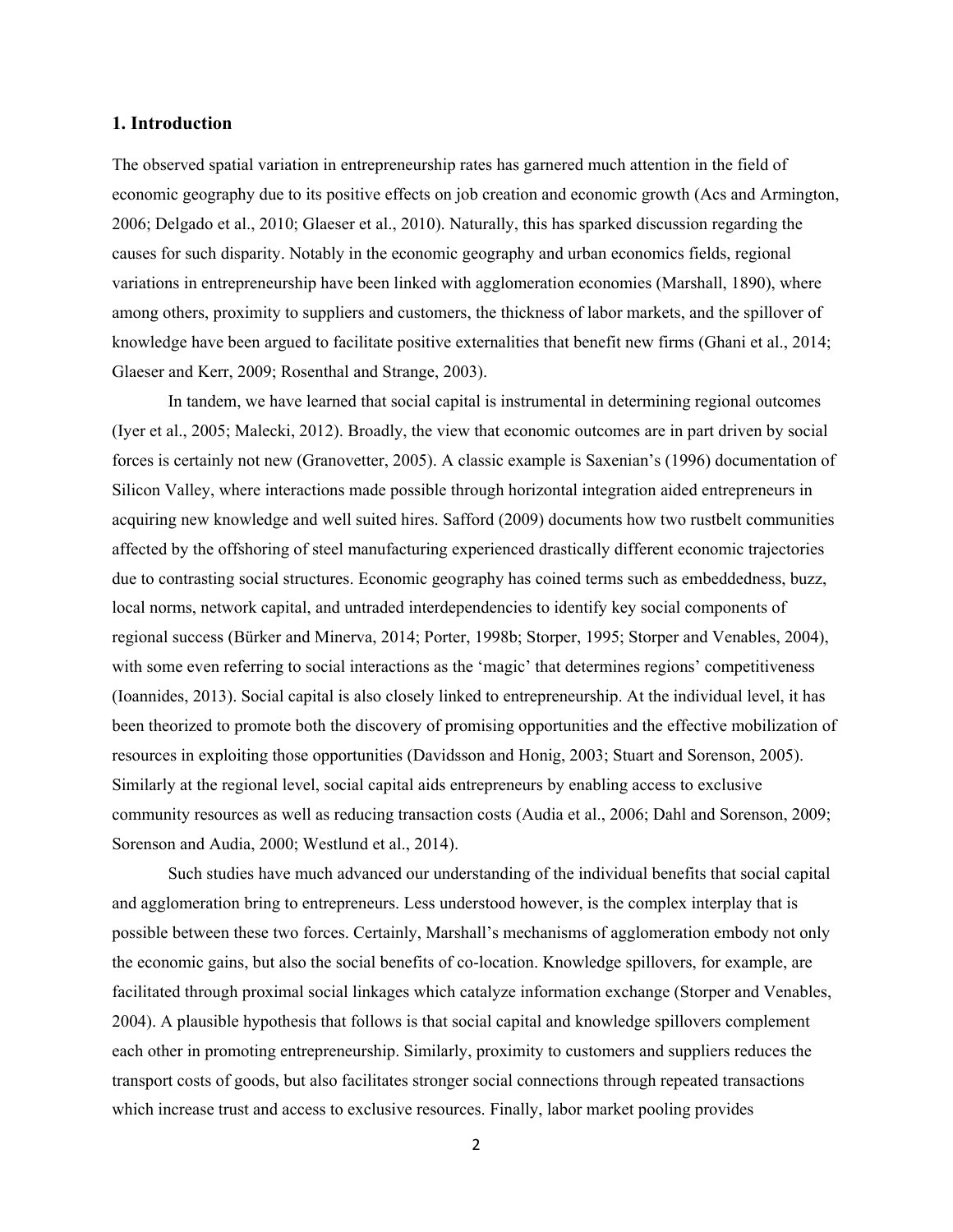## **1. Introduction**

The observed spatial variation in entrepreneurship rates has garnered much attention in the field of economic geography due to its positive effects on job creation and economic growth (Acs and Armington, 2006; Delgado et al., 2010; Glaeser et al., 2010). Naturally, this has sparked discussion regarding the causes for such disparity. Notably in the economic geography and urban economics fields, regional variations in entrepreneurship have been linked with agglomeration economies (Marshall, 1890), where among others, proximity to suppliers and customers, the thickness of labor markets, and the spillover of knowledge have been argued to facilitate positive externalities that benefit new firms (Ghani et al., 2014; Glaeser and Kerr, 2009; Rosenthal and Strange, 2003).

 local norms, network capital, and untraded interdependencies to identify key social components of (Ioannides, 2013). Social capital is also closely linked to entrepreneurship. At the individual level, it has In tandem, we have learned that social capital is instrumental in determining regional outcomes (Iyer et al., 2005; Malecki, 2012). Broadly, the view that economic outcomes are in part driven by social forces is certainly not new (Granovetter, 2005). A classic example is Saxenian's (1996) documentation of Silicon Valley, where interactions made possible through horizontal integration aided entrepreneurs in acquiring new knowledge and well suited hires. Safford (2009) documents how two rustbelt communities affected by the offshoring of steel manufacturing experienced drastically different economic trajectories due to contrasting social structures. Economic geography has coined terms such as embeddedness, buzz, regional success (Bürker and Minerva, 2014; Porter, 1998b; Storper, 1995; Storper and Venables, 2004), with some even referring to social interactions as the 'magic' that determines regions' competitiveness been theorized to promote both the discovery of promising opportunities and the effective mobilization of resources in exploiting those opportunities (Davidsson and Honig, 2003; Stuart and Sorenson, 2005). Similarly at the regional level, social capital aids entrepreneurs by enabling access to exclusive community resources as well as reducing transaction costs (Audia et al., 2006; Dahl and Sorenson, 2009; Sorenson and Audia, 2000; Westlund et al., 2014).

Such studies have much advanced our understanding of the individual benefits that social capital and agglomeration bring to entrepreneurs. Less understood however, is the complex interplay that is possible between these two forces. Certainly, Marshall's mechanisms of agglomeration embody not only the economic gains, but also the social benefits of co-location. Knowledge spillovers, for example, are facilitated through proximal social linkages which catalyze information exchange (Storper and Venables, 2004). A plausible hypothesis that follows is that social capital and knowledge spillovers complement each other in promoting entrepreneurship. Similarly, proximity to customers and suppliers reduces the transport costs of goods, but also facilitates stronger social connections through repeated transactions which increase trust and access to exclusive resources. Finally, labor market pooling provides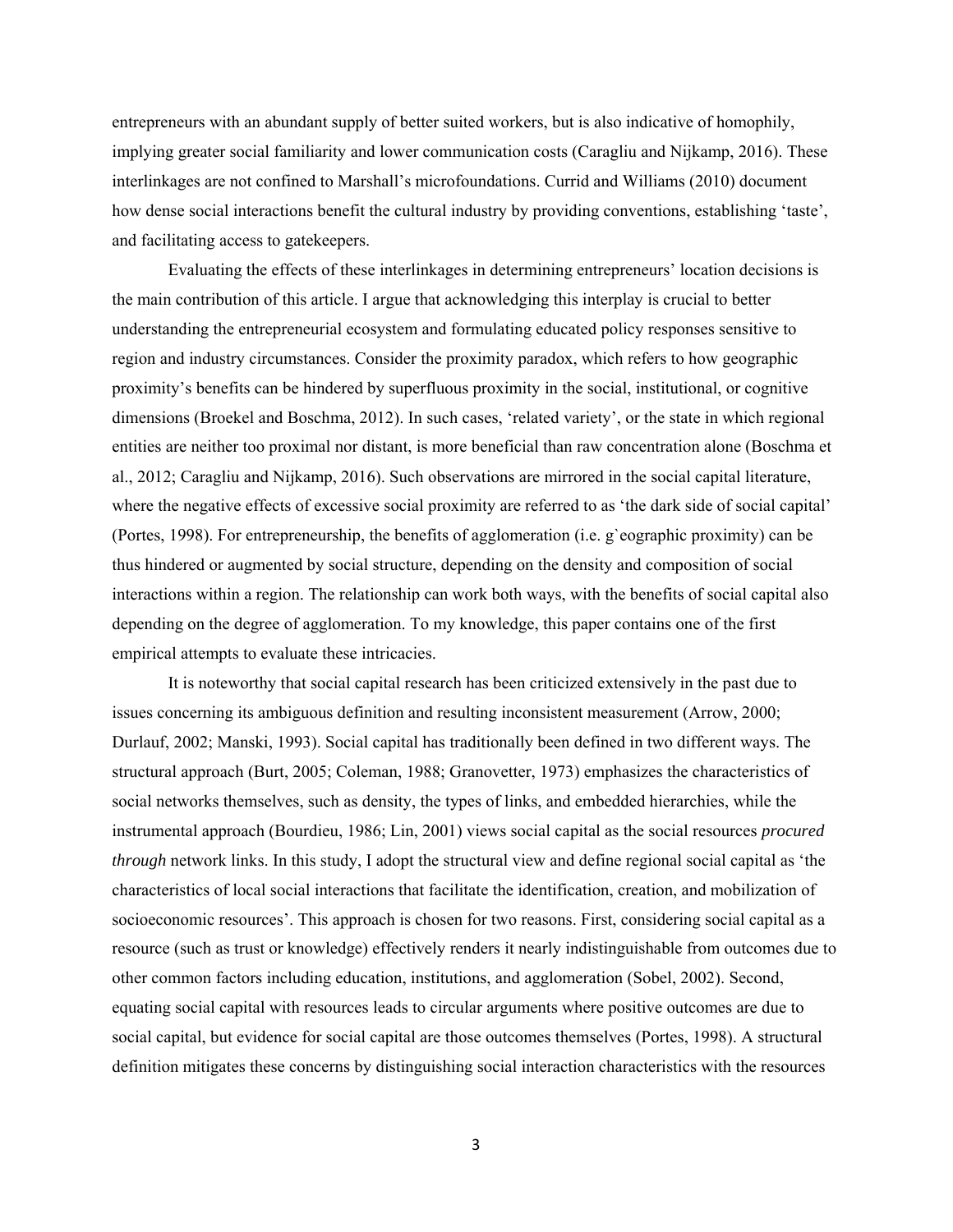entrepreneurs with an abundant supply of better suited workers, but is also indicative of homophily, implying greater social familiarity and lower communication costs (Caragliu and Nijkamp, 2016). These interlinkages are not confined to Marshall's microfoundations. Currid and Williams (2010) document how dense social interactions benefit the cultural industry by providing conventions, establishing 'taste', and facilitating access to gatekeepers.

Evaluating the effects of these interlinkages in determining entrepreneurs' location decisions is the main contribution of this article. I argue that acknowledging this interplay is crucial to better understanding the entrepreneurial ecosystem and formulating educated policy responses sensitive to region and industry circumstances. Consider the proximity paradox, which refers to how geographic proximity's benefits can be hindered by superfluous proximity in the social, institutional, or cognitive dimensions (Broekel and Boschma, 2012). In such cases, 'related variety', or the state in which regional entities are neither too proximal nor distant, is more beneficial than raw concentration alone (Boschma et al., 2012; Caragliu and Nijkamp, 2016). Such observations are mirrored in the social capital literature, where the negative effects of excessive social proximity are referred to as 'the dark side of social capital' (Portes, 1998). For entrepreneurship, the benefits of agglomeration (i.e. g`eographic proximity) can be thus hindered or augmented by social structure, depending on the density and composition of social interactions within a region. The relationship can work both ways, with the benefits of social capital also depending on the degree of agglomeration. To my knowledge, this paper contains one of the first empirical attempts to evaluate these intricacies.

It is noteworthy that social capital research has been criticized extensively in the past due to issues concerning its ambiguous definition and resulting inconsistent measurement (Arrow, 2000; Durlauf, 2002; Manski, 1993). Social capital has traditionally been defined in two different ways. The structural approach (Burt, 2005; Coleman, 1988; Granovetter, 1973) emphasizes the characteristics of social networks themselves, such as density, the types of links, and embedded hierarchies, while the instrumental approach (Bourdieu, 1986; Lin, 2001) views social capital as the social resources *procured through* network links. In this study, I adopt the structural view and define regional social capital as 'the characteristics of local social interactions that facilitate the identification, creation, and mobilization of socioeconomic resources'. This approach is chosen for two reasons. First, considering social capital as a resource (such as trust or knowledge) effectively renders it nearly indistinguishable from outcomes due to other common factors including education, institutions, and agglomeration (Sobel, 2002). Second, equating social capital with resources leads to circular arguments where positive outcomes are due to social capital, but evidence for social capital are those outcomes themselves (Portes, 1998). A structural definition mitigates these concerns by distinguishing social interaction characteristics with the resources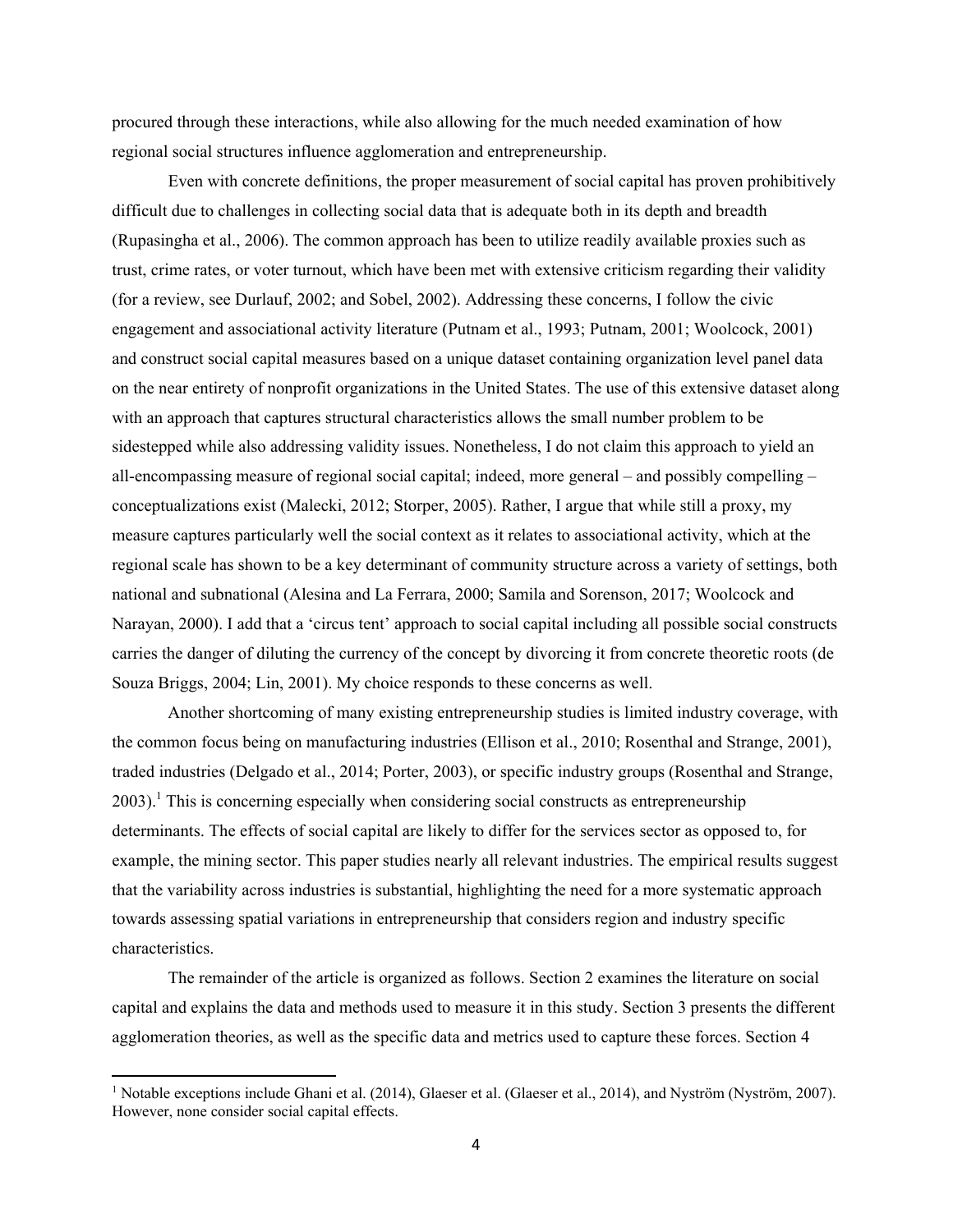procured through these interactions, while also allowing for the much needed examination of how regional social structures influence agglomeration and entrepreneurship.

 trust, crime rates, or voter turnout, which have been met with extensive criticism regarding their validity regional scale has shown to be a key determinant of community structure across a variety of settings, both Even with concrete definitions, the proper measurement of social capital has proven prohibitively difficult due to challenges in collecting social data that is adequate both in its depth and breadth (Rupasingha et al., 2006). The common approach has been to utilize readily available proxies such as (for a review, see Durlauf, 2002; and Sobel, 2002). Addressing these concerns, I follow the civic engagement and associational activity literature (Putnam et al., 1993; Putnam, 2001; Woolcock, 2001) and construct social capital measures based on a unique dataset containing organization level panel data on the near entirety of nonprofit organizations in the United States. The use of this extensive dataset along with an approach that captures structural characteristics allows the small number problem to be sidestepped while also addressing validity issues. Nonetheless, I do not claim this approach to yield an all-encompassing measure of regional social capital; indeed, more general – and possibly compelling – conceptualizations exist (Malecki, 2012; Storper, 2005). Rather, I argue that while still a proxy, my measure captures particularly well the social context as it relates to associational activity, which at the national and subnational (Alesina and La Ferrara, 2000; Samila and Sorenson, 2017; Woolcock and Narayan, 2000). I add that a 'circus tent' approach to social capital including all possible social constructs carries the danger of diluting the currency of the concept by divorcing it from concrete theoretic roots (de Souza Briggs, 2004; Lin, 2001). My choice responds to these concerns as well.

 Another shortcoming of many existing entrepreneurship studies is limited industry coverage, with the common focus being on manufacturing industries (Ellison et al., 2010; Rosenthal and Strange, 2001), traded industries (Delgado et al., 2014; Porter, 2003), or specific industry groups (Rosenthal and Strange,  $2003$ ).<sup>1</sup> This is concerning especially when considering social constructs as entrepreneurship determinants. The effects of social capital are likely to differ for the services sector as opposed to, for example, the mining sector. This paper studies nearly all relevant industries. The empirical results suggest that the variability across industries is substantial, highlighting the need for a more systematic approach towards assessing spatial variations in entrepreneurship that considers region and industry specific characteristics.

The remainder of the article is organized as follows. Section 2 examines the literature on social capital and explains the data and methods used to measure it in this study. Section 3 presents the different agglomeration theories, as well as the specific data and metrics used to capture these forces. Section 4

 However, none consider social capital effects. <sup>1</sup> Notable exceptions include Ghani et al. (2014), Glaeser et al. (Glaeser et al., 2014), and Nyström (Nyström, 2007).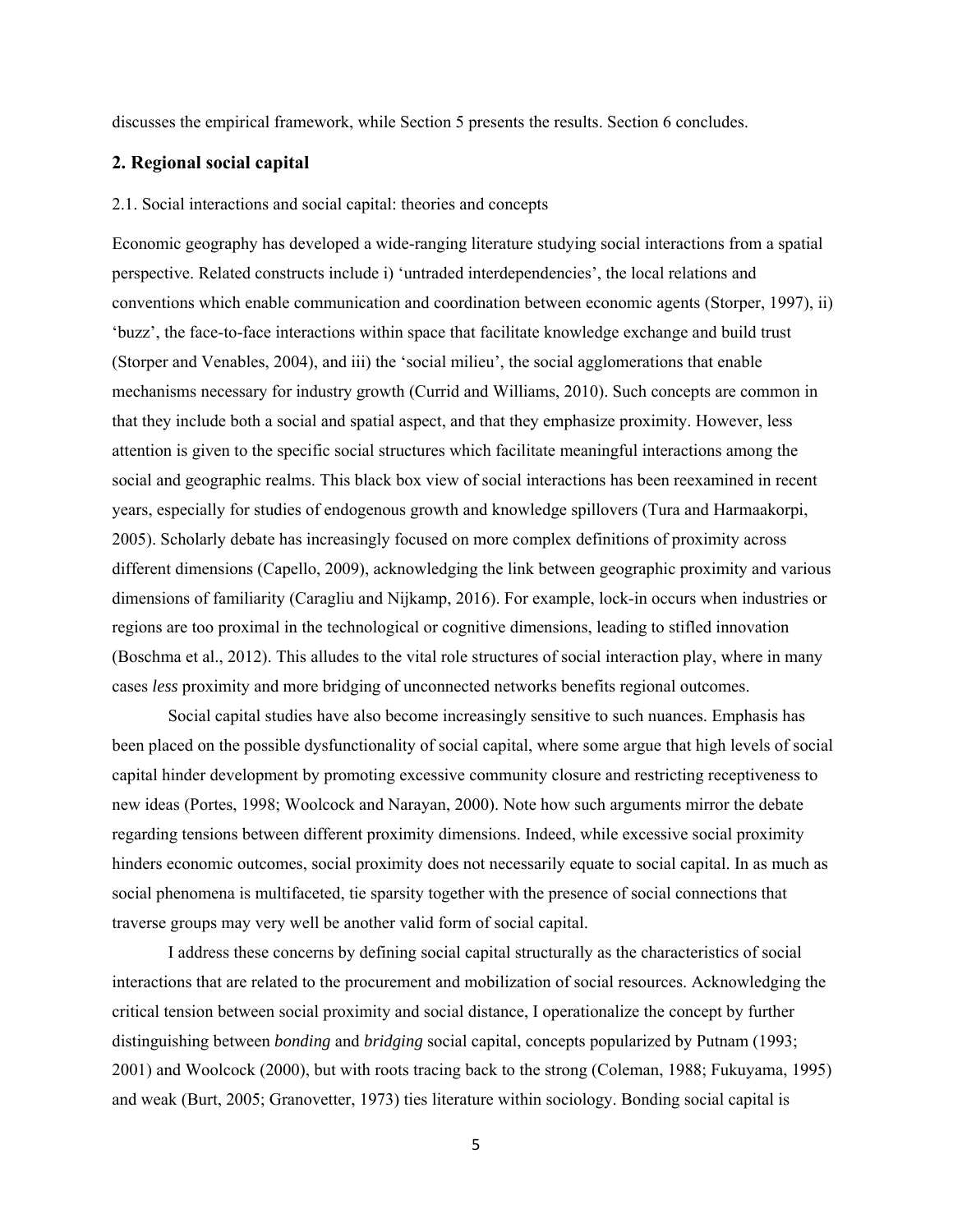discusses the empirical framework, while Section 5 presents the results. Section 6 concludes.

# **2. Regional social capital**

#### 2.1. Social interactions and social capital: theories and concepts

 cases *less* proximity and more bridging of unconnected networks benefits regional outcomes. Economic geography has developed a wide-ranging literature studying social interactions from a spatial perspective. Related constructs include i) 'untraded interdependencies', the local relations and conventions which enable communication and coordination between economic agents (Storper, 1997), ii) 'buzz', the face-to-face interactions within space that facilitate knowledge exchange and build trust (Storper and Venables, 2004), and iii) the 'social milieu', the social agglomerations that enable mechanisms necessary for industry growth (Currid and Williams, 2010). Such concepts are common in that they include both a social and spatial aspect, and that they emphasize proximity. However, less attention is given to the specific social structures which facilitate meaningful interactions among the social and geographic realms. This black box view of social interactions has been reexamined in recent years, especially for studies of endogenous growth and knowledge spillovers (Tura and Harmaakorpi, 2005). Scholarly debate has increasingly focused on more complex definitions of proximity across different dimensions (Capello, 2009), acknowledging the link between geographic proximity and various dimensions of familiarity (Caragliu and Nijkamp, 2016). For example, lock-in occurs when industries or regions are too proximal in the technological or cognitive dimensions, leading to stifled innovation (Boschma et al., 2012). This alludes to the vital role structures of social interaction play, where in many

Social capital studies have also become increasingly sensitive to such nuances. Emphasis has been placed on the possible dysfunctionality of social capital, where some argue that high levels of social capital hinder development by promoting excessive community closure and restricting receptiveness to new ideas (Portes, 1998; Woolcock and Narayan, 2000). Note how such arguments mirror the debate regarding tensions between different proximity dimensions. Indeed, while excessive social proximity hinders economic outcomes, social proximity does not necessarily equate to social capital. In as much as social phenomena is multifaceted, tie sparsity together with the presence of social connections that traverse groups may very well be another valid form of social capital.

I address these concerns by defining social capital structurally as the characteristics of social interactions that are related to the procurement and mobilization of social resources. Acknowledging the critical tension between social proximity and social distance, I operationalize the concept by further distinguishing between *bonding* and *bridging* social capital, concepts popularized by Putnam (1993; 2001) and Woolcock (2000), but with roots tracing back to the strong (Coleman, 1988; Fukuyama, 1995) and weak (Burt, 2005; Granovetter, 1973) ties literature within sociology. Bonding social capital is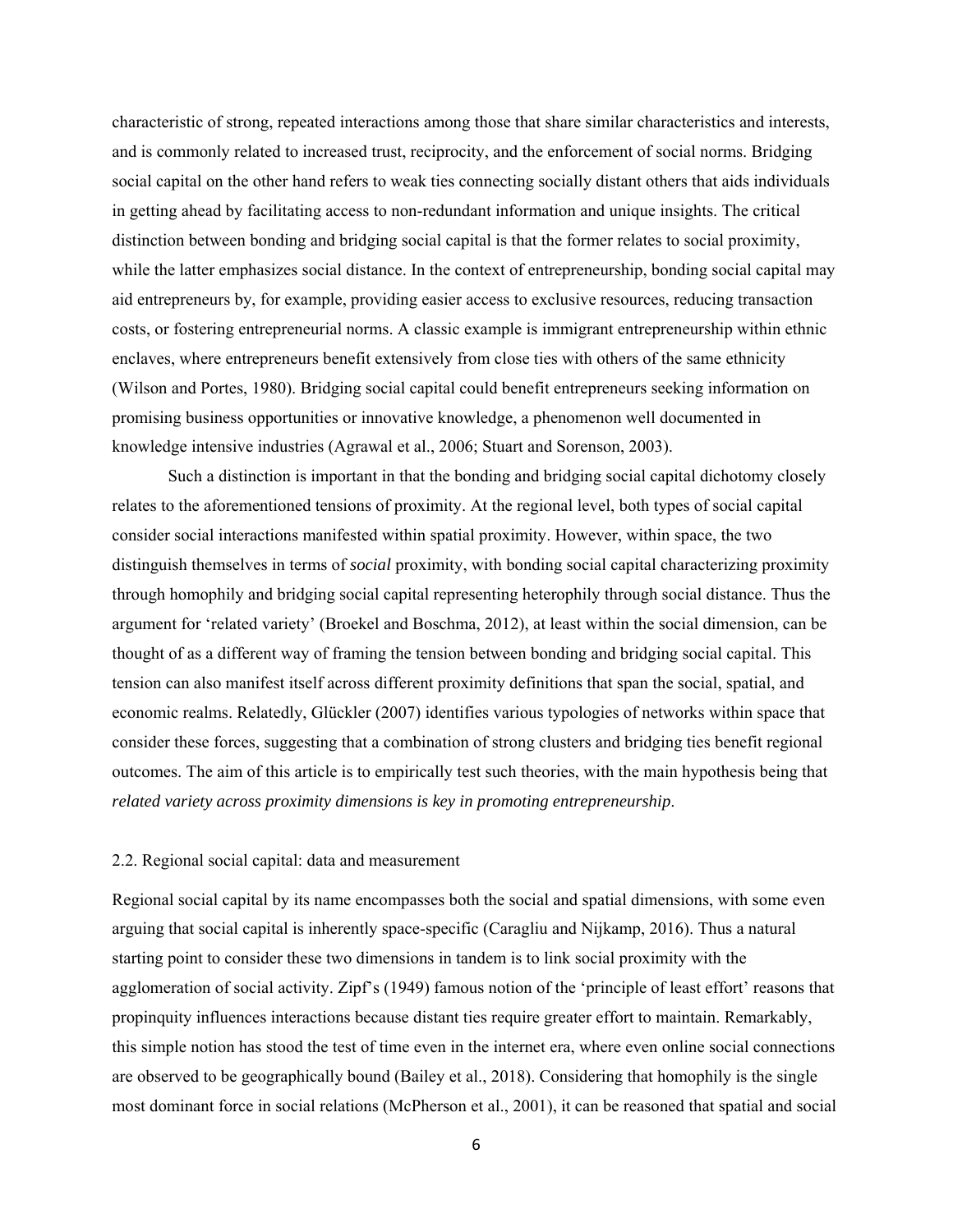characteristic of strong, repeated interactions among those that share similar characteristics and interests, and is commonly related to increased trust, reciprocity, and the enforcement of social norms. Bridging social capital on the other hand refers to weak ties connecting socially distant others that aids individuals in getting ahead by facilitating access to non-redundant information and unique insights. The critical distinction between bonding and bridging social capital is that the former relates to social proximity, while the latter emphasizes social distance. In the context of entrepreneurship, bonding social capital may aid entrepreneurs by, for example, providing easier access to exclusive resources, reducing transaction costs, or fostering entrepreneurial norms. A classic example is immigrant entrepreneurship within ethnic enclaves, where entrepreneurs benefit extensively from close ties with others of the same ethnicity (Wilson and Portes, 1980). Bridging social capital could benefit entrepreneurs seeking information on promising business opportunities or innovative knowledge, a phenomenon well documented in knowledge intensive industries (Agrawal et al., 2006; Stuart and Sorenson, 2003).

 Such a distinction is important in that the bonding and bridging social capital dichotomy closely relates to the aforementioned tensions of proximity. At the regional level, both types of social capital consider social interactions manifested within spatial proximity. However, within space, the two distinguish themselves in terms of *social* proximity, with bonding social capital characterizing proximity through homophily and bridging social capital representing heterophily through social distance. Thus the argument for 'related variety' (Broekel and Boschma, 2012), at least within the social dimension, can be thought of as a different way of framing the tension between bonding and bridging social capital. This tension can also manifest itself across different proximity definitions that span the social, spatial, and economic realms. Relatedly, Glückler (2007) identifies various typologies of networks within space that consider these forces, suggesting that a combination of strong clusters and bridging ties benefit regional outcomes. The aim of this article is to empirically test such theories, with the main hypothesis being that *related variety across proximity dimensions is key in promoting entrepreneurship*.

#### 2.2. Regional social capital: data and measurement

Regional social capital by its name encompasses both the social and spatial dimensions, with some even arguing that social capital is inherently space-specific (Caragliu and Nijkamp, 2016). Thus a natural starting point to consider these two dimensions in tandem is to link social proximity with the agglomeration of social activity. Zipf's (1949) famous notion of the 'principle of least effort' reasons that propinquity influences interactions because distant ties require greater effort to maintain. Remarkably, this simple notion has stood the test of time even in the internet era, where even online social connections are observed to be geographically bound (Bailey et al., 2018). Considering that homophily is the single most dominant force in social relations (McPherson et al., 2001), it can be reasoned that spatial and social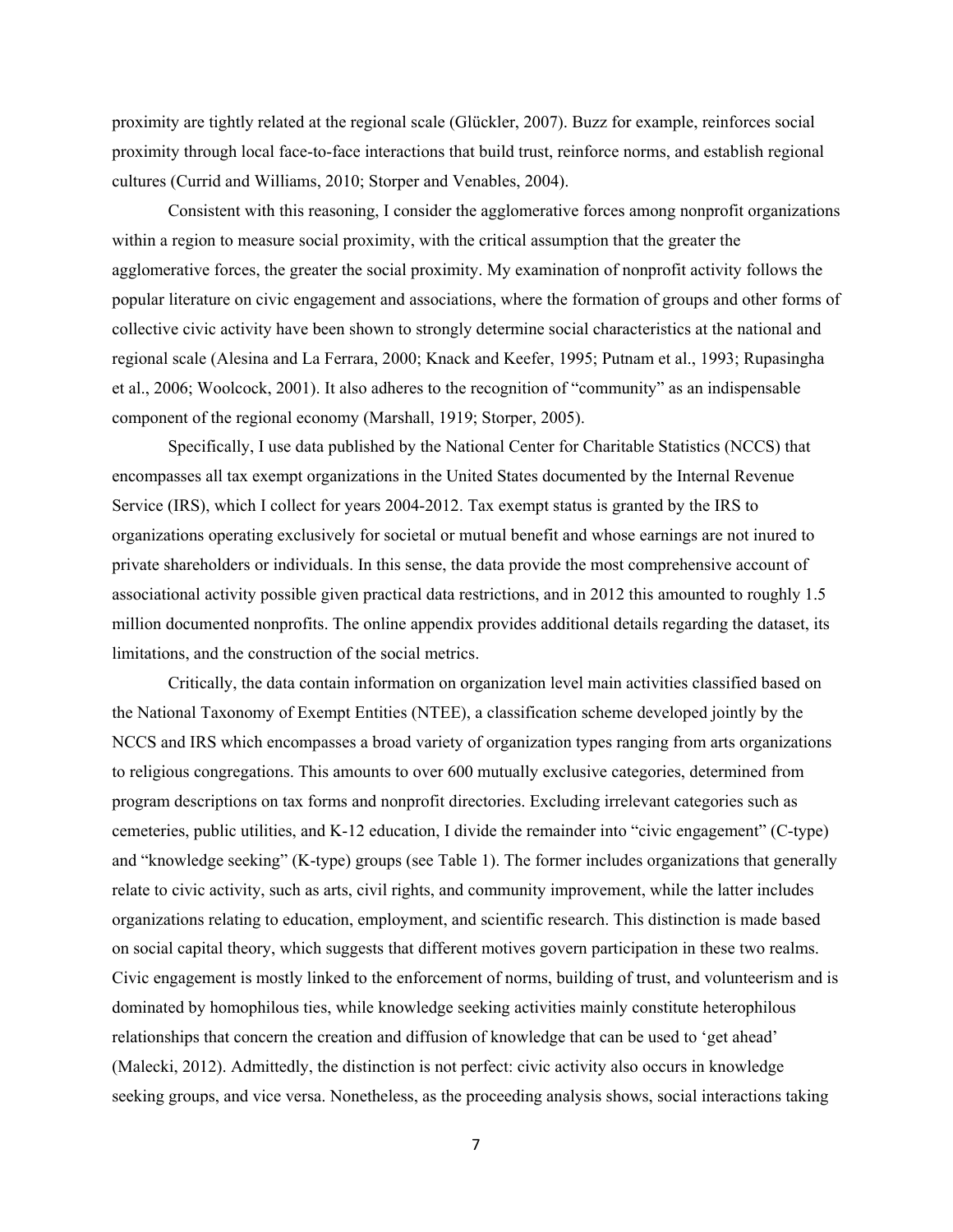proximity are tightly related at the regional scale (Glückler, 2007). Buzz for example, reinforces social proximity through local face-to-face interactions that build trust, reinforce norms, and establish regional cultures (Currid and Williams, 2010; Storper and Venables, 2004).

Consistent with this reasoning, I consider the agglomerative forces among nonprofit organizations within a region to measure social proximity, with the critical assumption that the greater the agglomerative forces, the greater the social proximity. My examination of nonprofit activity follows the popular literature on civic engagement and associations, where the formation of groups and other forms of collective civic activity have been shown to strongly determine social characteristics at the national and regional scale (Alesina and La Ferrara, 2000; Knack and Keefer, 1995; Putnam et al., 1993; Rupasingha et al., 2006; Woolcock, 2001). It also adheres to the recognition of "community" as an indispensable component of the regional economy (Marshall, 1919; Storper, 2005).

Specifically, I use data published by the National Center for Charitable Statistics (NCCS) that encompasses all tax exempt organizations in the United States documented by the Internal Revenue Service (IRS), which I collect for years 2004-2012. Tax exempt status is granted by the IRS to organizations operating exclusively for societal or mutual benefit and whose earnings are not inured to private shareholders or individuals. In this sense, the data provide the most comprehensive account of associational activity possible given practical data restrictions, and in 2012 this amounted to roughly 1.5 million documented nonprofits. The online appendix provides additional details regarding the dataset, its limitations, and the construction of the social metrics.

 dominated by homophilous ties, while knowledge seeking activities mainly constitute heterophilous Critically, the data contain information on organization level main activities classified based on the National Taxonomy of Exempt Entities (NTEE), a classification scheme developed jointly by the NCCS and IRS which encompasses a broad variety of organization types ranging from arts organizations to religious congregations. This amounts to over 600 mutually exclusive categories, determined from program descriptions on tax forms and nonprofit directories. Excluding irrelevant categories such as cemeteries, public utilities, and K-12 education, I divide the remainder into "civic engagement" (C-type) and "knowledge seeking" (K-type) groups (see Table 1). The former includes organizations that generally relate to civic activity, such as arts, civil rights, and community improvement, while the latter includes organizations relating to education, employment, and scientific research. This distinction is made based on social capital theory, which suggests that different motives govern participation in these two realms. Civic engagement is mostly linked to the enforcement of norms, building of trust, and volunteerism and is relationships that concern the creation and diffusion of knowledge that can be used to 'get ahead' (Malecki, 2012). Admittedly, the distinction is not perfect: civic activity also occurs in knowledge seeking groups, and vice versa. Nonetheless, as the proceeding analysis shows, social interactions taking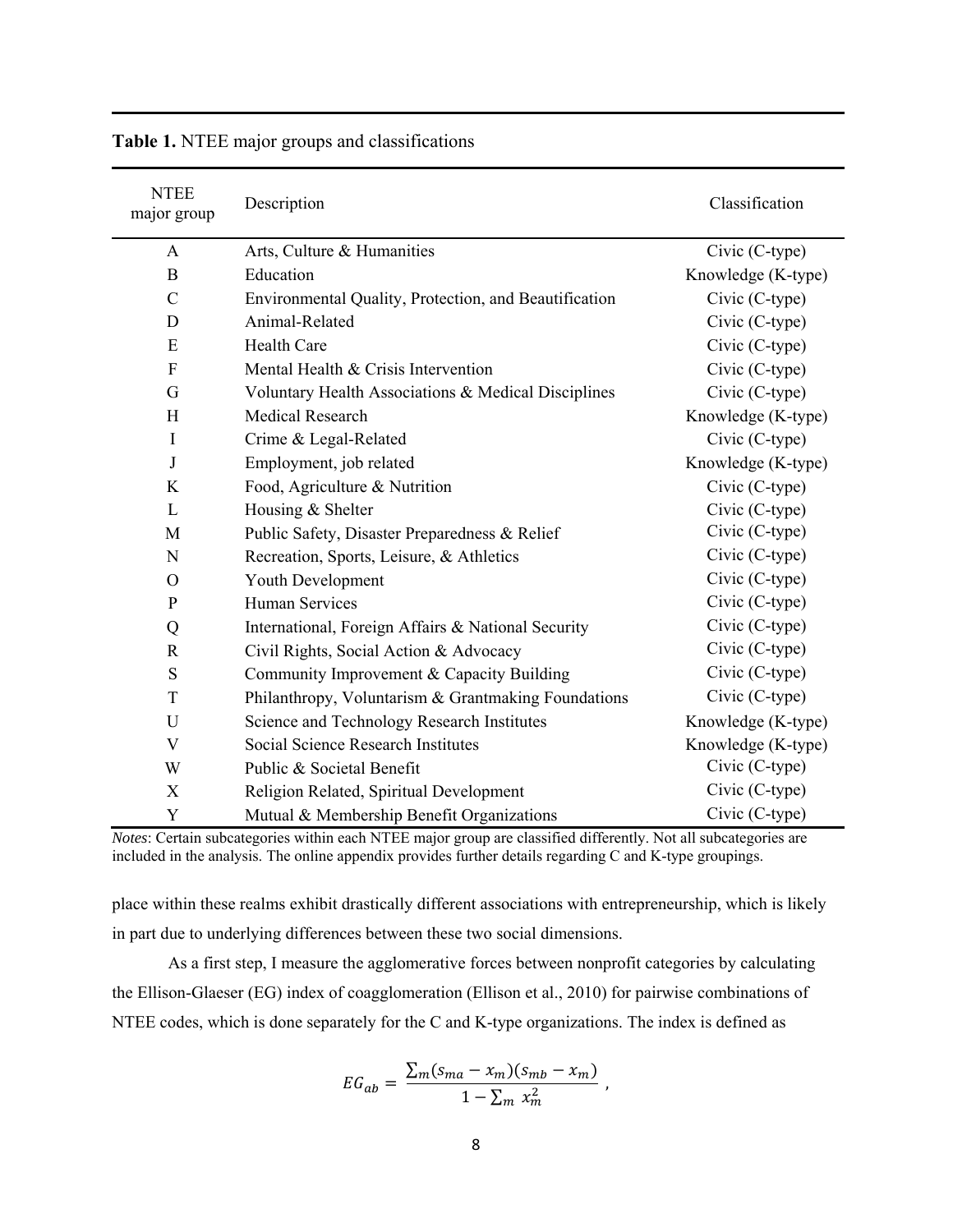| <b>NTEE</b><br>major group | Description                                           | Classification     |
|----------------------------|-------------------------------------------------------|--------------------|
| A                          | Arts, Culture & Humanities                            | Civic (C-type)     |
| B                          | Education                                             | Knowledge (K-type) |
| $\mathcal{C}$              | Environmental Quality, Protection, and Beautification | Civic (C-type)     |
| D                          | Animal-Related                                        | Civic (C-type)     |
| E                          | <b>Health Care</b>                                    | Civic (C-type)     |
| $\overline{F}$             | Mental Health & Crisis Intervention                   | Civic (C-type)     |
| G                          | Voluntary Health Associations & Medical Disciplines   | Civic (C-type)     |
| H                          | <b>Medical Research</b>                               | Knowledge (K-type) |
| $\mathbf I$                | Crime & Legal-Related                                 | Civic (C-type)     |
| J                          | Employment, job related                               | Knowledge (K-type) |
| K                          | Food, Agriculture & Nutrition                         | Civic (C-type)     |
| L                          | Housing & Shelter                                     | Civic (C-type)     |
| M                          | Public Safety, Disaster Preparedness & Relief         | Civic (C-type)     |
| N                          | Recreation, Sports, Leisure, & Athletics              | Civic (C-type)     |
| $\Omega$                   | Youth Development                                     | Civic (C-type)     |
| $\mathbf{P}$               | <b>Human Services</b>                                 | Civic (C-type)     |
| Q                          | International, Foreign Affairs & National Security    | Civic (C-type)     |
| $\mathbb{R}$               | Civil Rights, Social Action & Advocacy                | Civic (C-type)     |
| S                          | Community Improvement & Capacity Building             | Civic (C-type)     |
| T                          | Philanthropy, Voluntarism & Grantmaking Foundations   | Civic (C-type)     |
| $\mathbf U$                | Science and Technology Research Institutes            | Knowledge (K-type) |
| $\mathbf V$                | Social Science Research Institutes                    | Knowledge (K-type) |
| W                          | Public & Societal Benefit                             | Civic (C-type)     |
| X                          | Religion Related, Spiritual Development               | Civic (C-type)     |
| Y                          | Mutual & Membership Benefit Organizations             | Civic (C-type)     |

**Table 1.** NTEE major groups and classifications

 included in the analysis. The online appendix provides further details regarding C and K-type groupings. *Notes*: Certain subcategories within each NTEE major group are classified differently. Not all subcategories are

place within these realms exhibit drastically different associations with entrepreneurship, which is likely in part due to underlying differences between these two social dimensions.

As a first step, I measure the agglomerative forces between nonprofit categories by calculating the Ellison-Glaeser (EG) index of coagglomeration (Ellison et al., 2010) for pairwise combinations of NTEE codes, which is done separately for the C and K-type organizations. The index is defined as

$$
EG_{ab} = \frac{\sum_m (s_{ma} - x_m)(s_{mb} - x_m)}{1 - \sum_m x_m^2} ,
$$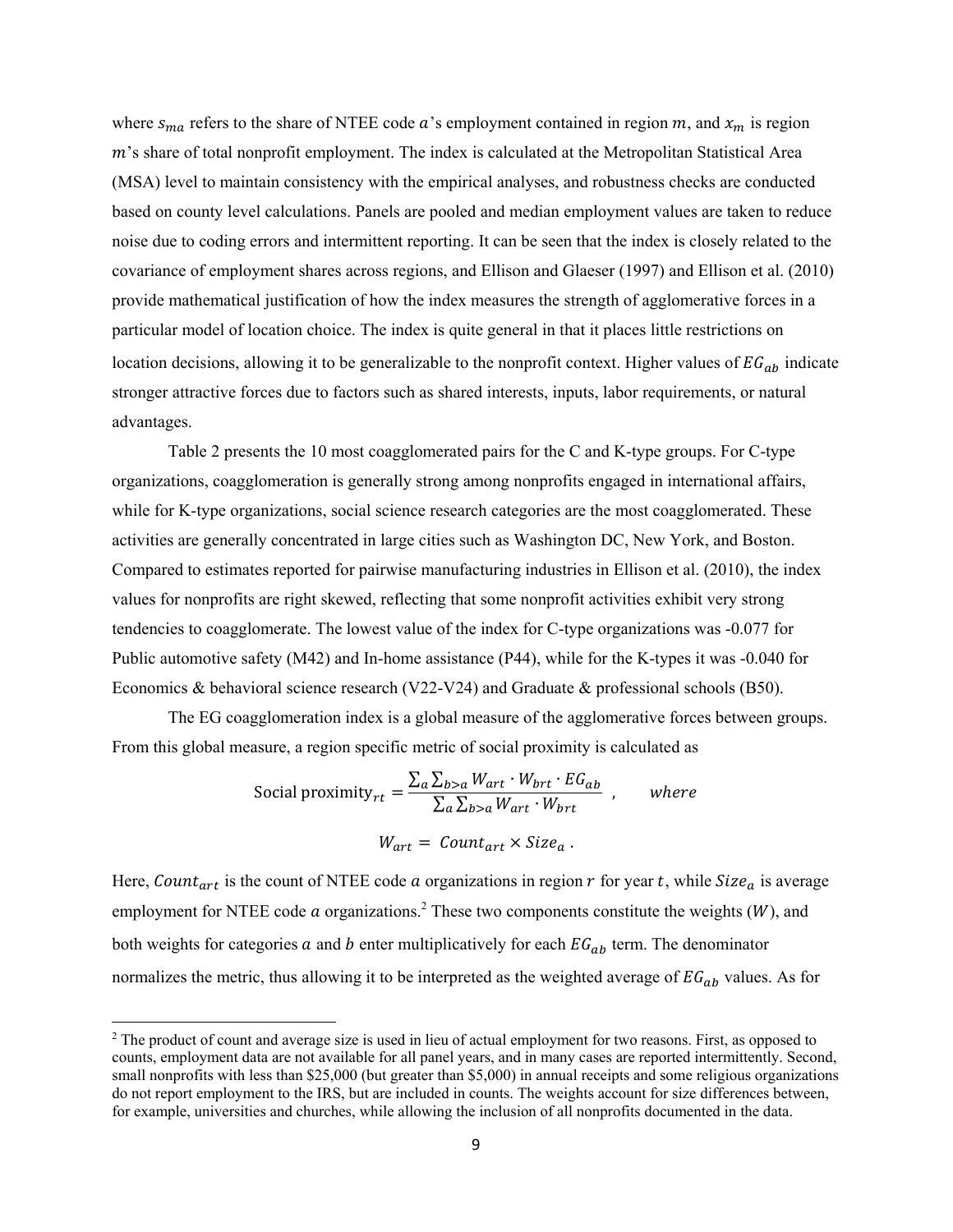where  $s_{ma}$  refers to the share of NTEE code  $a$ 's employment contained in region  $m$ , and  $x_m$  is region  $m$ 's share of total nonprofit employment. The index is calculated at the Metropolitan Statistical Area (MSA) level to maintain consistency with the empirical analyses, and robustness checks are conducted based on county level calculations. Panels are pooled and median employment values are taken to reduce noise due to coding errors and intermittent reporting. It can be seen that the index is closely related to the covariance of employment shares across regions, and Ellison and Glaeser (1997) and Ellison et al. (2010) provide mathematical justification of how the index measures the strength of agglomerative forces in a particular model of location choice. The index is quite general in that it places little restrictions on location decisions, allowing it to be generalizable to the nonprofit context. Higher values of  $EG_{ab}$  indicate stronger attractive forces due to factors such as shared interests, inputs, labor requirements, or natural advantages.

Table 2 presents the 10 most coagglomerated pairs for the C and K-type groups. For C-type organizations, coagglomeration is generally strong among nonprofits engaged in international affairs, while for K-type organizations, social science research categories are the most coagglomerated. These activities are generally concentrated in large cities such as Washington DC, New York, and Boston. Compared to estimates reported for pairwise manufacturing industries in Ellison et al. (2010), the index values for nonprofits are right skewed, reflecting that some nonprofit activities exhibit very strong tendencies to coagglomerate. The lowest value of the index for C-type organizations was -0.077 for Public automotive safety (M42) and In-home assistance (P44), while for the K-types it was -0.040 for Economics & behavioral science research (V22-V24) and Graduate & professional schools (B50).

The EG coagglomeration index is a global measure of the agglomerative forces between groups. From this global measure, a region specific metric of social proximity is calculated as

Social proximity<sub>rt</sub> = 
$$
\frac{\sum_{a} \sum_{b>a} W_{art} \cdot W_{brt} \cdot EG_{ab}}{\sum_{a} \sum_{b>a} W_{art} \cdot W_{brt}}
$$
, where

\n
$$
W_{art} = Count_{art} \times Size_a
$$
.

Here, Count<sub>art</sub> is the count of NTEE code a organizations in region  $r$  for year t, while Size<sub>a</sub> is average employment for NTEE code  $\alpha$  organizations.<sup>2</sup> These two components constitute the weights (*W*), and both weights for categories  $a$  and  $b$  enter multiplicatively for each  $EG_{ab}$  term. The denominator normalizes the metric, thus allowing it to be interpreted as the weighted average of  $EG_{ab}$  values. As for

<sup>&</sup>lt;sup>2</sup> The product of count and average size is used in lieu of actual employment for two reasons. First, as opposed to counts, employment data are not available for all panel years, and in many cases are reported intermittently. Second, do not report employment to the IRS, but are included in counts. The weights account for size differences between, small nonprofits with less than \$25,000 (but greater than \$5,000) in annual receipts and some religious organizations for example, universities and churches, while allowing the inclusion of all nonprofits documented in the data.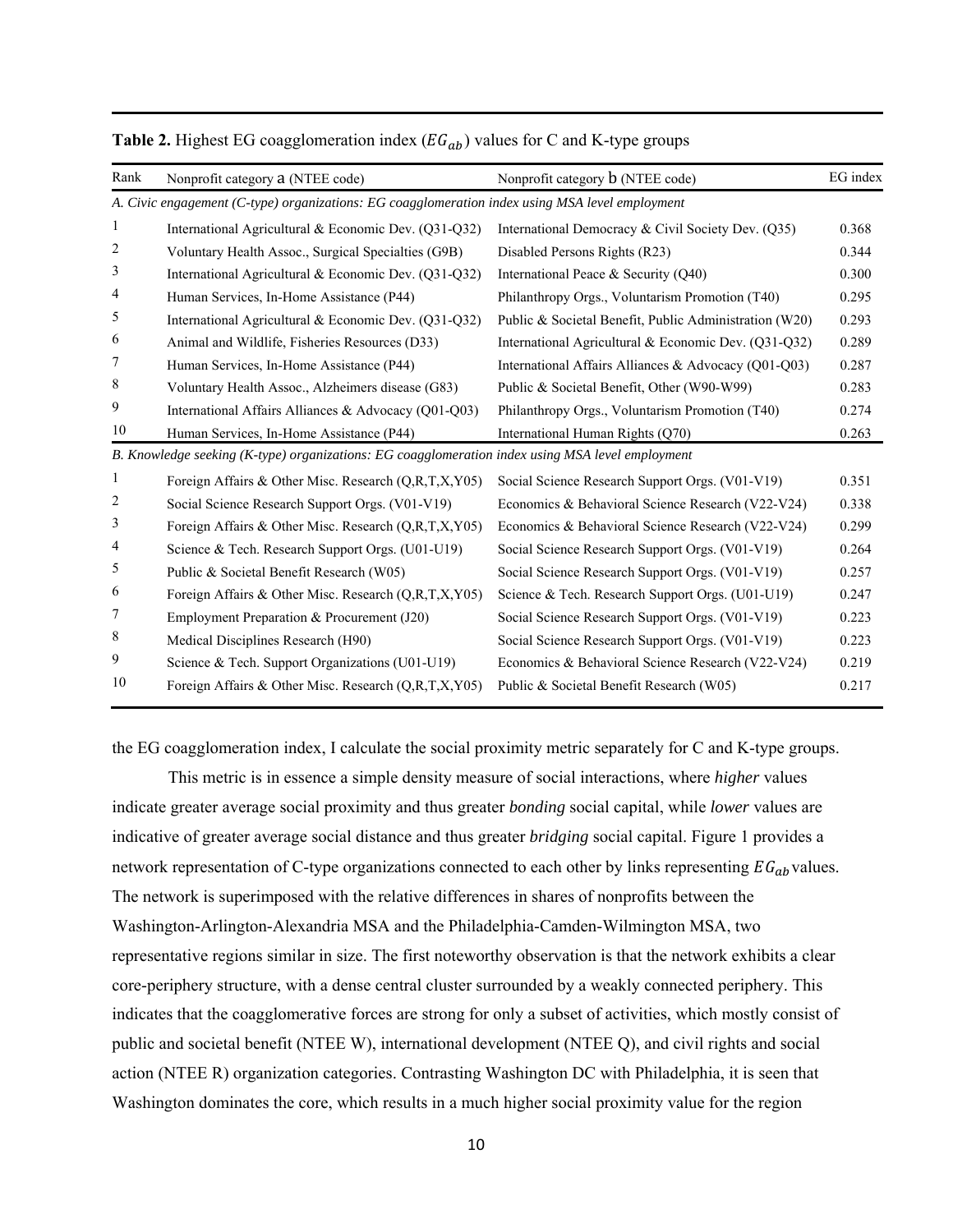| Rank         | Nonprofit category a (NTEE code)                                                                 | Nonprofit category <b>b</b> (NTEE code)                | EG index |
|--------------|--------------------------------------------------------------------------------------------------|--------------------------------------------------------|----------|
|              | A. Civic engagement (C-type) organizations: EG coagglomeration index using MSA level employment  |                                                        |          |
| 1            | International Agricultural & Economic Dev. (Q31-Q32)                                             | International Democracy & Civil Society Dev. (Q35)     | 0.368    |
| 2            | Voluntary Health Assoc., Surgical Specialties (G9B)                                              | Disabled Persons Rights (R23)                          | 0.344    |
| 3            | International Agricultural & Economic Dev. (Q31-Q32)                                             | International Peace & Security (O40)                   | 0.300    |
| 4            | Human Services, In-Home Assistance (P44)                                                         | Philanthropy Orgs., Voluntarism Promotion (T40)        | 0.295    |
| 5            | International Agricultural & Economic Dev. (Q31-Q32)                                             | Public & Societal Benefit, Public Administration (W20) | 0.293    |
| 6            | Animal and Wildlife, Fisheries Resources (D33)                                                   | International Agricultural & Economic Dev. (Q31-Q32)   | 0.289    |
| 7            | Human Services, In-Home Assistance (P44)                                                         | International Affairs Alliances & Advocacy (Q01-Q03)   | 0.287    |
| 8            | Voluntary Health Assoc., Alzheimers disease (G83)                                                | Public & Societal Benefit, Other (W90-W99)             | 0.283    |
| 9            | International Affairs Alliances & Advocacy (O01-O03)                                             | Philanthropy Orgs., Voluntarism Promotion (T40)        | 0.274    |
| 10           | Human Services, In-Home Assistance (P44)                                                         | International Human Rights (Q70)                       | 0.263    |
|              | B. Knowledge seeking (K-type) organizations: EG coagglomeration index using MSA level employment |                                                        |          |
| $\mathbf{1}$ | Foreign Affairs & Other Misc. Research (Q,R,T,X,Y05)                                             | Social Science Research Support Orgs. (V01-V19)        | 0.351    |
| 2            | Social Science Research Support Orgs. (V01-V19)                                                  | Economics & Behavioral Science Research (V22-V24)      | 0.338    |
| 3            | Foreign Affairs & Other Misc. Research (Q,R,T,X,Y05)                                             | Economics & Behavioral Science Research (V22-V24)      | 0.299    |
| 4            | Science & Tech. Research Support Orgs. (U01-U19)                                                 | Social Science Research Support Orgs. (V01-V19)        | 0.264    |
| 5            | Public & Societal Benefit Research (W05)                                                         | Social Science Research Support Orgs. (V01-V19)        | 0.257    |
| 6            | Foreign Affairs & Other Misc. Research (Q,R,T,X,Y05)                                             | Science & Tech. Research Support Orgs. (U01-U19)       | 0.247    |
| 7            | Employment Preparation & Procurement (J20)                                                       | Social Science Research Support Orgs. (V01-V19)        | 0.223    |
| 8            | Medical Disciplines Research (H90)                                                               | Social Science Research Support Orgs. (V01-V19)        | 0.223    |
| 9            | Science & Tech. Support Organizations (U01-U19)                                                  | Economics & Behavioral Science Research (V22-V24)      | 0.219    |
| 10           | Foreign Affairs & Other Misc. Research (Q,R,T,X,Y05)                                             | Public & Societal Benefit Research (W05)               | 0.217    |
|              |                                                                                                  |                                                        |          |

# **Table 2.** Highest EG coagglomeration index  $(EG_{ab})$  values for C and K-type groups

the EG coagglomeration index, I calculate the social proximity metric separately for C and K-type groups.

This metric is in essence a simple density measure of social interactions, where *higher* values indicate greater average social proximity and thus greater *bonding* social capital, while *lower* values are indicative of greater average social distance and thus greater *bridging* social capital. Figure 1 provides a network representation of C-type organizations connected to each other by links representing  $EG_{ab}$ values. The network is superimposed with the relative differences in shares of nonprofits between the Washington-Arlington-Alexandria MSA and the Philadelphia-Camden-Wilmington MSA, two representative regions similar in size. The first noteworthy observation is that the network exhibits a clear core-periphery structure, with a dense central cluster surrounded by a weakly connected periphery. This indicates that the coagglomerative forces are strong for only a subset of activities, which mostly consist of public and societal benefit (NTEE W), international development (NTEE Q), and civil rights and social action (NTEE R) organization categories. Contrasting Washington DC with Philadelphia, it is seen that Washington dominates the core, which results in a much higher social proximity value for the region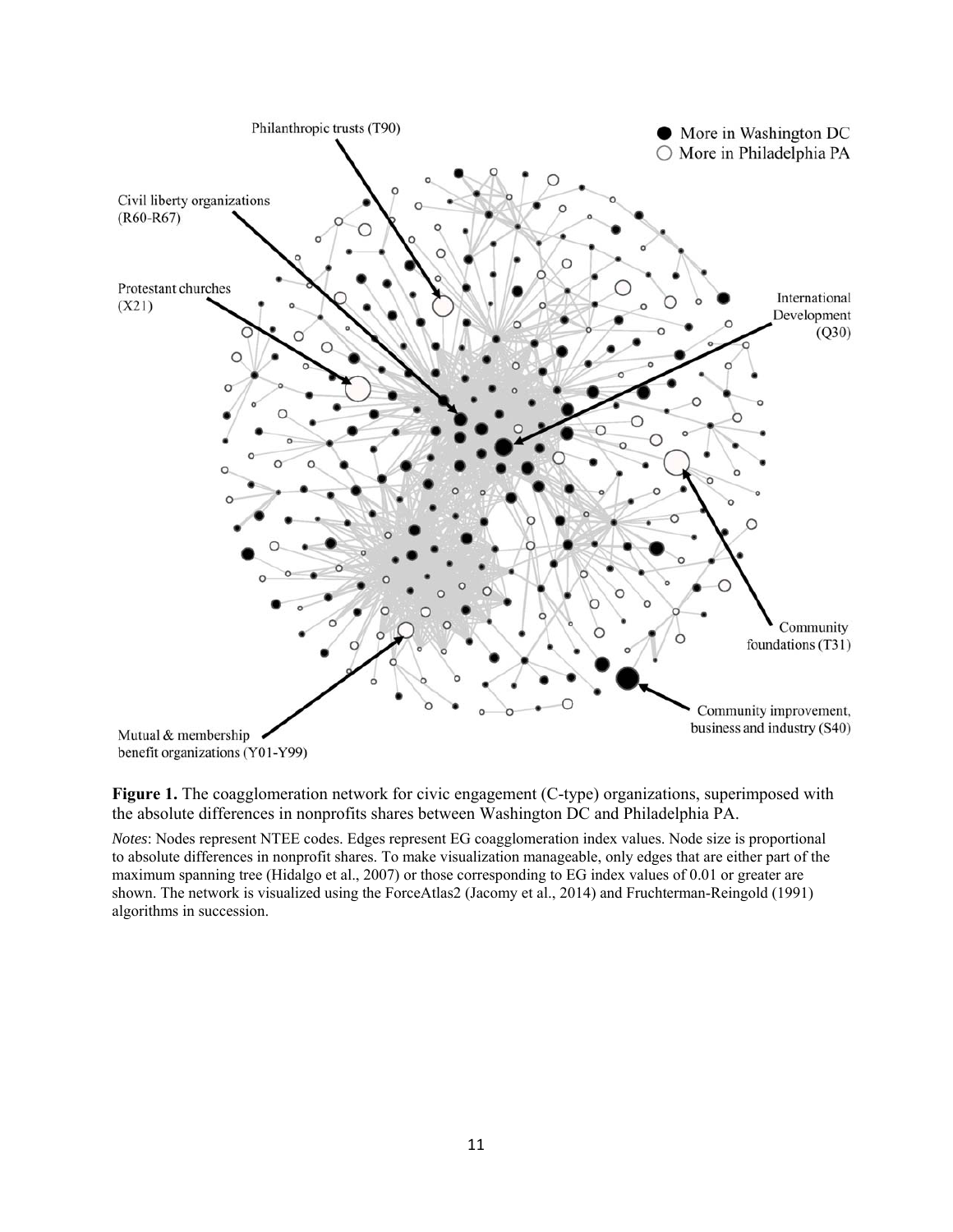

**Figure 1.** The coagglomeration network for civic engagement (C-type) organizations, superimposed with the absolute differences in nonprofits shares between Washington DC and Philadelphia PA.

 *Notes*: Nodes represent NTEE codes. Edges represent EG coagglomeration index values. Node size is proportional to absolute differences in nonprofit shares. To make visualization manageable, only edges that are either part of the maximum spanning tree (Hidalgo et al., 2007) or those corresponding to EG index values of 0.01 or greater are shown. The network is visualized using the ForceAtlas2 (Jacomy et al., 2014) and Fruchterman-Reingold (1991) algorithms in succession.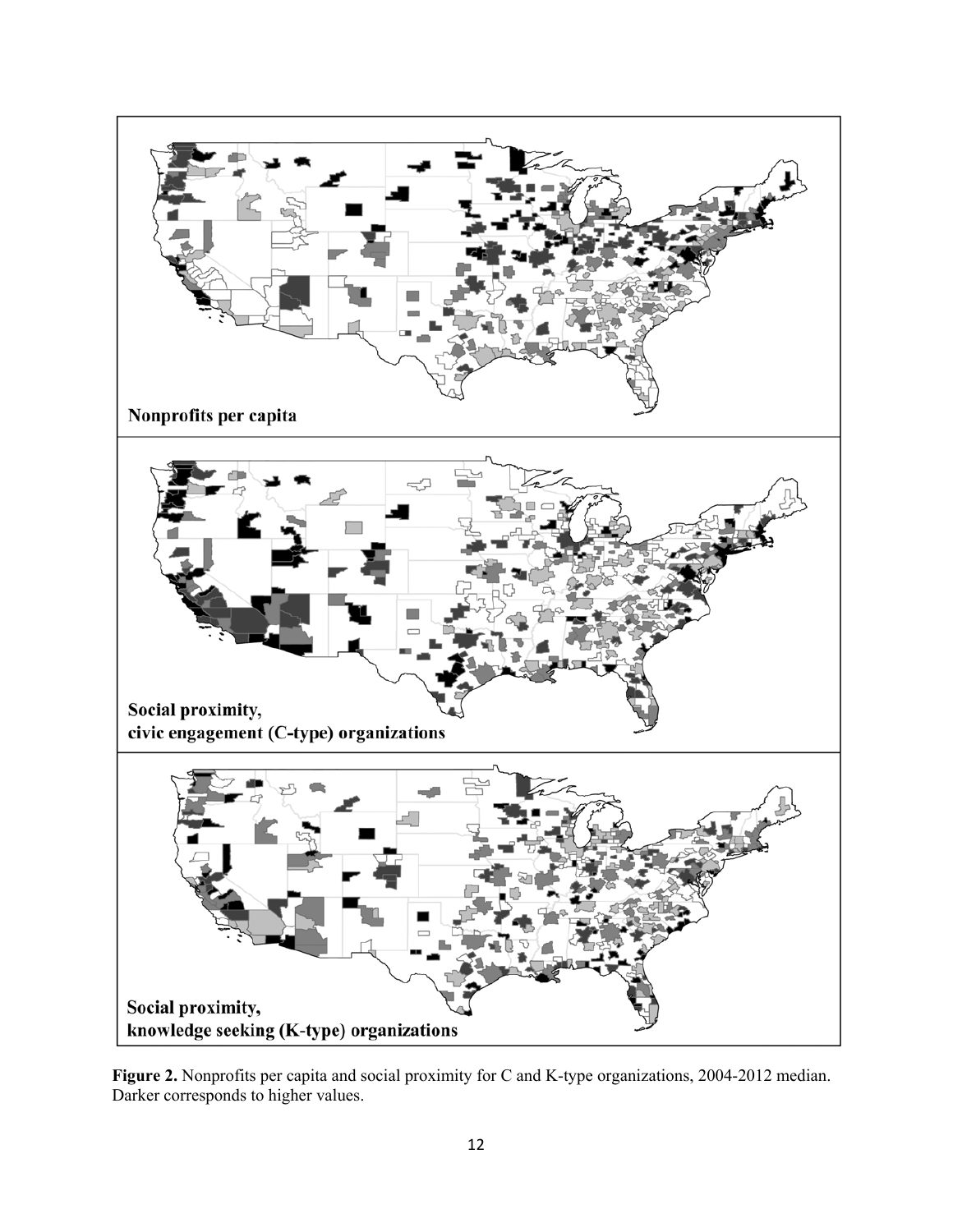

**Figure 2.** Nonprofits per capita and social proximity for C and K-type organizations, 2004-2012 median. Darker corresponds to higher values.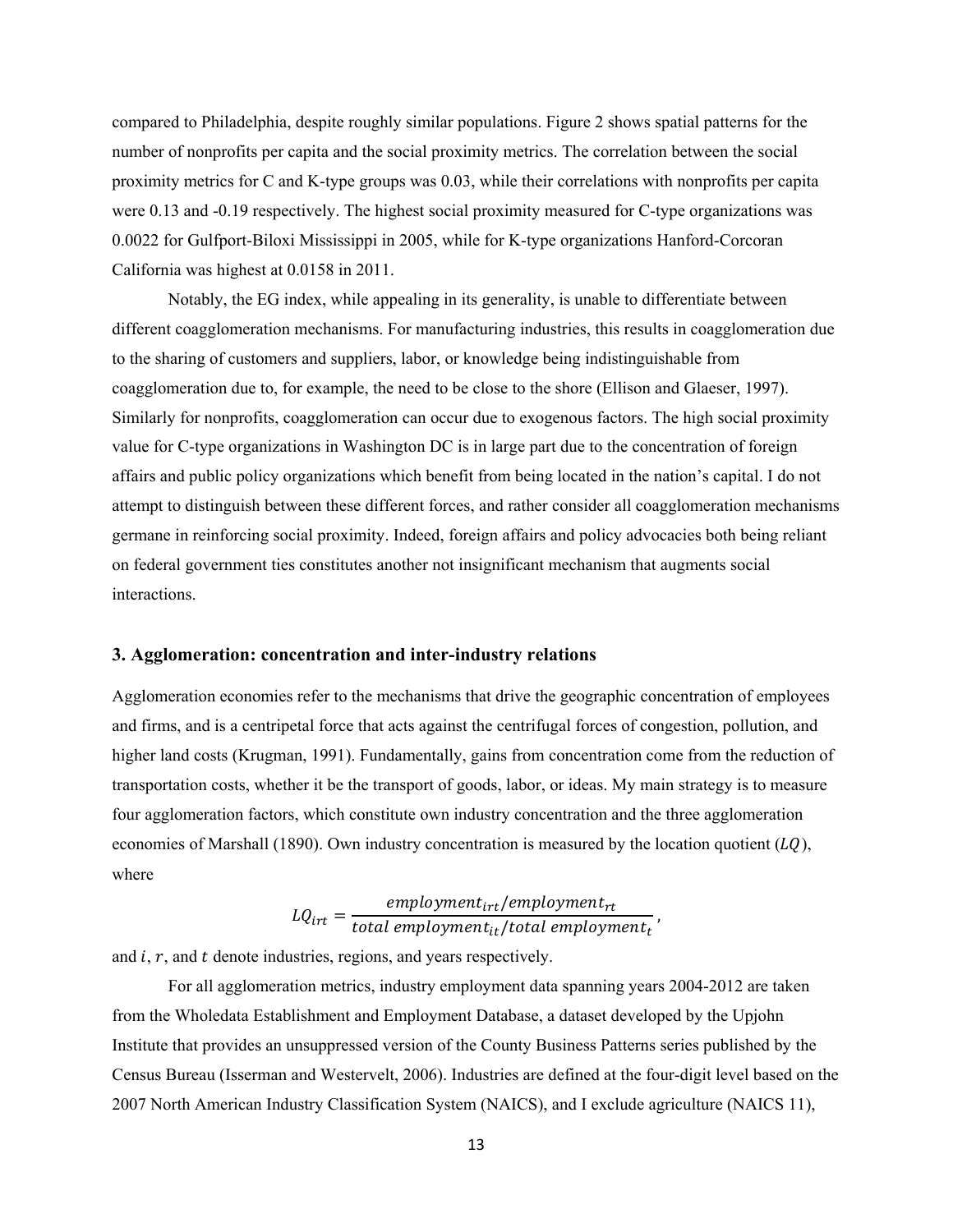compared to Philadelphia, despite roughly similar populations. Figure 2 shows spatial patterns for the number of nonprofits per capita and the social proximity metrics. The correlation between the social proximity metrics for C and K-type groups was 0.03, while their correlations with nonprofits per capita were 0.13 and -0.19 respectively. The highest social proximity measured for C-type organizations was 0.0022 for Gulfport-Biloxi Mississippi in 2005, while for K-type organizations Hanford-Corcoran California was highest at 0.0158 in 2011.

Notably, the EG index, while appealing in its generality, is unable to differentiate between different coagglomeration mechanisms. For manufacturing industries, this results in coagglomeration due to the sharing of customers and suppliers, labor, or knowledge being indistinguishable from coagglomeration due to, for example, the need to be close to the shore (Ellison and Glaeser, 1997). Similarly for nonprofits, coagglomeration can occur due to exogenous factors. The high social proximity value for C-type organizations in Washington DC is in large part due to the concentration of foreign affairs and public policy organizations which benefit from being located in the nation's capital. I do not attempt to distinguish between these different forces, and rather consider all coagglomeration mechanisms germane in reinforcing social proximity. Indeed, foreign affairs and policy advocacies both being reliant on federal government ties constitutes another not insignificant mechanism that augments social interactions.

# **3. Agglomeration: concentration and inter-industry relations**

Agglomeration economies refer to the mechanisms that drive the geographic concentration of employees and firms, and is a centripetal force that acts against the centrifugal forces of congestion, pollution, and higher land costs (Krugman, 1991). Fundamentally, gains from concentration come from the reduction of transportation costs, whether it be the transport of goods, labor, or ideas. My main strategy is to measure four agglomeration factors, which constitute own industry concentration and the three agglomeration economies of Marshall (1890). Own industry concentration is measured by the location quotient  $(LQ)$ , where

$$
LQ_{irt} = \frac{emplogment_{irt}/emplogment_{rt}}{total\,emplogment_{it}/total\,emplogment_{t}}\,,
$$

and  $i, r$ , and  $t$  denote industries, regions, and years respectively.

For all agglomeration metrics, industry employment data spanning years 2004-2012 are taken from the Wholedata Establishment and Employment Database, a dataset developed by the Upjohn Institute that provides an unsuppressed version of the County Business Patterns series published by the Census Bureau (Isserman and Westervelt, 2006). Industries are defined at the four-digit level based on the 2007 North American Industry Classification System (NAICS), and I exclude agriculture (NAICS 11),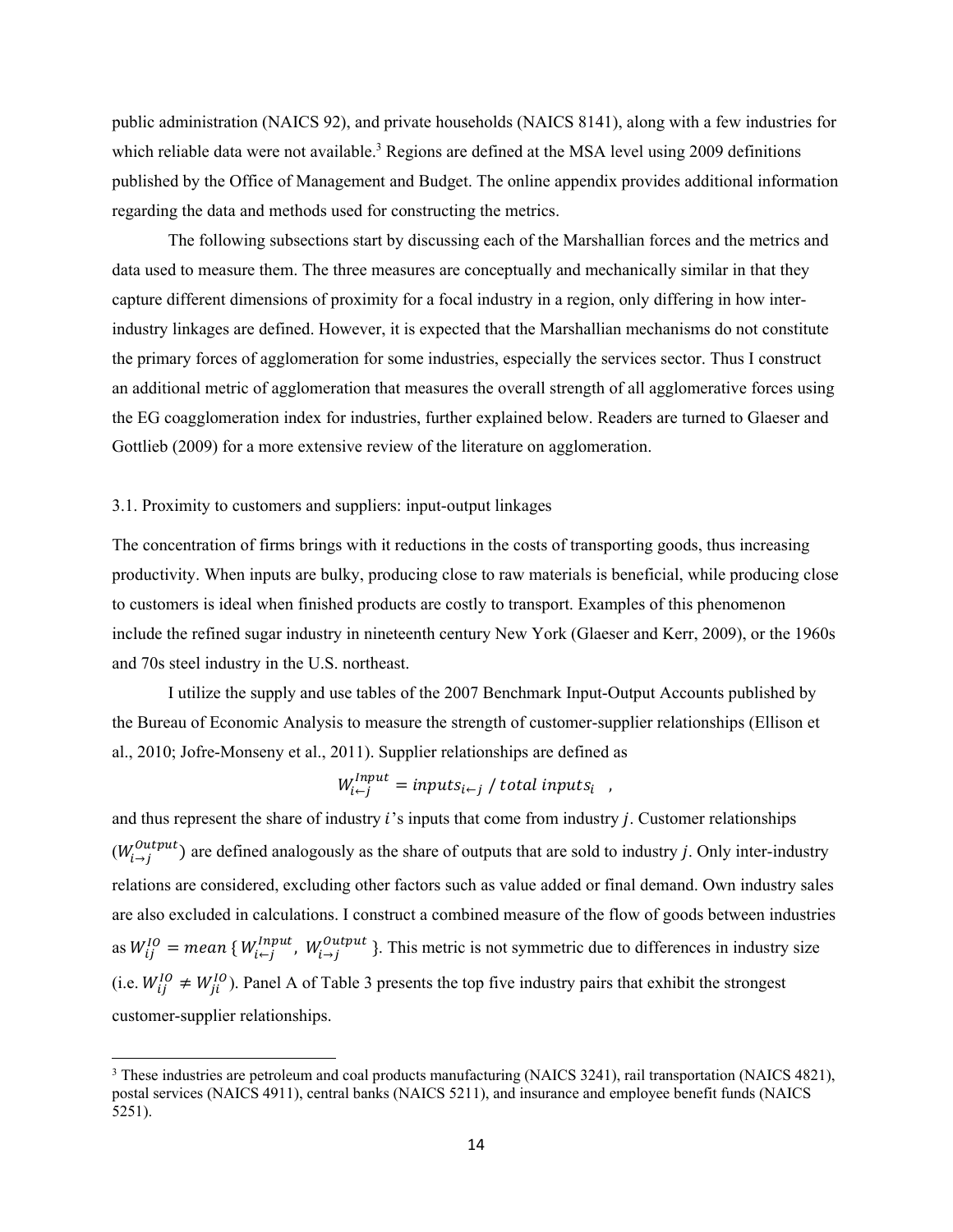public administration (NAICS 92), and private households (NAICS 8141), along with a few industries for which reliable data were not available.<sup>3</sup> Regions are defined at the MSA level using 2009 definitions published by the Office of Management and Budget. The online appendix provides additional information regarding the data and methods used for constructing the metrics.

The following subsections start by discussing each of the Marshallian forces and the metrics and data used to measure them. The three measures are conceptually and mechanically similar in that they capture different dimensions of proximity for a focal industry in a region, only differing in how interindustry linkages are defined. However, it is expected that the Marshallian mechanisms do not constitute the primary forces of agglomeration for some industries, especially the services sector. Thus I construct an additional metric of agglomeration that measures the overall strength of all agglomerative forces using the EG coagglomeration index for industries, further explained below. Readers are turned to Glaeser and Gottlieb (2009) for a more extensive review of the literature on agglomeration.

# 3.1. Proximity to customers and suppliers: input-output linkages

The concentration of firms brings with it reductions in the costs of transporting goods, thus increasing productivity. When inputs are bulky, producing close to raw materials is beneficial, while producing close to customers is ideal when finished products are costly to transport. Examples of this phenomenon include the refined sugar industry in nineteenth century New York (Glaeser and Kerr, 2009), or the 1960s and 70s steel industry in the U.S. northeast.

I utilize the supply and use tables of the 2007 Benchmark Input-Output Accounts published by the Bureau of Economic Analysis to measure the strength of customer-supplier relationships (Ellison et al., 2010; Jofre-Monseny et al., 2011). Supplier relationships are defined as

$$
W_{i \leftarrow j}^{Input} = inputs_{i \leftarrow j} / total inputs_{i} ,
$$

and thus represent the share of industry  $i$ 's inputs that come from industry  $j$ . Customer relationships as  $W_{ij}^{IO}$  = mean {  $W_{i \leftarrow j}^{Input}$ ,  $W_{i \rightarrow j}^{Output}$ }. This metric is not symmetric due to differences in industry size  $(W_{i\to i}^{Output})$  are defined analogously as the share of outputs that are sold to industry *j*. Only inter-industry relations are considered, excluding other factors such as value added or final demand. Own industry sales are also excluded in calculations. I construct a combined measure of the flow of goods between industries (i.e.  $W_{ij}^{IO} \neq W_{ji}^{IO}$ ). Panel A of Table 3 presents the top five industry pairs that exhibit the strongest customer-supplier relationships.

<sup>&</sup>lt;sup>3</sup> These industries are petroleum and coal products manufacturing (NAICS 3241), rail transportation (NAICS 4821), postal services (NAICS 4911), central banks (NAICS 5211), and insurance and employee benefit funds (NAICS 5251).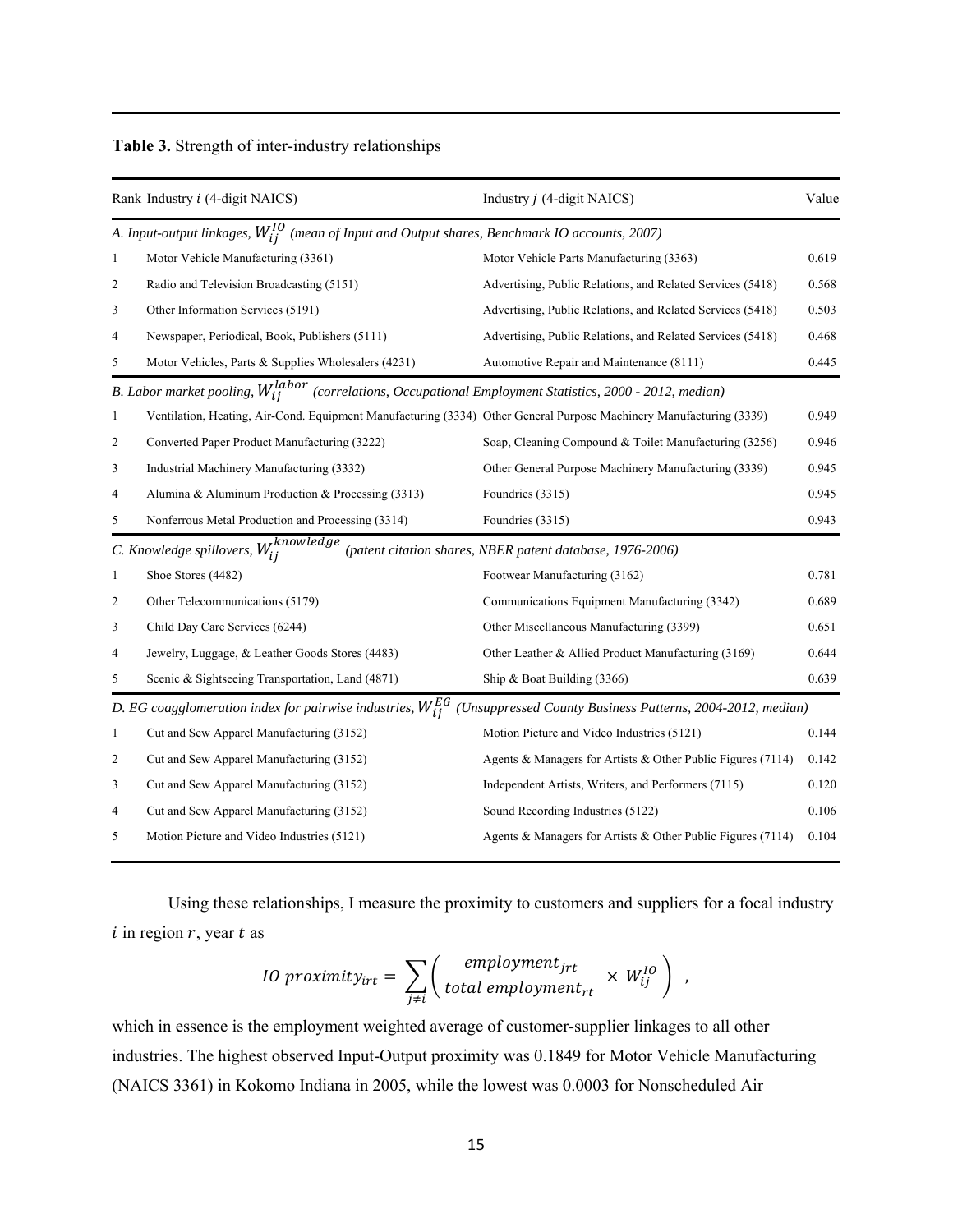|  |  | Table 3. Strength of inter-industry relationships |  |
|--|--|---------------------------------------------------|--|
|--|--|---------------------------------------------------|--|

|              | Rank Industry <i>i</i> (4-digit NAICS)                                                                              | Industry <i>j</i> (4-digit NAICS)                           | Value |
|--------------|---------------------------------------------------------------------------------------------------------------------|-------------------------------------------------------------|-------|
|              | A. Input-output linkages, $W_{ij}^{IO}$ (mean of Input and Output shares, Benchmark IO accounts, 2007)              |                                                             |       |
| $\mathbf{1}$ | Motor Vehicle Manufacturing (3361)                                                                                  | Motor Vehicle Parts Manufacturing (3363)                    | 0.619 |
| 2            | Radio and Television Broadcasting (5151)                                                                            | Advertising, Public Relations, and Related Services (5418)  | 0.568 |
| 3            | Other Information Services (5191)                                                                                   | Advertising, Public Relations, and Related Services (5418)  | 0.503 |
| 4            | Newspaper, Periodical, Book, Publishers (5111)                                                                      | Advertising, Public Relations, and Related Services (5418)  | 0.468 |
| 5            | Motor Vehicles, Parts & Supplies Wholesalers (4231)                                                                 | Automotive Repair and Maintenance (8111)                    | 0.445 |
|              | B. Labor market pooling, $W_{ij}^{labor}$ (correlations, Occupational Employment Statistics, 2000 - 2012, median)   |                                                             |       |
| $\mathbf{1}$ | Ventilation, Heating, Air-Cond. Equipment Manufacturing (3334) Other General Purpose Machinery Manufacturing (3339) |                                                             | 0.949 |
| 2            | Converted Paper Product Manufacturing (3222)                                                                        | Soap, Cleaning Compound & Toilet Manufacturing (3256)       | 0.946 |
| 3            | Industrial Machinery Manufacturing (3332)                                                                           | Other General Purpose Machinery Manufacturing (3339)        | 0.945 |
| 4            | Alumina & Aluminum Production & Processing (3313)                                                                   | Foundries (3315)                                            | 0.945 |
| 5            | Nonferrous Metal Production and Processing (3314)                                                                   | Foundries (3315)                                            | 0.943 |
|              | C. Knowledge spillovers, $W_{ij}^{knowledge}$                                                                       | (patent citation shares, NBER patent database, 1976-2006)   |       |
| $\mathbf{1}$ | Shoe Stores (4482)                                                                                                  | Footwear Manufacturing (3162)                               | 0.781 |
| 2            | Other Telecommunications (5179)                                                                                     | Communications Equipment Manufacturing (3342)               | 0.689 |
| 3            | Child Day Care Services (6244)                                                                                      | Other Miscellaneous Manufacturing (3399)                    | 0.651 |
| 4            | Jewelry, Luggage, & Leather Goods Stores (4483)                                                                     | Other Leather & Allied Product Manufacturing (3169)         | 0.644 |
| 5            | Scenic & Sightseeing Transportation, Land (4871)                                                                    | Ship & Boat Building (3366)                                 | 0.639 |
|              | D. EG coagglomeration index for pairwise industries, $W_{ij}^{EG}$                                                  | (Unsuppressed County Business Patterns, 2004-2012, median)  |       |
| 1            | Cut and Sew Apparel Manufacturing (3152)                                                                            | Motion Picture and Video Industries (5121)                  | 0.144 |
| 2            | Cut and Sew Apparel Manufacturing (3152)                                                                            | Agents & Managers for Artists & Other Public Figures (7114) | 0.142 |
| 3            | Cut and Sew Apparel Manufacturing (3152)                                                                            | Independent Artists, Writers, and Performers (7115)         | 0.120 |
| 4            | Cut and Sew Apparel Manufacturing (3152)                                                                            | Sound Recording Industries (5122)                           | 0.106 |
| 5            | Motion Picture and Video Industries (5121)                                                                          | Agents & Managers for Artists & Other Public Figures (7114) | 0.104 |

Using these relationships, I measure the proximity to customers and suppliers for a focal industry  $i$  in region  $r$ , year  $t$  as

*10 proximity<sub>irt</sub>* = 
$$
\sum_{j \neq i} \left( \frac{employment_{jrt}}{total employment_{rt}} \times W_{ij}^{IO} \right) ,
$$

which in essence is the employment weighted average of customer-supplier linkages to all other industries. The highest observed Input-Output proximity was 0.1849 for Motor Vehicle Manufacturing (NAICS 3361) in Kokomo Indiana in 2005, while the lowest was 0.0003 for Nonscheduled Air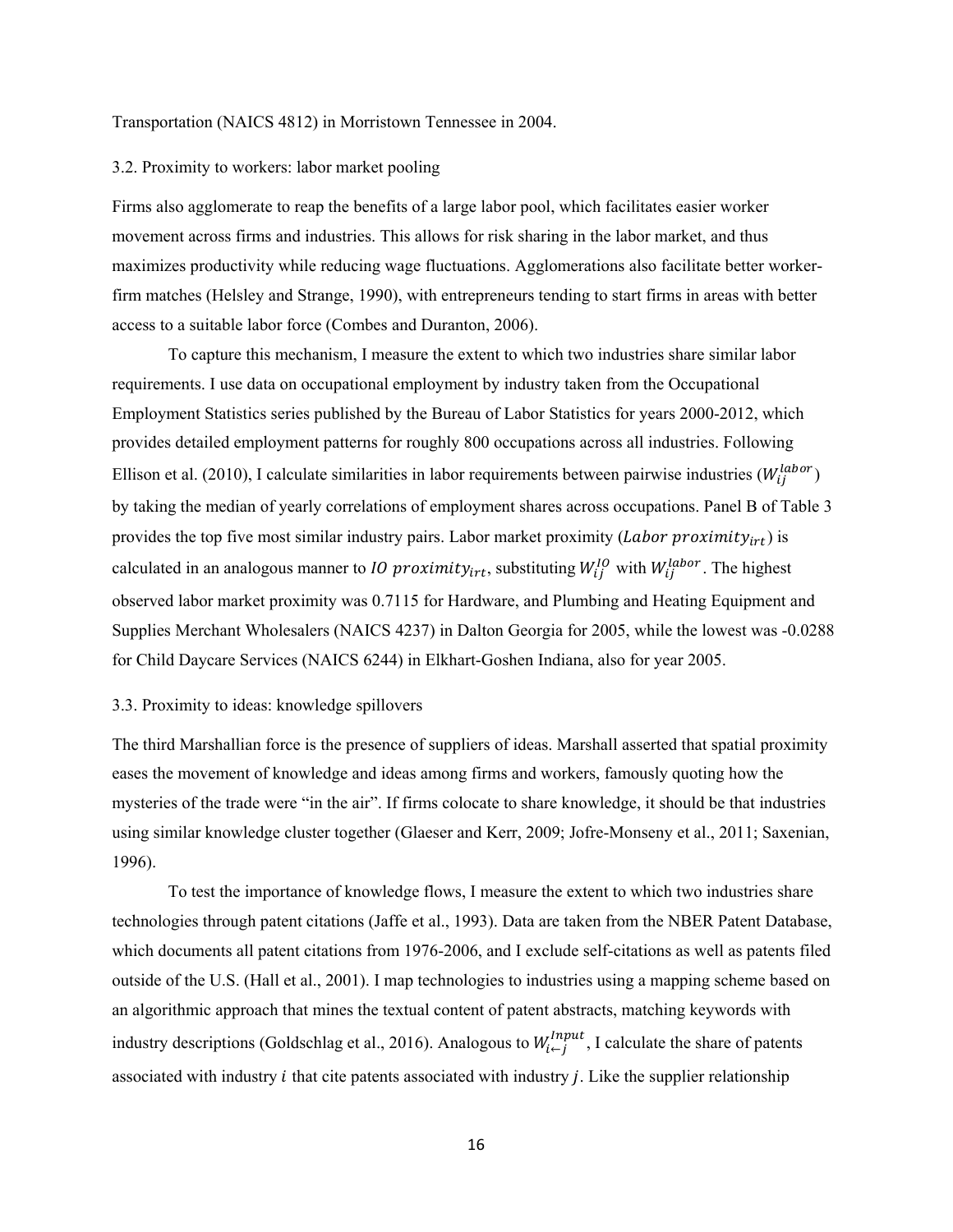Transportation (NAICS 4812) in Morristown Tennessee in 2004.

#### 3.2. Proximity to workers: labor market pooling

Firms also agglomerate to reap the benefits of a large labor pool, which facilitates easier worker movement across firms and industries. This allows for risk sharing in the labor market, and thus maximizes productivity while reducing wage fluctuations. Agglomerations also facilitate better workerfirm matches (Helsley and Strange, 1990), with entrepreneurs tending to start firms in areas with better access to a suitable labor force (Combes and Duranton, 2006).

To capture this mechanism, I measure the extent to which two industries share similar labor requirements. I use data on occupational employment by industry taken from the Occupational Employment Statistics series published by the Bureau of Labor Statistics for years 2000-2012, which provides detailed employment patterns for roughly 800 occupations across all industries. Following Ellison et al. (2010), I calculate similarities in labor requirements between pairwise industries ( $W_{ij}^{labor}$ ) by taking the median of yearly correlations of employment shares across occupations. Panel B of Table 3 provides the top five most similar industry pairs. Labor market proximity (*Labor proximity<sub>irt</sub>*) is calculated in an analogous manner to *10 proximity<sub>irt</sub>*, substituting  $W_{ij}^{IO}$  with  $W_{ij}^{labor}$ . The highest observed labor market proximity was 0.7115 for Hardware, and Plumbing and Heating Equipment and Supplies Merchant Wholesalers (NAICS 4237) in Dalton Georgia for 2005, while the lowest was -0.0288 for Child Daycare Services (NAICS 6244) in Elkhart-Goshen Indiana, also for year 2005.

# 3.3. Proximity to ideas: knowledge spillovers

 1996). The third Marshallian force is the presence of suppliers of ideas. Marshall asserted that spatial proximity eases the movement of knowledge and ideas among firms and workers, famously quoting how the mysteries of the trade were "in the air". If firms colocate to share knowledge, it should be that industries using similar knowledge cluster together (Glaeser and Kerr, 2009; Jofre-Monseny et al., 2011; Saxenian,

To test the importance of knowledge flows, I measure the extent to which two industries share technologies through patent citations (Jaffe et al., 1993). Data are taken from the NBER Patent Database, which documents all patent citations from 1976-2006, and I exclude self-citations as well as patents filed outside of the U.S. (Hall et al., 2001). I map technologies to industries using a mapping scheme based on an algorithmic approach that mines the textual content of patent abstracts, matching keywords with industry descriptions (Goldschlag et al., 2016). Analogous to  $W_{i \leftarrow j}^{Input}$ , I calculate the share of patents associated with industry  $i$  that cite patents associated with industry  $j$ . Like the supplier relationship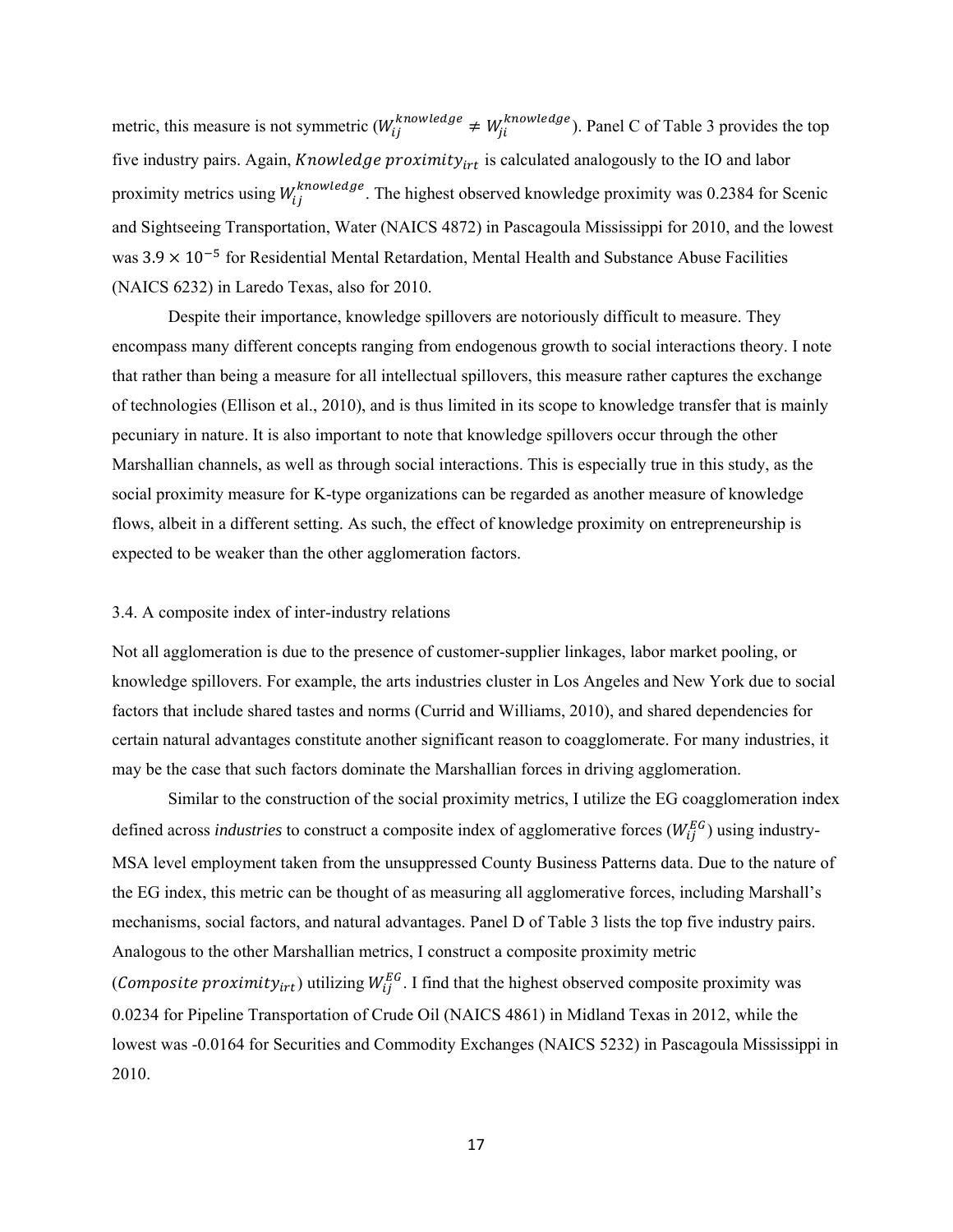metric, this measure is not symmetric  $(W_{ij}^{knowledge} \neq W_{ji}^{knowledge})$ . Panel C of Table 3 provides the top five industry pairs. Again, Knowledge proximity<sub>irt</sub> is calculated analogously to the IO and labor proximity metrics using  $W_{ij}^{knowledge}$ . The highest observed knowledge proximity was 0.2384 for Scenic and Sightseeing Transportation, Water (NAICS 4872) in Pascagoula Mississippi for 2010, and the lowest was  $3.9 \times 10^{-5}$  for Residential Mental Retardation, Mental Health and Substance Abuse Facilities (NAICS 6232) in Laredo Texas, also for 2010.

 pecuniary in nature. It is also important to note that knowledge spillovers occur through the other Despite their importance, knowledge spillovers are notoriously difficult to measure. They encompass many different concepts ranging from endogenous growth to social interactions theory. I note that rather than being a measure for all intellectual spillovers, this measure rather captures the exchange of technologies (Ellison et al., 2010), and is thus limited in its scope to knowledge transfer that is mainly Marshallian channels, as well as through social interactions. This is especially true in this study, as the social proximity measure for K-type organizations can be regarded as another measure of knowledge flows, albeit in a different setting. As such, the effect of knowledge proximity on entrepreneurship is expected to be weaker than the other agglomeration factors.

#### 3.4. A composite index of inter-industry relations

Not all agglomeration is due to the presence of customer-supplier linkages, labor market pooling, or knowledge spillovers. For example, the arts industries cluster in Los Angeles and New York due to social factors that include shared tastes and norms (Currid and Williams, 2010), and shared dependencies for certain natural advantages constitute another significant reason to coagglomerate. For many industries, it may be the case that such factors dominate the Marshallian forces in driving agglomeration.

Similar to the construction of the social proximity metrics, I utilize the EG coagglomeration index defined across *industries* to construct a composite index of agglomerative forces  $(W_{ij}^{EG})$  using industry-MSA level employment taken from the unsuppressed County Business Patterns data. Due to the nature of the EG index, this metric can be thought of as measuring all agglomerative forces, including Marshall's mechanisms, social factors, and natural advantages. Panel D of Table 3 lists the top five industry pairs. Analogous to the other Marshallian metrics, I construct a composite proximity metric (Composite proximity<sub>irt</sub>) utilizing  $W_{ij}^{EG}$ . I find that the highest observed composite proximity was 0.0234 for Pipeline Transportation of Crude Oil (NAICS 4861) in Midland Texas in 2012, while the lowest was -0.0164 for Securities and Commodity Exchanges (NAICS 5232) in Pascagoula Mississippi in 2010.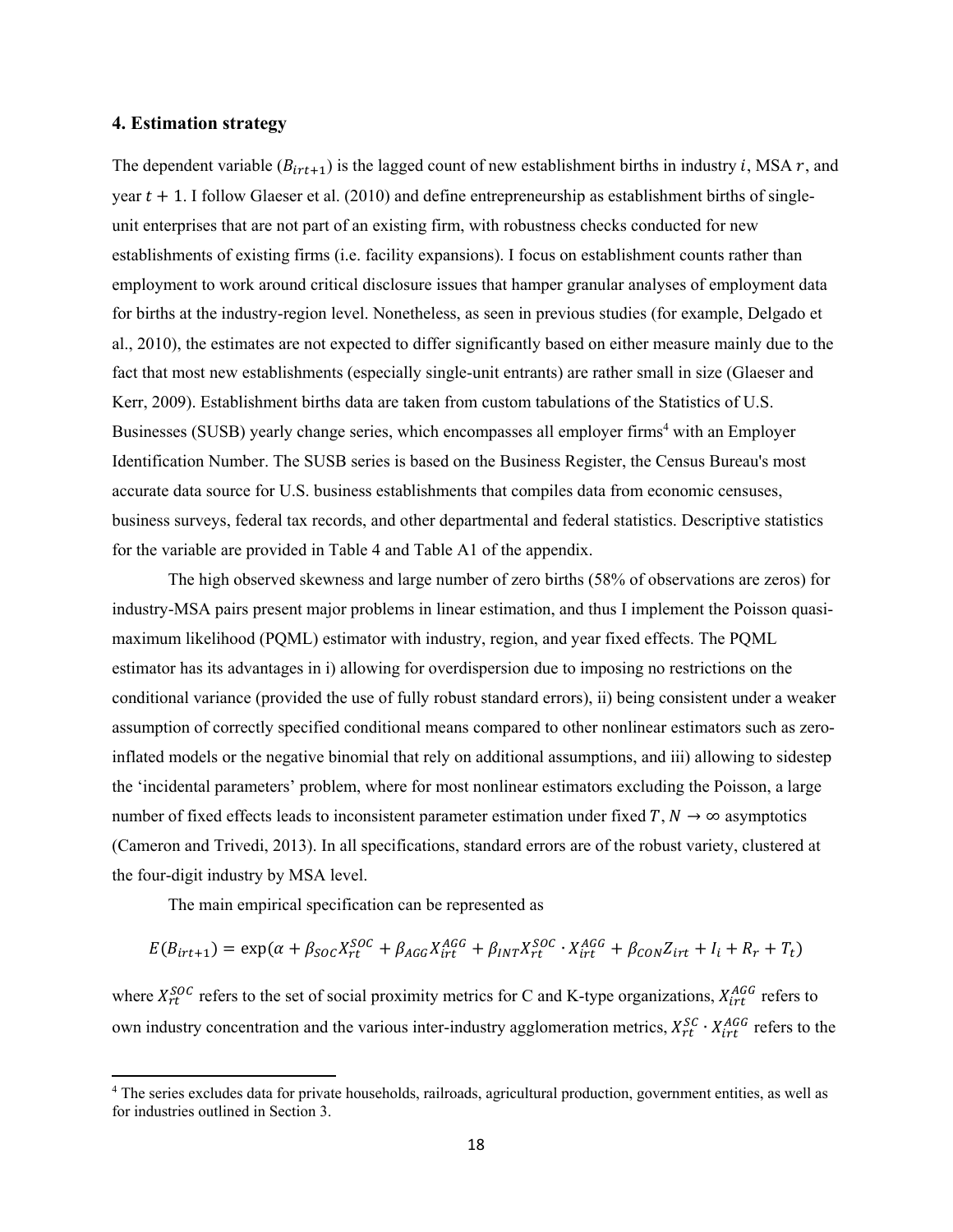# **4. Estimation strategy**

The dependent variable ( $B_{irt+1}$ ) is the lagged count of new establishment births in industry *i*, MSA *r*, and year  $t + 1$ . I follow Glaeser et al. (2010) and define entrepreneurship as establishment births of singleunit enterprises that are not part of an existing firm, with robustness checks conducted for new establishments of existing firms (i.e. facility expansions). I focus on establishment counts rather than employment to work around critical disclosure issues that hamper granular analyses of employment data for births at the industry-region level. Nonetheless, as seen in previous studies (for example, Delgado et al., 2010), the estimates are not expected to differ significantly based on either measure mainly due to the fact that most new establishments (especially single-unit entrants) are rather small in size (Glaeser and Kerr, 2009). Establishment births data are taken from custom tabulations of the Statistics of U.S. Businesses (SUSB) yearly change series, which encompasses all employer firms<sup>4</sup> with an Employer Identification Number. The SUSB series is based on the Business Register, the Census Bureau's most accurate data source for U.S. business establishments that compiles data from economic censuses, business surveys, federal tax records, and other departmental and federal statistics. Descriptive statistics for the variable are provided in Table 4 and Table A1 of the appendix.

 the four-digit industry by MSA level. The high observed skewness and large number of zero births (58% of observations are zeros) for industry-MSA pairs present major problems in linear estimation, and thus I implement the Poisson quasimaximum likelihood (PQML) estimator with industry, region, and year fixed effects. The PQML estimator has its advantages in i) allowing for overdispersion due to imposing no restrictions on the conditional variance (provided the use of fully robust standard errors), ii) being consistent under a weaker assumption of correctly specified conditional means compared to other nonlinear estimators such as zeroinflated models or the negative binomial that rely on additional assumptions, and iii) allowing to sidestep the 'incidental parameters' problem, where for most nonlinear estimators excluding the Poisson, a large number of fixed effects leads to inconsistent parameter estimation under fixed  $T$ ,  $N \to \infty$  asymptotics (Cameron and Trivedi, 2013). In all specifications, standard errors are of the robust variety, clustered at

The main empirical specification can be represented as

$$
E(B_{irt+1}) = \exp(\alpha + \beta_{SOC} X_{rt}^{SOC} + \beta_{AGG} X_{irt}^{AGG} + \beta_{INT} X_{rt}^{SOC} \cdot X_{irt}^{AGG} + \beta_{CON} Z_{irt} + I_i + R_r + T_t)
$$

where  $X_{rt}^{SOC}$  refers to the set of social proximity metrics for C and K-type organizations,  $X_{irt}^{AGG}$  refers to own industry concentration and the various inter-industry agglomeration metrics,  $X_{rt}^{SC} \cdot X_{irt}^{AGG}$  refers to the

 4 The series excludes data for private households, railroads, agricultural production, government entities, as well as for industries outlined in Section 3.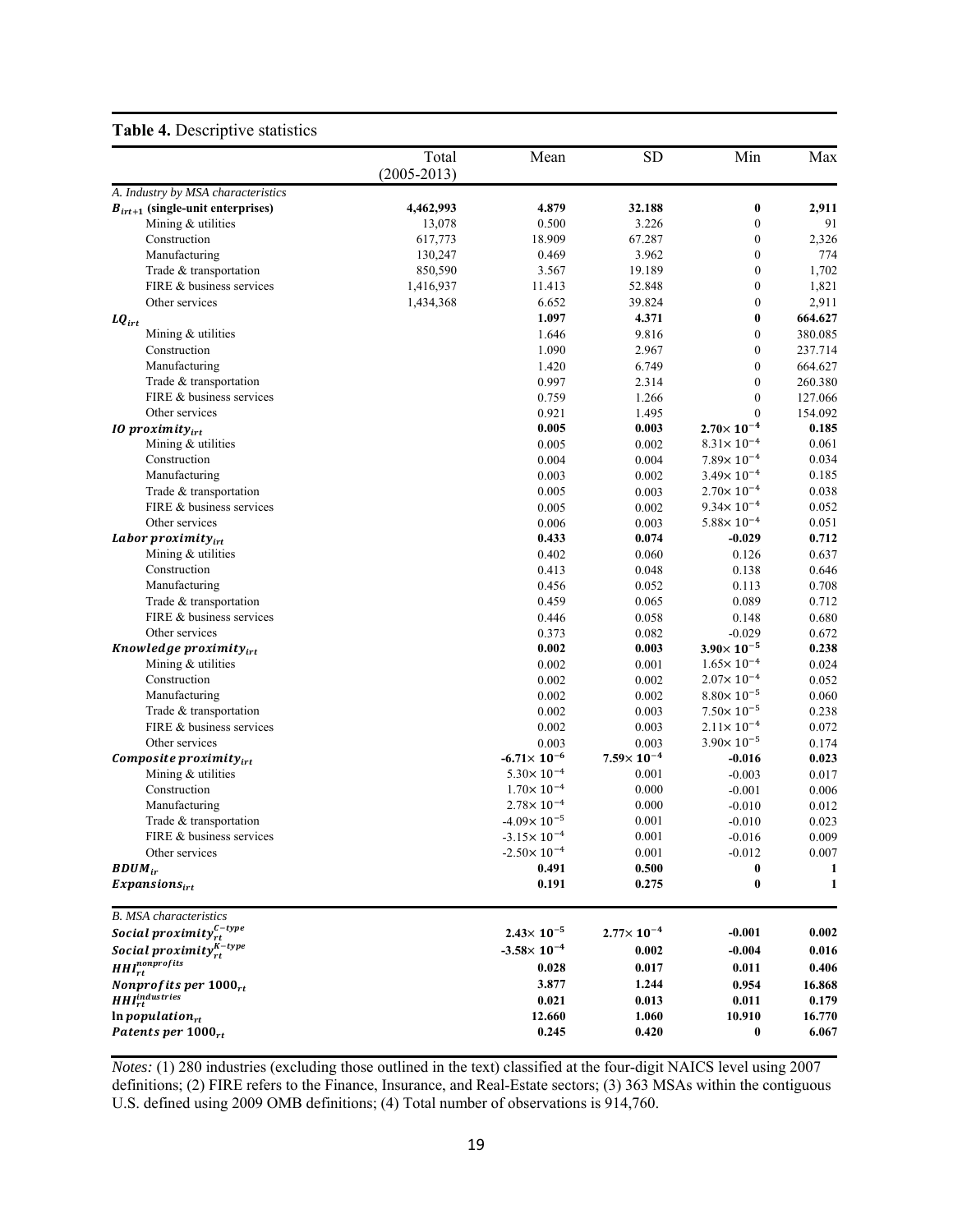# **Table 4.** Descriptive statistics

| ÷                                                                     |                   |                        |                       |                                      |                 |
|-----------------------------------------------------------------------|-------------------|------------------------|-----------------------|--------------------------------------|-----------------|
|                                                                       | Total             | Mean                   | <b>SD</b>             | Min                                  | Max             |
|                                                                       | $(2005 - 2013)$   |                        |                       |                                      |                 |
| A. Industry by MSA characteristics                                    |                   |                        |                       |                                      |                 |
| $B_{irt+1}$ (single-unit enterprises)                                 | 4,462,993         | 4.879                  | 32.188                | $\bf{0}$                             | 2,911           |
| Mining & utilities<br>Construction                                    | 13,078<br>617,773 | 0.500<br>18.909        | 3.226<br>67.287       | $\boldsymbol{0}$<br>$\boldsymbol{0}$ | 91<br>2,326     |
| Manufacturing                                                         | 130,247           | 0.469                  | 3.962                 | $\boldsymbol{0}$                     | 774             |
| Trade & transportation                                                | 850,590           | 3.567                  | 19.189                | $\boldsymbol{0}$                     | 1,702           |
| FIRE & business services                                              | 1,416,937         | 11.413                 | 52.848                | $\boldsymbol{0}$                     | 1,821           |
| Other services                                                        | 1,434,368         | 6.652                  | 39.824                | $\boldsymbol{0}$                     | 2,911           |
|                                                                       |                   | 1.097                  | 4.371                 | 0                                    | 664.627         |
| $\textit{LQ}_{irt}$<br>Mining & utilities                             |                   | 1.646                  | 9.816                 | 0                                    | 380.085         |
| Construction                                                          |                   | 1.090                  | 2.967                 | $\mathbf{0}$                         | 237.714         |
| Manufacturing                                                         |                   | 1.420                  | 6.749                 | $\mathbf{0}$                         | 664.627         |
| Trade & transportation                                                |                   | 0.997                  | 2.314                 | $\boldsymbol{0}$                     | 260.380         |
| FIRE & business services                                              |                   | 0.759                  | 1.266                 | $\boldsymbol{0}$                     | 127.066         |
| Other services                                                        |                   | 0.921                  | 1.495                 | $\overline{0}$                       | 154.092         |
| $10$ proximity $_{irt}$                                               |                   | 0.005                  | 0.003                 | $2.70\times 10^{-4}$                 | 0.185           |
| Mining & utilities                                                    |                   | 0.005                  | 0.002                 | $8.31 \times 10^{-4}$                | 0.061           |
| Construction                                                          |                   | 0.004                  | 0.004                 | $7.89 \times 10^{-4}$                | 0.034           |
| Manufacturing                                                         |                   | 0.003                  | 0.002                 | $3.49 \times 10^{-4}$                | 0.185           |
| Trade & transportation                                                |                   | 0.005                  | 0.003                 | $2.70 \times 10^{-4}$                | 0.038           |
| FIRE & business services                                              |                   | 0.005                  | 0.002                 | $9.34 \times 10^{-4}$                | 0.052           |
| Other services                                                        |                   | 0.006                  | 0.003                 | $5.88 \times 10^{-4}$                | 0.051           |
| Labor proximity $_{irt}$                                              |                   | 0.433                  | 0.074                 | $-0.029$                             | 0.712           |
| Mining & utilities                                                    |                   | 0.402                  | 0.060                 | 0.126                                | 0.637           |
| Construction                                                          |                   | 0.413                  | 0.048                 | 0.138                                | 0.646           |
| Manufacturing                                                         |                   | 0.456                  | 0.052                 | 0.113                                | 0.708           |
| Trade & transportation                                                |                   | 0.459                  | 0.065                 | 0.089                                | 0.712           |
| FIRE & business services                                              |                   | 0.446                  | 0.058                 | 0.148                                | 0.680           |
| Other services                                                        |                   | 0.373                  | 0.082                 | $-0.029$                             | 0.672           |
| Knowledge proximity <sub>irt</sub>                                    |                   | 0.002                  | 0.003                 | $3.90\times 10^{-5}$                 | 0.238           |
| Mining & utilities                                                    |                   | 0.002                  | 0.001                 | $1.65 \times 10^{-4}$                | 0.024           |
| Construction                                                          |                   | 0.002                  | 0.002                 | $2.07 \times 10^{-4}$                | 0.052           |
| Manufacturing                                                         |                   | 0.002                  | 0.002                 | $8.80 \times 10^{-5}$                | 0.060           |
| Trade & transportation                                                |                   | 0.002                  | 0.003                 | $7.50 \times 10^{-5}$                | 0.238           |
| FIRE & business services                                              |                   | 0.002                  | 0.003                 | $2.11 \times 10^{-4}$                | 0.072           |
| Other services                                                        |                   | 0.003                  | 0.003                 | $3.90 \times 10^{-5}$                | 0.174           |
| Composite proximity $_{irt}$                                          |                   | $-6.71 \times 10^{-6}$ | $7.59\times 10^{-4}$  | $-0.016$                             | 0.023           |
| Mining & utilities                                                    |                   | $5.30 \times 10^{-4}$  | 0.001                 | $-0.003$                             | 0.017           |
| Construction                                                          |                   | $1.70 \times 10^{-4}$  | 0.000                 | $-0.001$                             | 0.006           |
| Manufacturing                                                         |                   | $2.78 \times 10^{-4}$  | 0.000                 | $-0.010$                             | 0.012           |
| Trade & transportation                                                |                   | $-4.09 \times 10^{-5}$ | 0.001                 | $-0.010$                             | 0.023           |
| FIRE & business services                                              |                   | $-3.15 \times 10^{-4}$ | 0.001                 | $-0.016$                             | 0.009           |
| Other services                                                        |                   | $-2.50 \times 10^{-4}$ | 0.001                 | $-0.012$                             | 0.007           |
| $BDUM_{ir}$                                                           |                   | 0.491                  | 0.500                 | $\boldsymbol{0}$                     | 1               |
| $Expansions_{irt}$                                                    |                   | 0.191                  | 0.275                 | $\bf{0}$                             | 1               |
| <b>B.</b> MSA characteristics                                         |                   |                        |                       |                                      |                 |
| Social proximity $_{rt}^{\mathcal{C}-type}$                           |                   | $2.43 \times 10^{-5}$  | $2.77 \times 10^{-4}$ | $-0.001$                             | 0.002           |
| Social proximity $_{rt}^{K-type}$                                     |                   | $-3.58 \times 10^{-4}$ | 0.002                 | $-0.004$                             | 0.016           |
| $HHI^{nonprofits}_{rt}$                                               |                   | 0.028                  | 0.017                 | 0.011                                | 0.406           |
|                                                                       |                   | 3.877                  | 1.244                 | 0.954                                |                 |
| Nonprofits per $1000_{rt}$<br>HHI <sub>rt</sub> <sup>industries</sup> |                   | 0.021                  | 0.013                 | 0.011                                | 16.868<br>0.179 |
| $ln$ population <sub>rt</sub>                                         |                   | 12.660                 | 1.060                 | 10.910                               | 16.770          |
| Patents per $1000_{rt}$                                               |                   | 0.245                  | 0.420                 | $\bf{0}$                             | 6.067           |
|                                                                       |                   |                        |                       |                                      |                 |

 definitions; (2) FIRE refers to the Finance, Insurance, and Real-Estate sectors; (3) 363 MSAs within the contiguous U.S. defined using 2009 OMB definitions; (4) Total number of observations is 914,760. *Notes:* (1) 280 industries (excluding those outlined in the text) classified at the four-digit NAICS level using 2007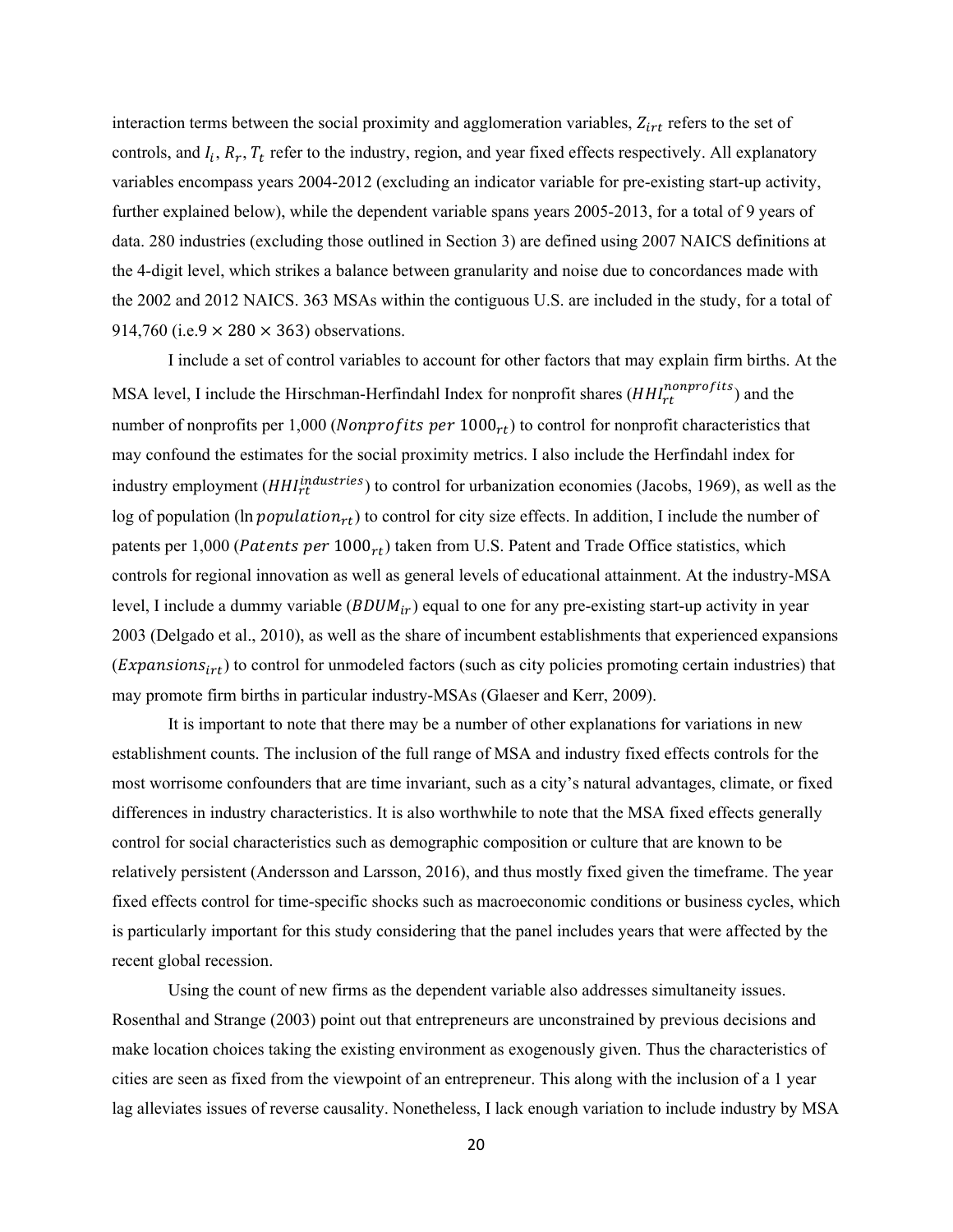914,760 (i.e.9  $\times$  280  $\times$  363) observations. interaction terms between the social proximity and agglomeration variables,  $Z_{irt}$  refers to the set of controls, and  $I_i$ ,  $R_r$ ,  $T_t$  refer to the industry, region, and year fixed effects respectively. All explanatory variables encompass years 2004-2012 (excluding an indicator variable for pre-existing start-up activity, further explained below), while the dependent variable spans years 2005-2013, for a total of 9 years of data. 280 industries (excluding those outlined in Section 3) are defined using 2007 NAICS definitions at the 4-digit level, which strikes a balance between granularity and noise due to concordances made with the 2002 and 2012 NAICS. 363 MSAs within the contiguous U.S. are included in the study, for a total of

patents per 1,000 (Patents per  $1000_{rt}$ ) taken from U.S. Patent and Trade Office statistics, which I include a set of control variables to account for other factors that may explain firm births. At the MSA level, I include the Hirschman-Herfindahl Index for nonprofit shares  $(HHI^{nonprofits}_{rt})$  and the number of nonprofits per 1,000 (*Nonprofits per*  $1000_{rt}$ ) to control for nonprofit characteristics that may confound the estimates for the social proximity metrics. I also include the Herfindahl index for industry employment ( $HHI<sub>rt</sub><sup>industries</sup>$ ) to control for urbanization economies (Jacobs, 1969), as well as the log of population (ln population<sub>rt</sub>) to control for city size effects. In addition, I include the number of controls for regional innovation as well as general levels of educational attainment. At the industry-MSA level, I include a dummy variable  $(BDUM_{ir})$  equal to one for any pre-existing start-up activity in year 2003 (Delgado et al., 2010), as well as the share of incumbent establishments that experienced expansions (Expansions $_{irt}$ ) to control for unmodeled factors (such as city policies promoting certain industries) that may promote firm births in particular industry-MSAs (Glaeser and Kerr, 2009).

It is important to note that there may be a number of other explanations for variations in new establishment counts. The inclusion of the full range of MSA and industry fixed effects controls for the most worrisome confounders that are time invariant, such as a city's natural advantages, climate, or fixed differences in industry characteristics. It is also worthwhile to note that the MSA fixed effects generally control for social characteristics such as demographic composition or culture that are known to be relatively persistent (Andersson and Larsson, 2016), and thus mostly fixed given the timeframe. The year fixed effects control for time-specific shocks such as macroeconomic conditions or business cycles, which is particularly important for this study considering that the panel includes years that were affected by the recent global recession.

Using the count of new firms as the dependent variable also addresses simultaneity issues. Rosenthal and Strange (2003) point out that entrepreneurs are unconstrained by previous decisions and make location choices taking the existing environment as exogenously given. Thus the characteristics of cities are seen as fixed from the viewpoint of an entrepreneur. This along with the inclusion of a 1 year lag alleviates issues of reverse causality. Nonetheless, I lack enough variation to include industry by MSA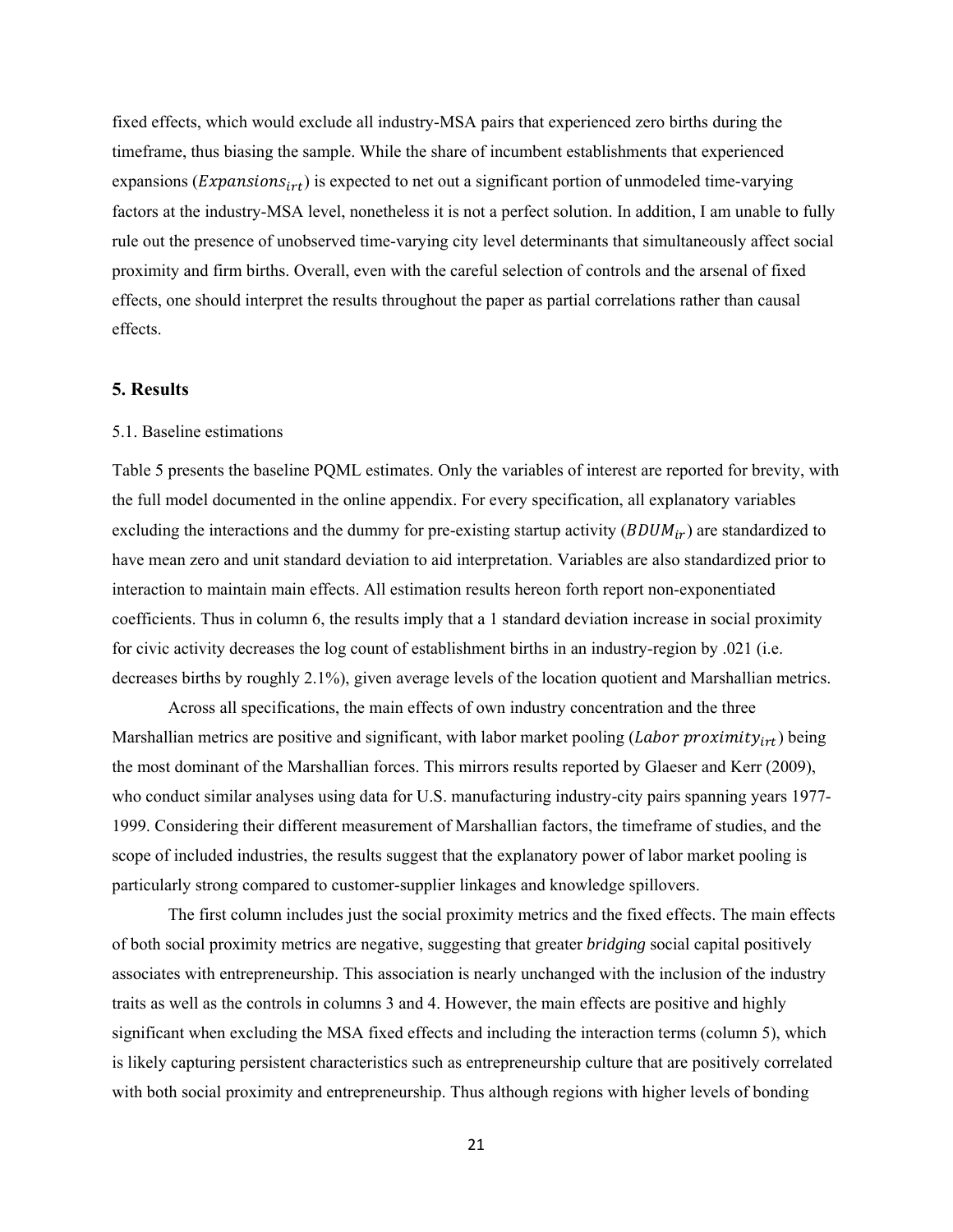fixed effects, which would exclude all industry-MSA pairs that experienced zero births during the timeframe, thus biasing the sample. While the share of incumbent establishments that experienced expansions ( $Expansions_{irt}$ ) is expected to net out a significant portion of unmodeled time-varying factors at the industry-MSA level, nonetheless it is not a perfect solution. In addition, I am unable to fully rule out the presence of unobserved time-varying city level determinants that simultaneously affect social proximity and firm births. Overall, even with the careful selection of controls and the arsenal of fixed effects, one should interpret the results throughout the paper as partial correlations rather than causal effects.

# **5. Results**

# 5.1. Baseline estimations

 decreases births by roughly 2.1%), given average levels of the location quotient and Marshallian metrics. Table 5 presents the baseline PQML estimates. Only the variables of interest are reported for brevity, with the full model documented in the online appendix. For every specification, all explanatory variables excluding the interactions and the dummy for pre-existing startup activity  $(BDUM_{ir})$  are standardized to have mean zero and unit standard deviation to aid interpretation. Variables are also standardized prior to interaction to maintain main effects. All estimation results hereon forth report non-exponentiated coefficients. Thus in column 6, the results imply that a 1 standard deviation increase in social proximity for civic activity decreases the log count of establishment births in an industry-region by .021 (i.e.

Across all specifications, the main effects of own industry concentration and the three Marshallian metrics are positive and significant, with labor market pooling (*Labor proximity<sub>irt</sub>*) being the most dominant of the Marshallian forces. This mirrors results reported by Glaeser and Kerr (2009), who conduct similar analyses using data for U.S. manufacturing industry-city pairs spanning years 1977- 1999. Considering their different measurement of Marshallian factors, the timeframe of studies, and the scope of included industries, the results suggest that the explanatory power of labor market pooling is particularly strong compared to customer-supplier linkages and knowledge spillovers.

The first column includes just the social proximity metrics and the fixed effects. The main effects of both social proximity metrics are negative, suggesting that greater *bridging* social capital positively associates with entrepreneurship. This association is nearly unchanged with the inclusion of the industry traits as well as the controls in columns 3 and 4. However, the main effects are positive and highly significant when excluding the MSA fixed effects and including the interaction terms (column 5), which is likely capturing persistent characteristics such as entrepreneurship culture that are positively correlated with both social proximity and entrepreneurship. Thus although regions with higher levels of bonding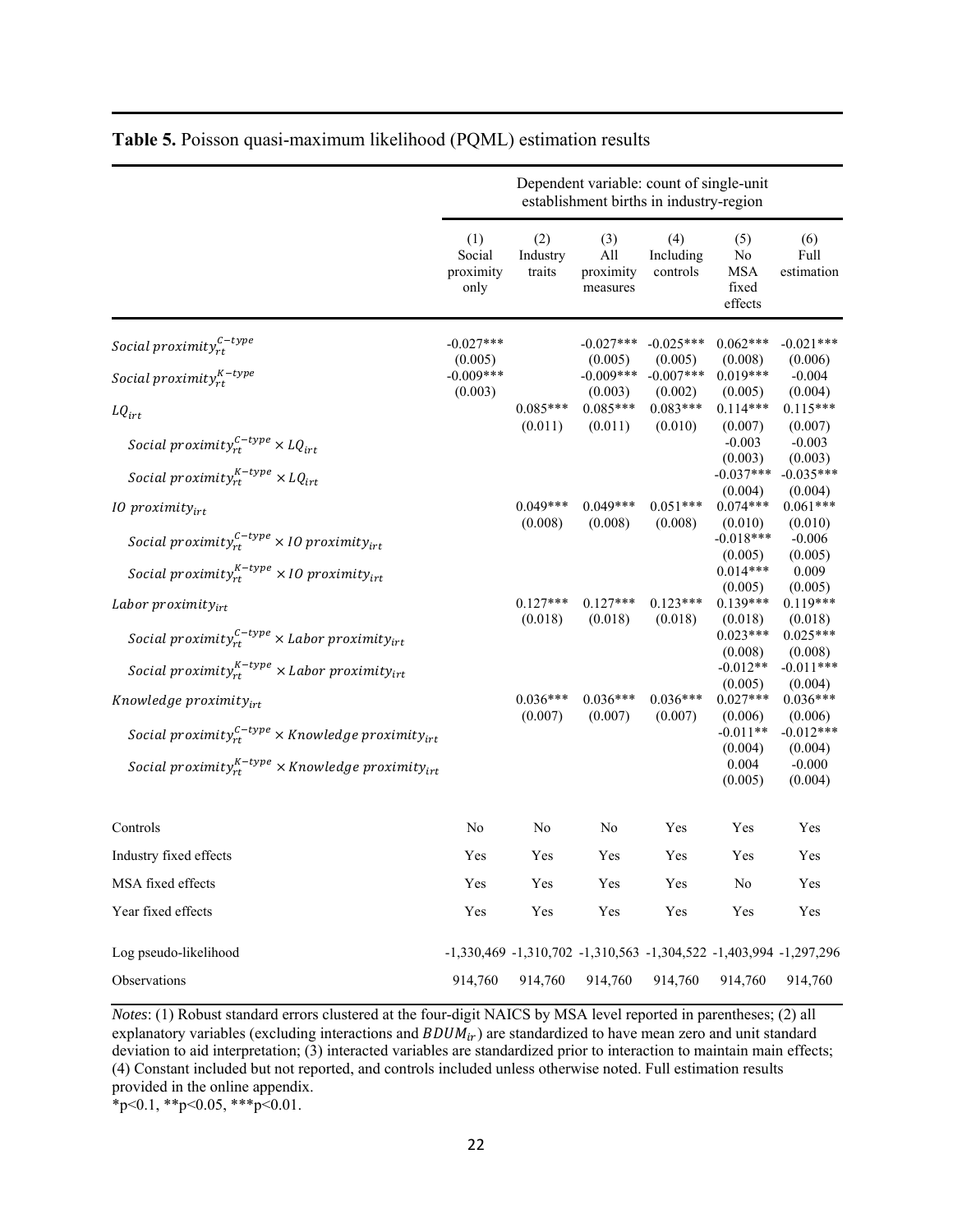|                                                                                                                                                                         | Dependent variable: count of single-unit<br>establishment births in industry-region |                                                                   |                                     |                                  |                                                                               |                                                                                   |  |  |  |  |  |
|-------------------------------------------------------------------------------------------------------------------------------------------------------------------------|-------------------------------------------------------------------------------------|-------------------------------------------------------------------|-------------------------------------|----------------------------------|-------------------------------------------------------------------------------|-----------------------------------------------------------------------------------|--|--|--|--|--|
|                                                                                                                                                                         | (1)<br>Social<br>proximity<br>only                                                  | (2)<br>Industry<br>traits                                         | (3)<br>All<br>proximity<br>measures | (4)<br>Including<br>controls     | (5)<br>No<br><b>MSA</b><br>fixed<br>effects                                   | (6)<br>Full<br>estimation                                                         |  |  |  |  |  |
| Social proximity $_{rt}^{C-type}$                                                                                                                                       | $-0.027***$                                                                         |                                                                   | $-0.027***$                         | $-0.025***$                      | $0.062***$                                                                    | $-0.021***$                                                                       |  |  |  |  |  |
| Social proximity $_{rt}^{K-type}$                                                                                                                                       | (0.005)<br>$-0.009***$                                                              |                                                                   | (0.005)<br>$-0.009***$              | (0.005)<br>$-0.007***$           | (0.008)<br>$0.019***$                                                         | (0.006)<br>$-0.004$                                                               |  |  |  |  |  |
| $LQ_{irt}$                                                                                                                                                              | (0.003)                                                                             | $0.085***$<br>(0.011)                                             | (0.003)<br>$0.085***$<br>(0.011)    | (0.002)<br>$0.083***$<br>(0.010) | (0.005)<br>$0.114***$<br>(0.007)<br>$-0.003$                                  | (0.004)<br>$0.115***$<br>(0.007)<br>$-0.003$                                      |  |  |  |  |  |
| Social proximity $r_t^{c-type} \times LQ_{irt}$<br>Social proximity $_{rt}^{K-type}$ × LQ <sub>irt</sub>                                                                |                                                                                     |                                                                   |                                     |                                  | (0.003)<br>$-0.037***$<br>(0.004)                                             | (0.003)<br>$-0.035***$<br>(0.004)                                                 |  |  |  |  |  |
| $10$ proximity $_{irt}$                                                                                                                                                 |                                                                                     | $0.049***$<br>(0.008)                                             | $0.049***$<br>(0.008)               | $0.051***$<br>(0.008)            | $0.074***$<br>(0.010)                                                         | $0.061***$                                                                        |  |  |  |  |  |
| Social proximity $r_t^{c-type} \times 10$ proximity $_{irt}$                                                                                                            |                                                                                     |                                                                   |                                     |                                  | $-0.018***$<br>(0.005)                                                        | (0.010)<br>$-0.006$<br>(0.005)                                                    |  |  |  |  |  |
| Social proximity ${}_{rt}^{K-type}$ × 10 proximity ${}_{irt}$                                                                                                           |                                                                                     |                                                                   |                                     |                                  | $0.014***$<br>(0.005)                                                         | 0.009<br>(0.005)                                                                  |  |  |  |  |  |
| Labor proximity $_{irt}$<br>Social proximity $r_t^{C-type}$ × Labor proximity $r_{irt}$<br>Social proximity $_{rt}^{K-type}$ × Labor proximity $_{irt}$                 |                                                                                     | $0.127***$<br>(0.018)                                             | $0.127***$<br>(0.018)               | $0.123***$<br>(0.018)            | $0.139***$<br>(0.018)<br>$0.023***$<br>(0.008)<br>$-0.012**$                  | $0.119***$<br>(0.018)<br>$0.025***$<br>(0.008)<br>$-0.011***$                     |  |  |  |  |  |
| Knowledge proximity $_{irt}$<br>Social proximity ${}_{rt}^{c-type}$ × Knowledge proximity ${}_{irt}$<br>Social proximity $x_t^{K-type}$ × Knowledge proximity $y_{irt}$ |                                                                                     | $0.036***$<br>(0.007)                                             | $0.036***$<br>(0.007)               | $0.036***$<br>(0.007)            | (0.005)<br>$0.027***$<br>(0.006)<br>$-0.011**$<br>(0.004)<br>0.004<br>(0.005) | (0.004)<br>$0.036***$<br>(0.006)<br>$-0.012***$<br>(0.004)<br>$-0.000$<br>(0.004) |  |  |  |  |  |
| Controls                                                                                                                                                                | No                                                                                  | No                                                                | No                                  | Yes                              | Yes                                                                           | Yes                                                                               |  |  |  |  |  |
| Industry fixed effects                                                                                                                                                  | Yes                                                                                 | Yes                                                               | Yes                                 | Yes                              | Yes                                                                           | Yes                                                                               |  |  |  |  |  |
| MSA fixed effects                                                                                                                                                       | Yes                                                                                 | Yes                                                               | Yes                                 | Yes                              | No                                                                            | Yes                                                                               |  |  |  |  |  |
| Year fixed effects                                                                                                                                                      | Yes                                                                                 | Yes                                                               | Yes                                 | Yes                              | Yes                                                                           | Yes                                                                               |  |  |  |  |  |
| Log pseudo-likelihood                                                                                                                                                   |                                                                                     | -1,330,469 -1,310,702 -1,310,563 -1,304,522 -1,403,994 -1,297,296 |                                     |                                  |                                                                               |                                                                                   |  |  |  |  |  |
| Observations                                                                                                                                                            | 914,760                                                                             | 914,760                                                           | 914,760                             | 914,760                          | 914,760                                                                       | 914,760                                                                           |  |  |  |  |  |

# **Table 5.** Poisson quasi-maximum likelihood (PQML) estimation results

 (4) Constant included but not reported, and controls included unless otherwise noted. Full estimation results  $*_{p<0.1}$ ,  $*_{p<0.05}$ ,  $*_{p<0.01}$ . *Notes*: (1) Robust standard errors clustered at the four-digit NAICS by MSA level reported in parentheses; (2) all explanatory variables (excluding interactions and  $BDUM_{ir}$ ) are standardized to have mean zero and unit standard deviation to aid interpretation; (3) interacted variables are standardized prior to interaction to maintain main effects; provided in the online appendix.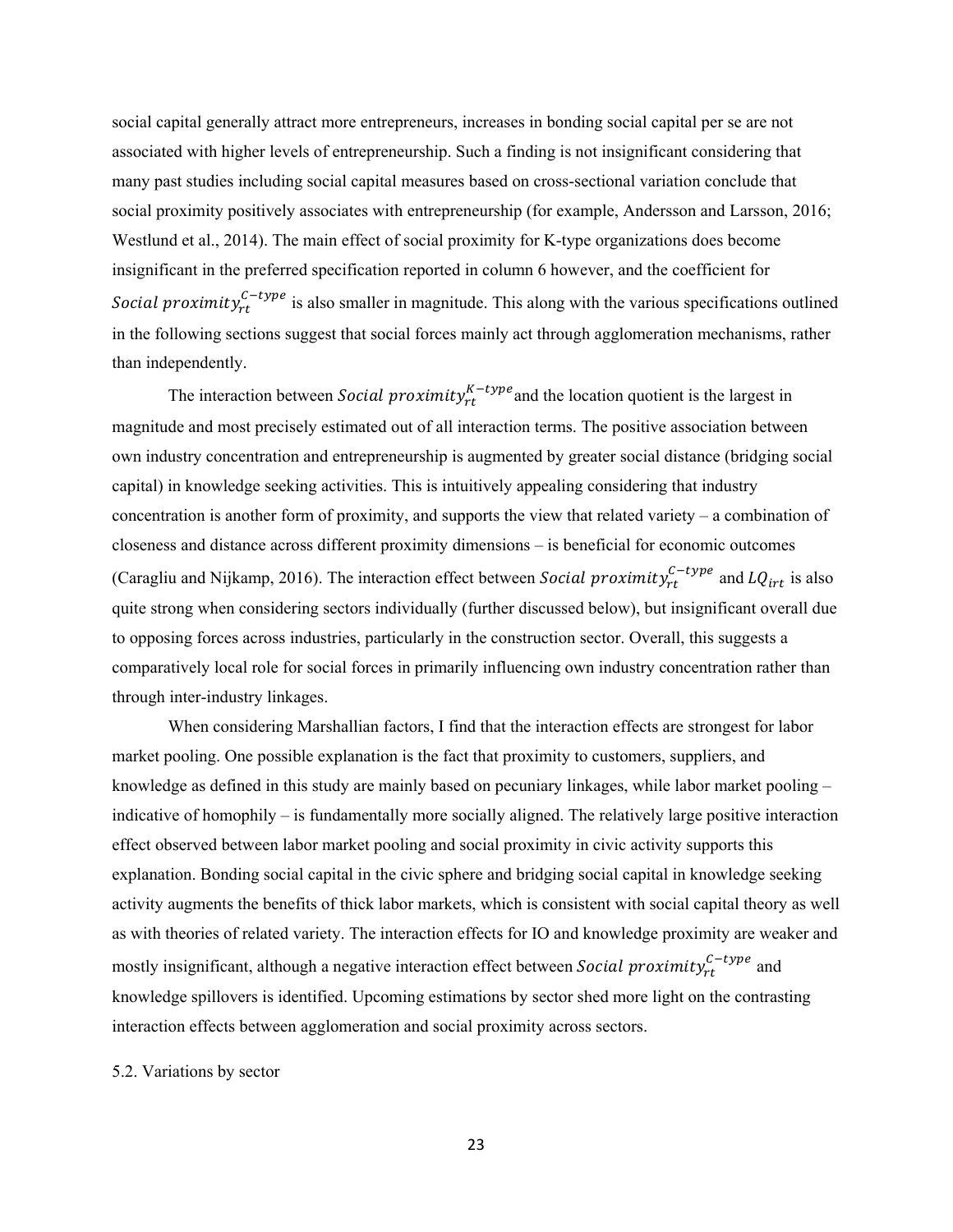than independently. social capital generally attract more entrepreneurs, increases in bonding social capital per se are not associated with higher levels of entrepreneurship. Such a finding is not insignificant considering that many past studies including social capital measures based on cross-sectional variation conclude that social proximity positively associates with entrepreneurship (for example, Andersson and Larsson, 2016; Westlund et al., 2014). The main effect of social proximity for K-type organizations does become insignificant in the preferred specification reported in column 6 however, and the coefficient for Social proximity $r_t^{C-type}$  is also smaller in magnitude. This along with the various specifications outlined in the following sections suggest that social forces mainly act through agglomeration mechanisms, rather

The interaction between *Social proximity* $_{rt}^{K-type}$  and the location quotient is the largest in magnitude and most precisely estimated out of all interaction terms. The positive association between own industry concentration and entrepreneurship is augmented by greater social distance (bridging social capital) in knowledge seeking activities. This is intuitively appealing considering that industry concentration is another form of proximity, and supports the view that related variety – a combination of closeness and distance across different proximity dimensions – is beneficial for economic outcomes (Caragliu and Nijkamp, 2016). The interaction effect between *Social proximity*<sup>c-type</sup> and  $LQ_{irt}$  is also quite strong when considering sectors individually (further discussed below), but insignificant overall due to opposing forces across industries, particularly in the construction sector. Overall, this suggests a comparatively local role for social forces in primarily influencing own industry concentration rather than through inter-industry linkages.

When considering Marshallian factors, I find that the interaction effects are strongest for labor market pooling. One possible explanation is the fact that proximity to customers, suppliers, and knowledge as defined in this study are mainly based on pecuniary linkages, while labor market pooling – indicative of homophily – is fundamentally more socially aligned. The relatively large positive interaction effect observed between labor market pooling and social proximity in civic activity supports this explanation. Bonding social capital in the civic sphere and bridging social capital in knowledge seeking activity augments the benefits of thick labor markets, which is consistent with social capital theory as well as with theories of related variety. The interaction effects for IO and knowledge proximity are weaker and mostly insignificant, although a negative interaction effect between Social proximit $y_{rt}^{c-type}$  and knowledge spillovers is identified. Upcoming estimations by sector shed more light on the contrasting interaction effects between agglomeration and social proximity across sectors.

5.2. Variations by sector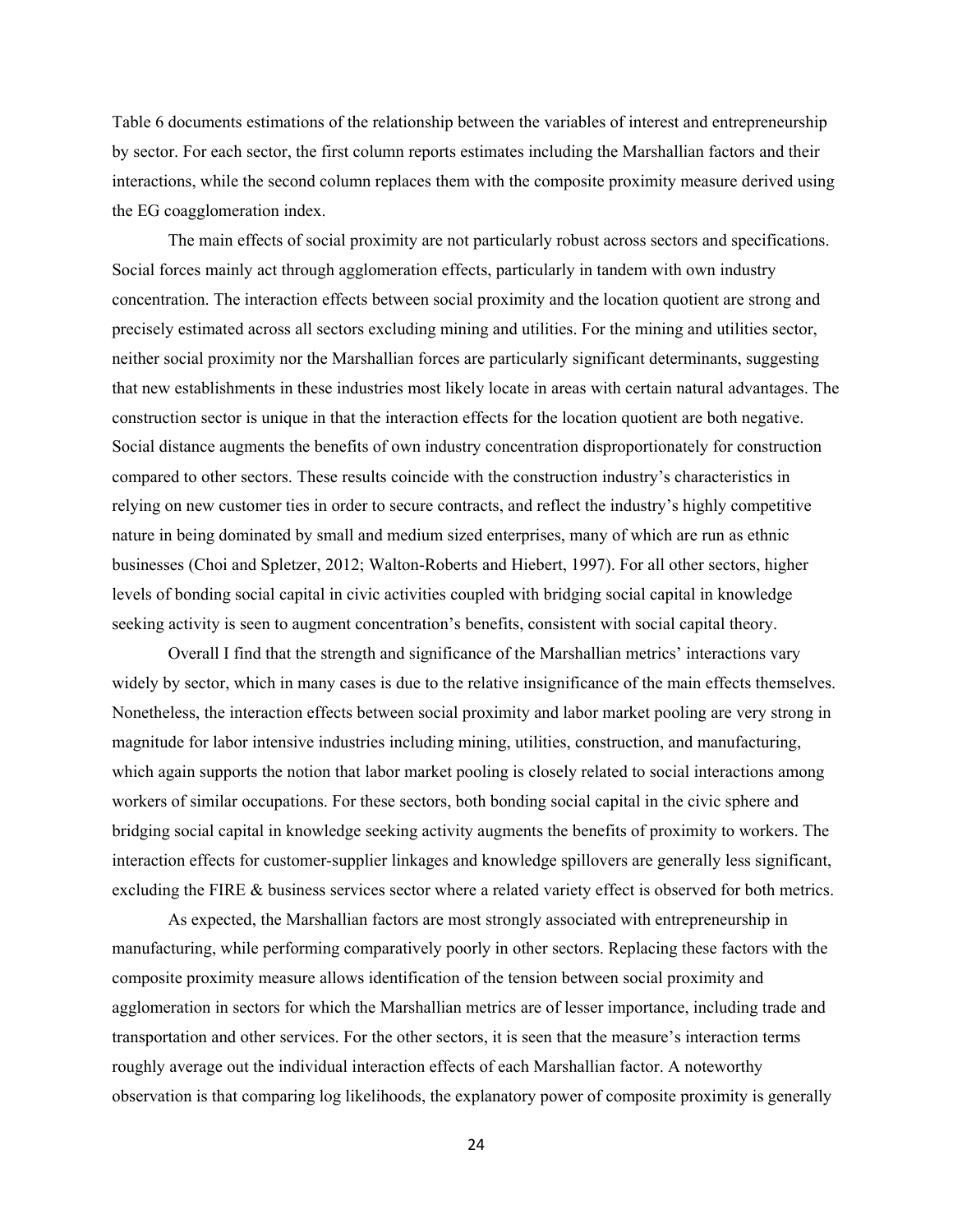Table 6 documents estimations of the relationship between the variables of interest and entrepreneurship by sector. For each sector, the first column reports estimates including the Marshallian factors and their interactions, while the second column replaces them with the composite proximity measure derived using the EG coagglomeration index.

The main effects of social proximity are not particularly robust across sectors and specifications. Social forces mainly act through agglomeration effects, particularly in tandem with own industry concentration. The interaction effects between social proximity and the location quotient are strong and precisely estimated across all sectors excluding mining and utilities. For the mining and utilities sector, neither social proximity nor the Marshallian forces are particularly significant determinants, suggesting that new establishments in these industries most likely locate in areas with certain natural advantages. The construction sector is unique in that the interaction effects for the location quotient are both negative. Social distance augments the benefits of own industry concentration disproportionately for construction compared to other sectors. These results coincide with the construction industry's characteristics in relying on new customer ties in order to secure contracts, and reflect the industry's highly competitive nature in being dominated by small and medium sized enterprises, many of which are run as ethnic businesses (Choi and Spletzer, 2012; Walton-Roberts and Hiebert, 1997). For all other sectors, higher levels of bonding social capital in civic activities coupled with bridging social capital in knowledge seeking activity is seen to augment concentration's benefits, consistent with social capital theory.

Overall I find that the strength and significance of the Marshallian metrics' interactions vary widely by sector, which in many cases is due to the relative insignificance of the main effects themselves. Nonetheless, the interaction effects between social proximity and labor market pooling are very strong in magnitude for labor intensive industries including mining, utilities, construction, and manufacturing, which again supports the notion that labor market pooling is closely related to social interactions among workers of similar occupations. For these sectors, both bonding social capital in the civic sphere and bridging social capital in knowledge seeking activity augments the benefits of proximity to workers. The interaction effects for customer-supplier linkages and knowledge spillovers are generally less significant, excluding the FIRE & business services sector where a related variety effect is observed for both metrics.

 observation is that comparing log likelihoods, the explanatory power of composite proximity is generally As expected, the Marshallian factors are most strongly associated with entrepreneurship in manufacturing, while performing comparatively poorly in other sectors. Replacing these factors with the composite proximity measure allows identification of the tension between social proximity and agglomeration in sectors for which the Marshallian metrics are of lesser importance, including trade and transportation and other services. For the other sectors, it is seen that the measure's interaction terms roughly average out the individual interaction effects of each Marshallian factor. A noteworthy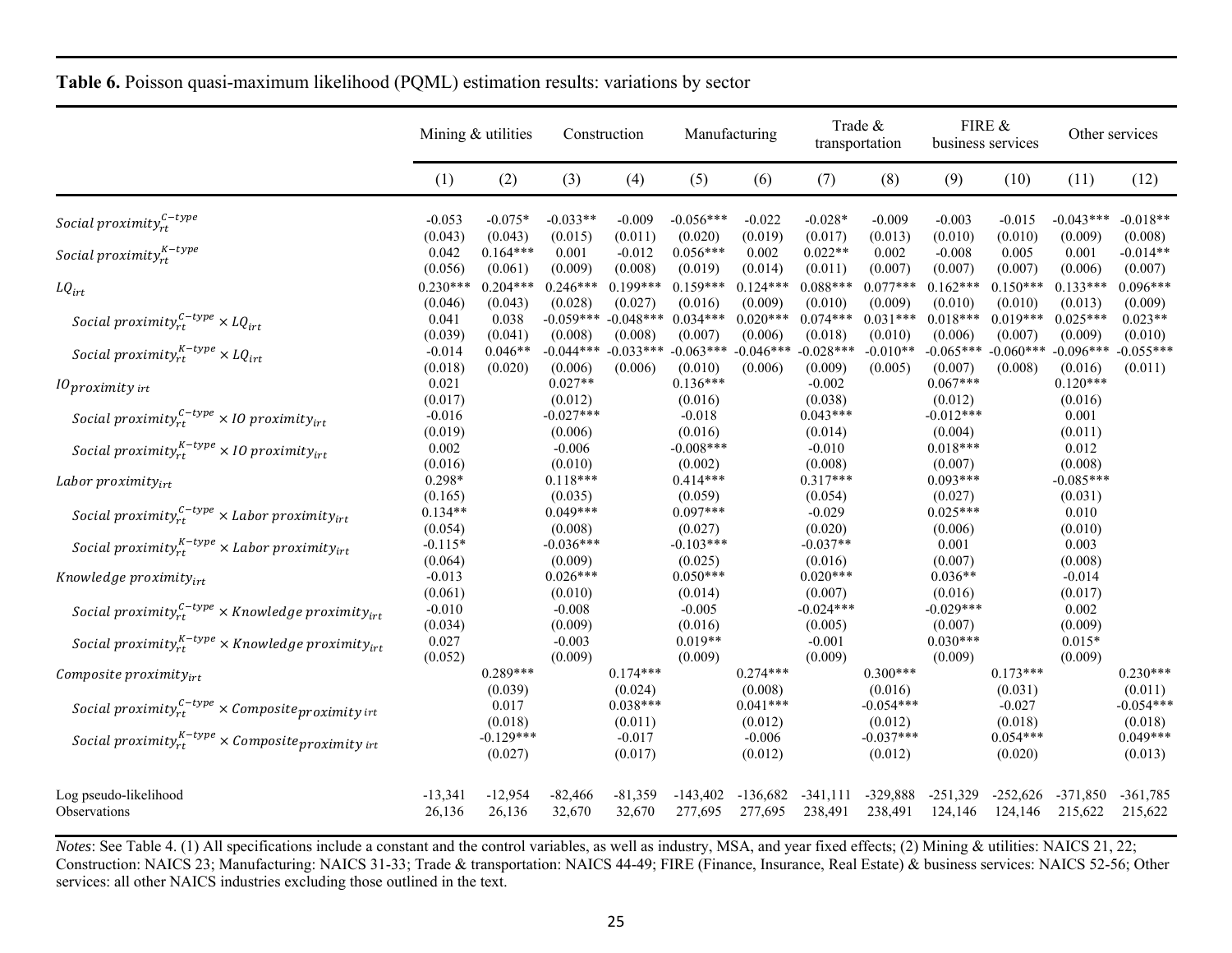|                                                                          | Mining & utilities    |                        | Construction           |                        | Manufacturing          |                        | Trade &<br>transportation     |                        | FIRE &<br>business services |                               | Other services         |                        |
|--------------------------------------------------------------------------|-----------------------|------------------------|------------------------|------------------------|------------------------|------------------------|-------------------------------|------------------------|-----------------------------|-------------------------------|------------------------|------------------------|
|                                                                          | (1)                   | (2)                    | (3)                    | (4)                    | (5)                    | (6)                    | (7)                           | (8)                    | (9)                         | (10)                          | (11)                   | (12)                   |
| Social proximity $_{rt}^{C-type}$                                        | $-0.053$<br>(0.043)   | $-0.075*$<br>(0.043)   | $-0.033**$<br>(0.015)  | $-0.009$<br>(0.011)    | $-0.056***$<br>(0.020) | $-0.022$<br>(0.019)    | $-0.028*$<br>(0.017)          | $-0.009$<br>(0.013)    | $-0.003$<br>(0.010)         | $-0.015$<br>(0.010)           | $-0.043***$<br>(0.009) | $-0.018**$<br>(0.008)  |
| Social proximity ${}_{rt}^{K-type}$                                      | 0.042<br>(0.056)      | $0.164***$<br>(0.061)  | 0.001<br>(0.009)       | $-0.012$<br>(0.008)    | $0.056***$<br>(0.019)  | 0.002<br>(0.014)       | $0.022**$<br>(0.011)          | 0.002<br>(0.007)       | $-0.008$<br>(0.007)         | 0.005<br>(0.007)              | 0.001<br>(0.006)       | $-0.014**$<br>(0.007)  |
| $LQ_{irt}$                                                               | $0.230***$<br>(0.046) | $0.204***$<br>(0.043)  | $0.246***$<br>(0.028)  | $0.199***$<br>(0.027)  | $0.159***$<br>(0.016)  | $0.124***$<br>(0.009)  | $0.088***$<br>(0.010)         | $0.077***$<br>(0.009)  | $0.162***$<br>(0.010)       | $0.150***$<br>(0.010)         | $0.133***$<br>(0.013)  | $0.096***$<br>(0.009)  |
| Social proximity $r_t^{c-type} \times LQ_{irt}$                          | 0.041<br>(0.039)      | 0.038<br>(0.041)       | $-0.059***$<br>(0.008) | $-0.048***$<br>(0.008) | $0.034***$<br>(0.007)  | $0.020***$<br>(0.006)  | $0.074***$<br>(0.018)         | $0.031***$<br>(0.010)  | $0.018***$<br>(0.006)       | $0.019***$<br>(0.007)         | $0.025***$<br>(0.009)  | $0.023**$<br>(0.010)   |
| Social proximity $x_t^{K-type} \times LQ_{irt}$                          | $-0.014$<br>(0.018)   | $0.046**$<br>(0.020)   | $-0.044***$<br>(0.006) | $-0.033***$<br>(0.006) | $-0.063***$<br>(0.010) | $-0.046***$<br>(0.006) | $-0.028***$<br>(0.009)        | $-0.010**$<br>(0.005)  | $-0.065***$<br>(0.007)      | $-0.060***$<br>(0.008)        | $-0.096***$<br>(0.016) | $-0.055***$<br>(0.011) |
| $10$ proximity irt                                                       | 0.021<br>(0.017)      |                        | $0.027**$<br>(0.012)   |                        | $0.136***$<br>(0.016)  |                        | $-0.002$<br>(0.038)           |                        | $0.067***$<br>(0.012)       |                               | $0.120***$<br>(0.016)  |                        |
| Social proximity $r_t^{C-type} \times 10$ proximity <sub>irt</sub>       | $-0.016$<br>(0.019)   |                        | $-0.027***$<br>(0.006) |                        | $-0.018$<br>(0.016)    |                        | $0.043***$<br>(0.014)         |                        | $-0.012***$<br>(0.004)      |                               | 0.001<br>(0.011)       |                        |
| Social proximity $_{rt}^{K-type}$ × 10 proximity $_{irt}$                | 0.002<br>(0.016)      |                        | $-0.006$<br>(0.010)    |                        | $-0.008***$<br>(0.002) |                        | $-0.010$<br>(0.008)           |                        | $0.018***$<br>(0.007)       |                               | 0.012<br>(0.008)       |                        |
| Labor proximity $_{irt}$                                                 | $0.298*$<br>(0.165)   |                        | $0.118***$<br>(0.035)  |                        | $0.414***$<br>(0.059)  |                        | $0.317***$<br>(0.054)         |                        | $0.093***$<br>(0.027)       |                               | $-0.085***$<br>(0.031) |                        |
| Social proximity $y_{rt}^{C-type}$ × Labor proximity <sub>irt</sub>      | $0.134**$<br>(0.054)  |                        | $0.049***$<br>(0.008)  |                        | $0.097***$<br>(0.027)  |                        | $-0.029$<br>(0.020)           |                        | $0.025***$<br>(0.006)       |                               | 0.010<br>(0.010)       |                        |
| Social proximity ${}_{rt}^{K-type}$ × Labor proximity ${}_{irt}$         | $-0.115*$<br>(0.064)  |                        | $-0.036***$<br>(0.009) |                        | $-0.103***$<br>(0.025) |                        | $-0.037**$<br>(0.016)         |                        | 0.001<br>(0.007)            |                               | 0.003<br>(0.008)       |                        |
| Knowledge proximity $_{irt}$                                             | $-0.013$<br>(0.061)   |                        | $0.026***$<br>(0.010)  |                        | $0.050***$<br>(0.014)  |                        | $0.020***$<br>(0.007)         |                        | $0.036**$<br>(0.016)        |                               | $-0.014$<br>(0.017)    |                        |
| Social proximity ${}_{rt}^{c-type}$ × Knowledge proximity <sub>irt</sub> | $-0.010$<br>(0.034)   |                        | $-0.008$<br>(0.009)    |                        | $-0.005$<br>(0.016)    |                        | $-0.024***$<br>(0.005)        |                        | $-0.029***$<br>(0.007)      |                               | 0.002<br>(0.009)       |                        |
| Social proximity ${}_{rt}^{K-type}$ × Knowledge proximity ${}_{irt}$     | 0.027<br>(0.052)      |                        | $-0.003$<br>(0.009)    |                        | $0.019**$<br>(0.009)   |                        | $-0.001$<br>(0.009)           |                        | $0.030***$<br>(0.009)       |                               | $0.015*$<br>(0.009)    |                        |
| Composite proximity $_{irt}$                                             |                       | $0.289***$<br>(0.039)  |                        | $0.174***$<br>(0.024)  |                        | $0.274***$<br>(0.008)  |                               | $0.300***$<br>(0.016)  |                             | $0.173***$<br>(0.031)         |                        | $0.230***$<br>(0.011)  |
| Social proximity $r_t^{C-type} \times$ Composite proximity int           |                       | 0.017<br>(0.018)       |                        | $0.038***$<br>(0.011)  |                        | $0.041***$<br>(0.012)  |                               | $-0.054***$<br>(0.012) |                             | $-0.027$<br>(0.018)           |                        | $-0.054***$<br>(0.018) |
| Social proximity ${}_{rt}^{K-type}$ × Composite proximity irt            |                       | $-0.129***$<br>(0.027) |                        | $-0.017$<br>(0.017)    |                        | $-0.006$<br>(0.012)    |                               | $-0.037***$<br>(0.012) |                             | $0.054***$<br>(0.020)         |                        | $0.049***$<br>(0.013)  |
| Log pseudo-likelihood<br>Observations                                    | $-13,341$<br>26,136   | $-12,954$<br>26,136    | $-82,466$<br>32,670    | $-81,359$<br>32,670    | $-143.402$<br>277,695  | $-136.682$             | $-341.111$<br>277,695 238,491 | $-329,888$<br>238,491  | $-251,329$<br>124,146       | $-252,626$<br>124,146 215,622 | -371.850               | $-361,785$<br>215,622  |
|                                                                          |                       |                        |                        |                        |                        |                        |                               |                        |                             |                               |                        |                        |

**Table 6.** Poisson quasi-maximum likelihood (PQML) estimation results: variations by sector

*Notes*: See Table 4. (1) All specifications include a constant and the control variables, as well as industry, MSA, and year fixed effects; (2) Mining & utilities: NAICS 21, 22; Construction: NAICS 23; Manufacturing: NAICS 31-33; Trade & transportation: NAICS 44-49; FIRE (Finance, Insurance, Real Estate) & business services: NAICS 52-56; Other services: all other NAICS industries excluding those outlined in the text.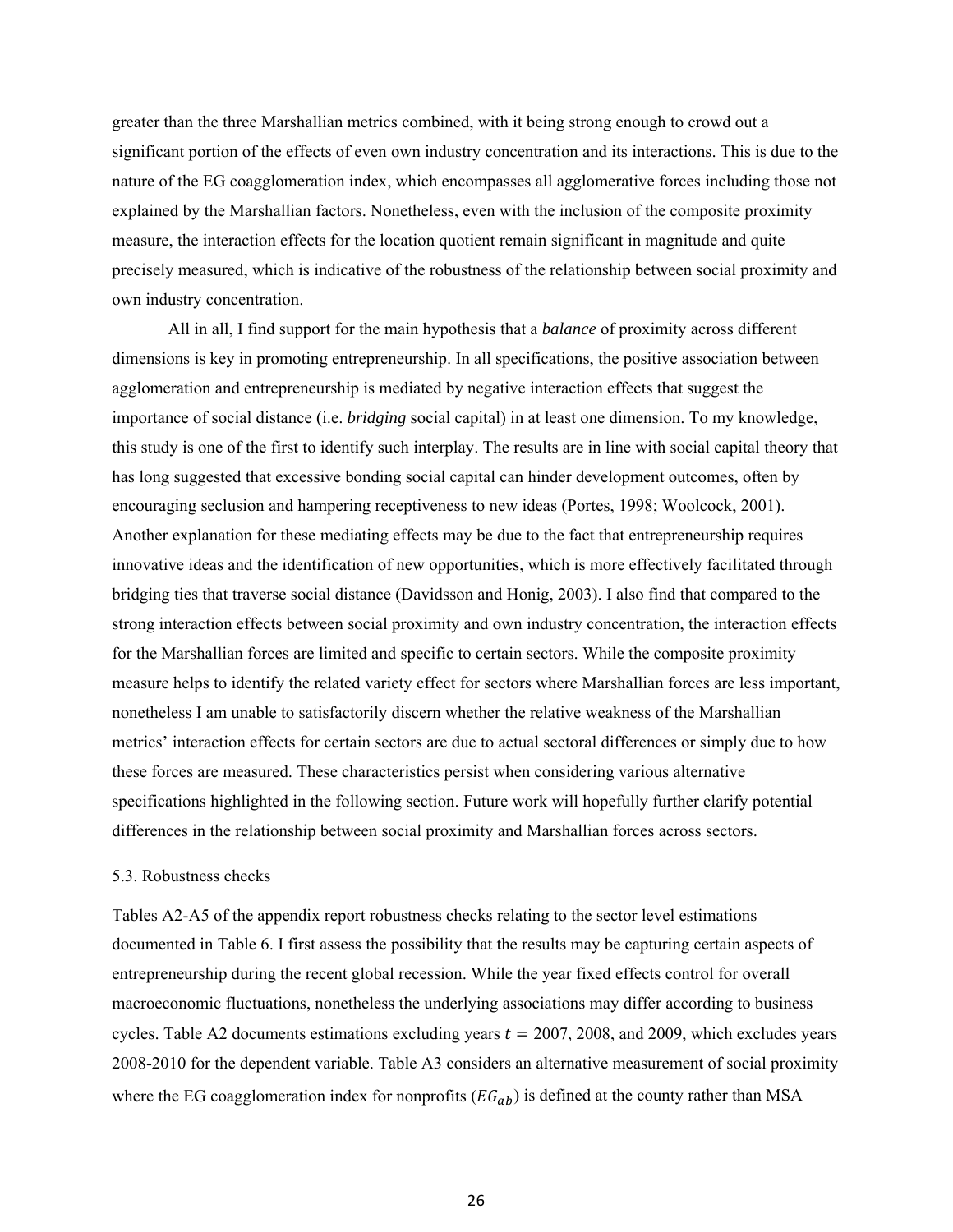greater than the three Marshallian metrics combined, with it being strong enough to crowd out a significant portion of the effects of even own industry concentration and its interactions. This is due to the nature of the EG coagglomeration index, which encompasses all agglomerative forces including those not explained by the Marshallian factors. Nonetheless, even with the inclusion of the composite proximity measure, the interaction effects for the location quotient remain significant in magnitude and quite precisely measured, which is indicative of the robustness of the relationship between social proximity and own industry concentration.

All in all, I find support for the main hypothesis that a *balance* of proximity across different dimensions is key in promoting entrepreneurship. In all specifications, the positive association between agglomeration and entrepreneurship is mediated by negative interaction effects that suggest the importance of social distance (i.e. *bridging* social capital) in at least one dimension. To my knowledge, this study is one of the first to identify such interplay. The results are in line with social capital theory that has long suggested that excessive bonding social capital can hinder development outcomes, often by encouraging seclusion and hampering receptiveness to new ideas (Portes, 1998; Woolcock, 2001). Another explanation for these mediating effects may be due to the fact that entrepreneurship requires innovative ideas and the identification of new opportunities, which is more effectively facilitated through bridging ties that traverse social distance (Davidsson and Honig, 2003). I also find that compared to the strong interaction effects between social proximity and own industry concentration, the interaction effects for the Marshallian forces are limited and specific to certain sectors. While the composite proximity measure helps to identify the related variety effect for sectors where Marshallian forces are less important, nonetheless I am unable to satisfactorily discern whether the relative weakness of the Marshallian metrics' interaction effects for certain sectors are due to actual sectoral differences or simply due to how these forces are measured. These characteristics persist when considering various alternative specifications highlighted in the following section. Future work will hopefully further clarify potential differences in the relationship between social proximity and Marshallian forces across sectors.

# 5.3. Robustness checks

Tables A2-A5 of the appendix report robustness checks relating to the sector level estimations documented in Table 6. I first assess the possibility that the results may be capturing certain aspects of entrepreneurship during the recent global recession. While the year fixed effects control for overall macroeconomic fluctuations, nonetheless the underlying associations may differ according to business cycles. Table A2 documents estimations excluding years  $t = 2007, 2008$ , and 2009, which excludes years 2008-2010 for the dependent variable. Table A3 considers an alternative measurement of social proximity where the EG coagglomeration index for nonprofits ( $EG<sub>ab</sub>$ ) is defined at the county rather than MSA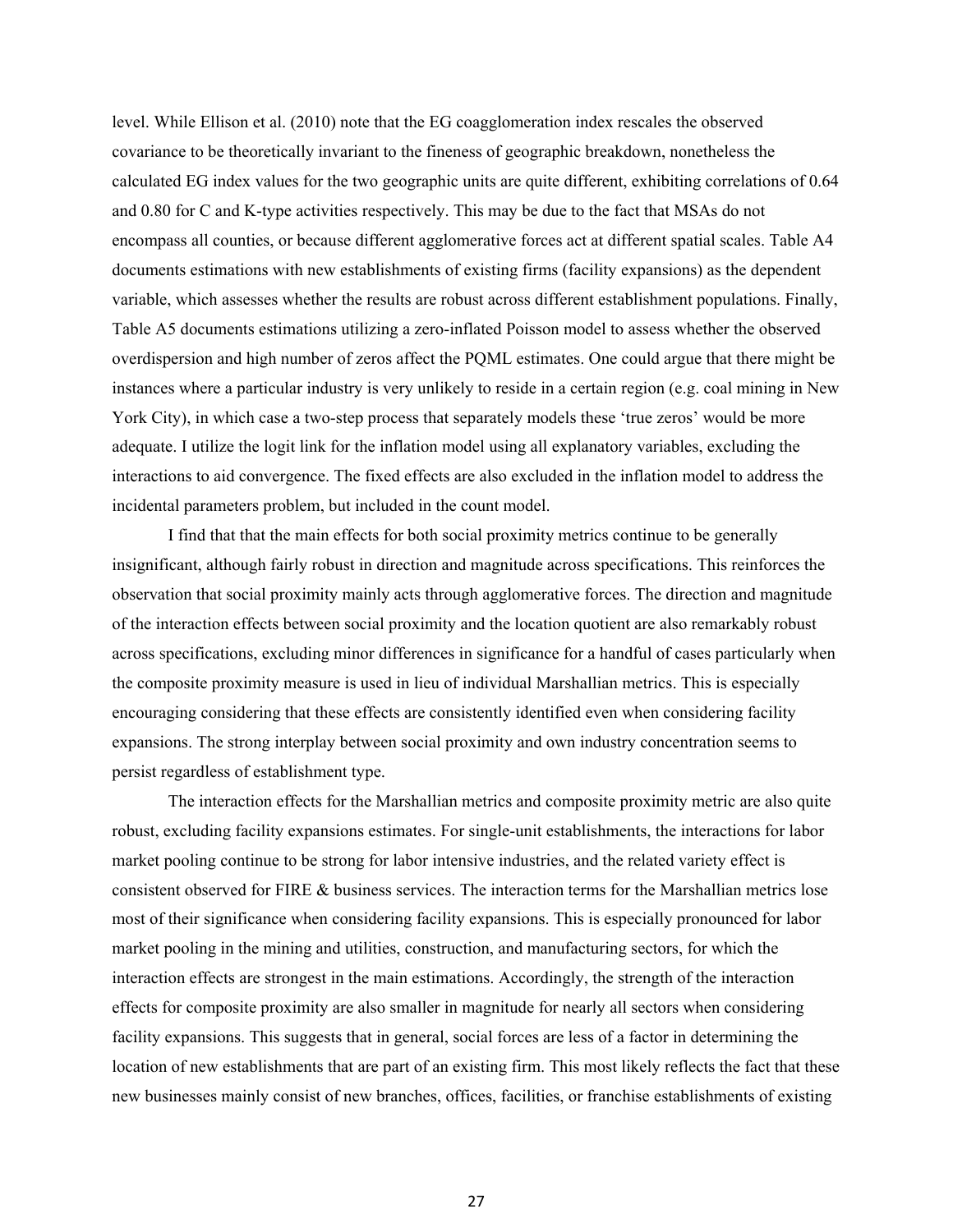instances where a particular industry is very unlikely to reside in a certain region (e.g. coal mining in New incidental parameters problem, but included in the count model. level. While Ellison et al. (2010) note that the EG coagglomeration index rescales the observed covariance to be theoretically invariant to the fineness of geographic breakdown, nonetheless the calculated EG index values for the two geographic units are quite different, exhibiting correlations of 0.64 and 0.80 for C and K-type activities respectively. This may be due to the fact that MSAs do not encompass all counties, or because different agglomerative forces act at different spatial scales. Table A4 documents estimations with new establishments of existing firms (facility expansions) as the dependent variable, which assesses whether the results are robust across different establishment populations. Finally, Table A5 documents estimations utilizing a zero-inflated Poisson model to assess whether the observed overdispersion and high number of zeros affect the PQML estimates. One could argue that there might be York City), in which case a two-step process that separately models these 'true zeros' would be more adequate. I utilize the logit link for the inflation model using all explanatory variables, excluding the interactions to aid convergence. The fixed effects are also excluded in the inflation model to address the

I find that that the main effects for both social proximity metrics continue to be generally insignificant, although fairly robust in direction and magnitude across specifications. This reinforces the observation that social proximity mainly acts through agglomerative forces. The direction and magnitude of the interaction effects between social proximity and the location quotient are also remarkably robust across specifications, excluding minor differences in significance for a handful of cases particularly when the composite proximity measure is used in lieu of individual Marshallian metrics. This is especially encouraging considering that these effects are consistently identified even when considering facility expansions. The strong interplay between social proximity and own industry concentration seems to persist regardless of establishment type.

The interaction effects for the Marshallian metrics and composite proximity metric are also quite robust, excluding facility expansions estimates. For single-unit establishments, the interactions for labor market pooling continue to be strong for labor intensive industries, and the related variety effect is consistent observed for FIRE & business services. The interaction terms for the Marshallian metrics lose most of their significance when considering facility expansions. This is especially pronounced for labor market pooling in the mining and utilities, construction, and manufacturing sectors, for which the interaction effects are strongest in the main estimations. Accordingly, the strength of the interaction effects for composite proximity are also smaller in magnitude for nearly all sectors when considering facility expansions. This suggests that in general, social forces are less of a factor in determining the location of new establishments that are part of an existing firm. This most likely reflects the fact that these new businesses mainly consist of new branches, offices, facilities, or franchise establishments of existing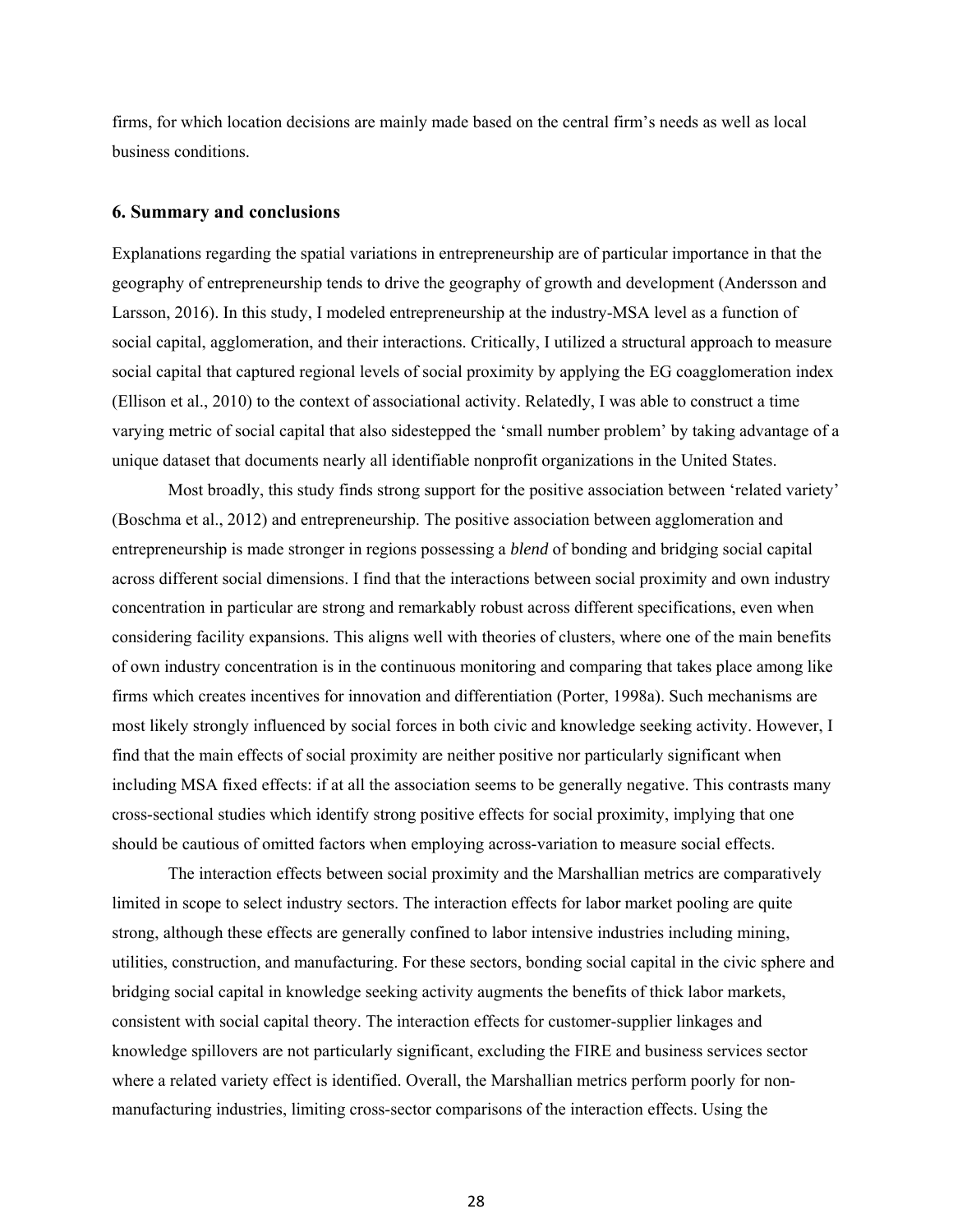firms, for which location decisions are mainly made based on the central firm's needs as well as local business conditions.

## **6. Summary and conclusions**

 social capital that captured regional levels of social proximity by applying the EG coagglomeration index Explanations regarding the spatial variations in entrepreneurship are of particular importance in that the geography of entrepreneurship tends to drive the geography of growth and development (Andersson and Larsson, 2016). In this study, I modeled entrepreneurship at the industry-MSA level as a function of social capital, agglomeration, and their interactions. Critically, I utilized a structural approach to measure (Ellison et al., 2010) to the context of associational activity. Relatedly, I was able to construct a time varying metric of social capital that also sidestepped the 'small number problem' by taking advantage of a unique dataset that documents nearly all identifiable nonprofit organizations in the United States.

Most broadly, this study finds strong support for the positive association between 'related variety' (Boschma et al., 2012) and entrepreneurship. The positive association between agglomeration and entrepreneurship is made stronger in regions possessing a *blend* of bonding and bridging social capital across different social dimensions. I find that the interactions between social proximity and own industry concentration in particular are strong and remarkably robust across different specifications, even when considering facility expansions. This aligns well with theories of clusters, where one of the main benefits of own industry concentration is in the continuous monitoring and comparing that takes place among like firms which creates incentives for innovation and differentiation (Porter, 1998a). Such mechanisms are most likely strongly influenced by social forces in both civic and knowledge seeking activity. However, I find that the main effects of social proximity are neither positive nor particularly significant when including MSA fixed effects: if at all the association seems to be generally negative. This contrasts many cross-sectional studies which identify strong positive effects for social proximity, implying that one should be cautious of omitted factors when employing across-variation to measure social effects.

The interaction effects between social proximity and the Marshallian metrics are comparatively limited in scope to select industry sectors. The interaction effects for labor market pooling are quite strong, although these effects are generally confined to labor intensive industries including mining, utilities, construction, and manufacturing. For these sectors, bonding social capital in the civic sphere and bridging social capital in knowledge seeking activity augments the benefits of thick labor markets, consistent with social capital theory. The interaction effects for customer-supplier linkages and knowledge spillovers are not particularly significant, excluding the FIRE and business services sector where a related variety effect is identified. Overall, the Marshallian metrics perform poorly for nonmanufacturing industries, limiting cross-sector comparisons of the interaction effects. Using the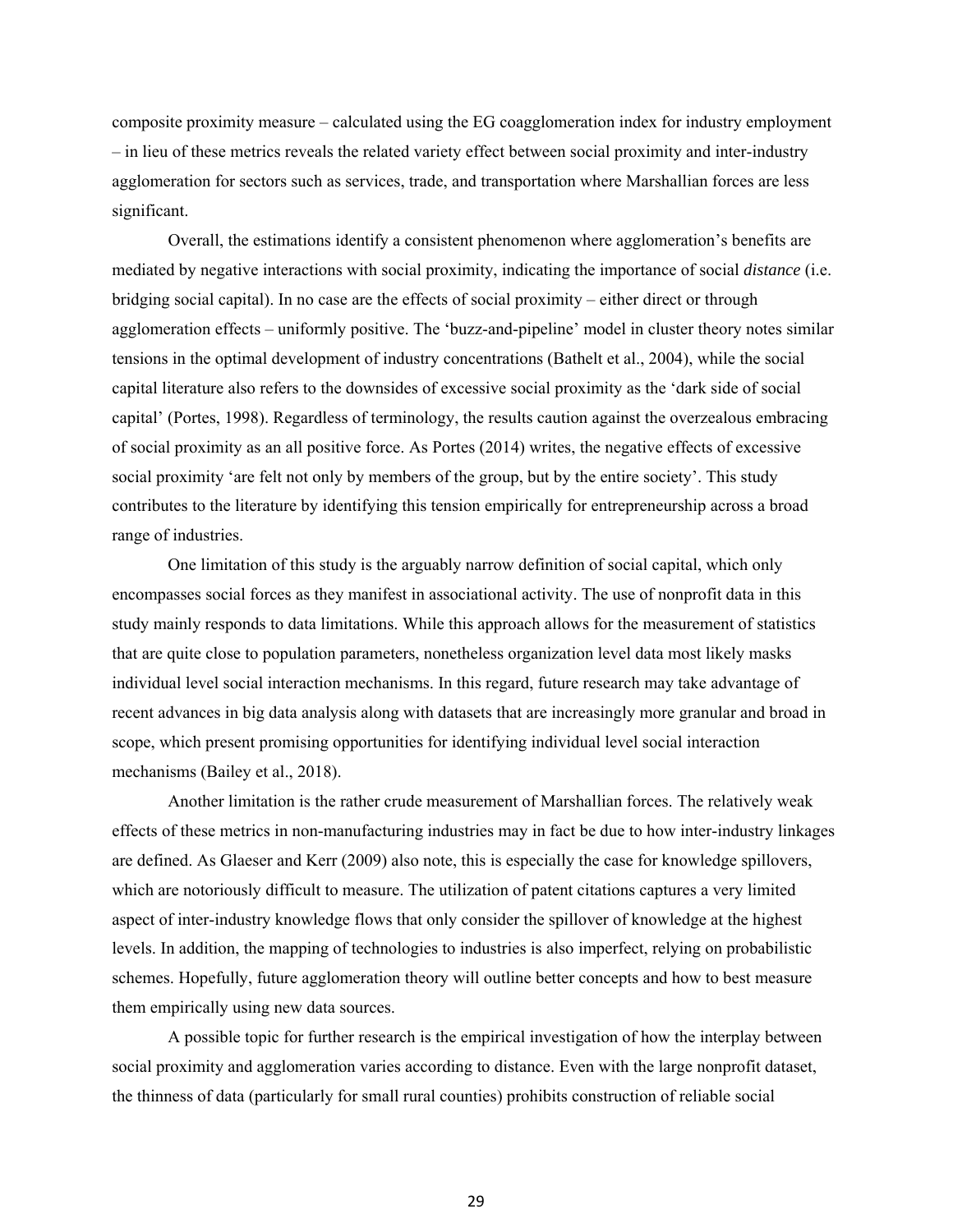composite proximity measure – calculated using the EG coagglomeration index for industry employment – in lieu of these metrics reveals the related variety effect between social proximity and inter-industry agglomeration for sectors such as services, trade, and transportation where Marshallian forces are less significant.

Overall, the estimations identify a consistent phenomenon where agglomeration's benefits are mediated by negative interactions with social proximity, indicating the importance of social *distance* (i.e. bridging social capital). In no case are the effects of social proximity – either direct or through agglomeration effects – uniformly positive. The 'buzz-and-pipeline' model in cluster theory notes similar tensions in the optimal development of industry concentrations (Bathelt et al., 2004), while the social capital literature also refers to the downsides of excessive social proximity as the 'dark side of social capital' (Portes, 1998). Regardless of terminology, the results caution against the overzealous embracing of social proximity as an all positive force. As Portes (2014) writes, the negative effects of excessive social proximity 'are felt not only by members of the group, but by the entire society'. This study contributes to the literature by identifying this tension empirically for entrepreneurship across a broad range of industries.

 study mainly responds to data limitations. While this approach allows for the measurement of statistics mechanisms (Bailey et al., 2018). One limitation of this study is the arguably narrow definition of social capital, which only encompasses social forces as they manifest in associational activity. The use of nonprofit data in this that are quite close to population parameters, nonetheless organization level data most likely masks individual level social interaction mechanisms. In this regard, future research may take advantage of recent advances in big data analysis along with datasets that are increasingly more granular and broad in scope, which present promising opportunities for identifying individual level social interaction

Another limitation is the rather crude measurement of Marshallian forces. The relatively weak effects of these metrics in non-manufacturing industries may in fact be due to how inter-industry linkages are defined. As Glaeser and Kerr (2009) also note, this is especially the case for knowledge spillovers, which are notoriously difficult to measure. The utilization of patent citations captures a very limited aspect of inter-industry knowledge flows that only consider the spillover of knowledge at the highest levels. In addition, the mapping of technologies to industries is also imperfect, relying on probabilistic schemes. Hopefully, future agglomeration theory will outline better concepts and how to best measure them empirically using new data sources.

A possible topic for further research is the empirical investigation of how the interplay between social proximity and agglomeration varies according to distance. Even with the large nonprofit dataset, the thinness of data (particularly for small rural counties) prohibits construction of reliable social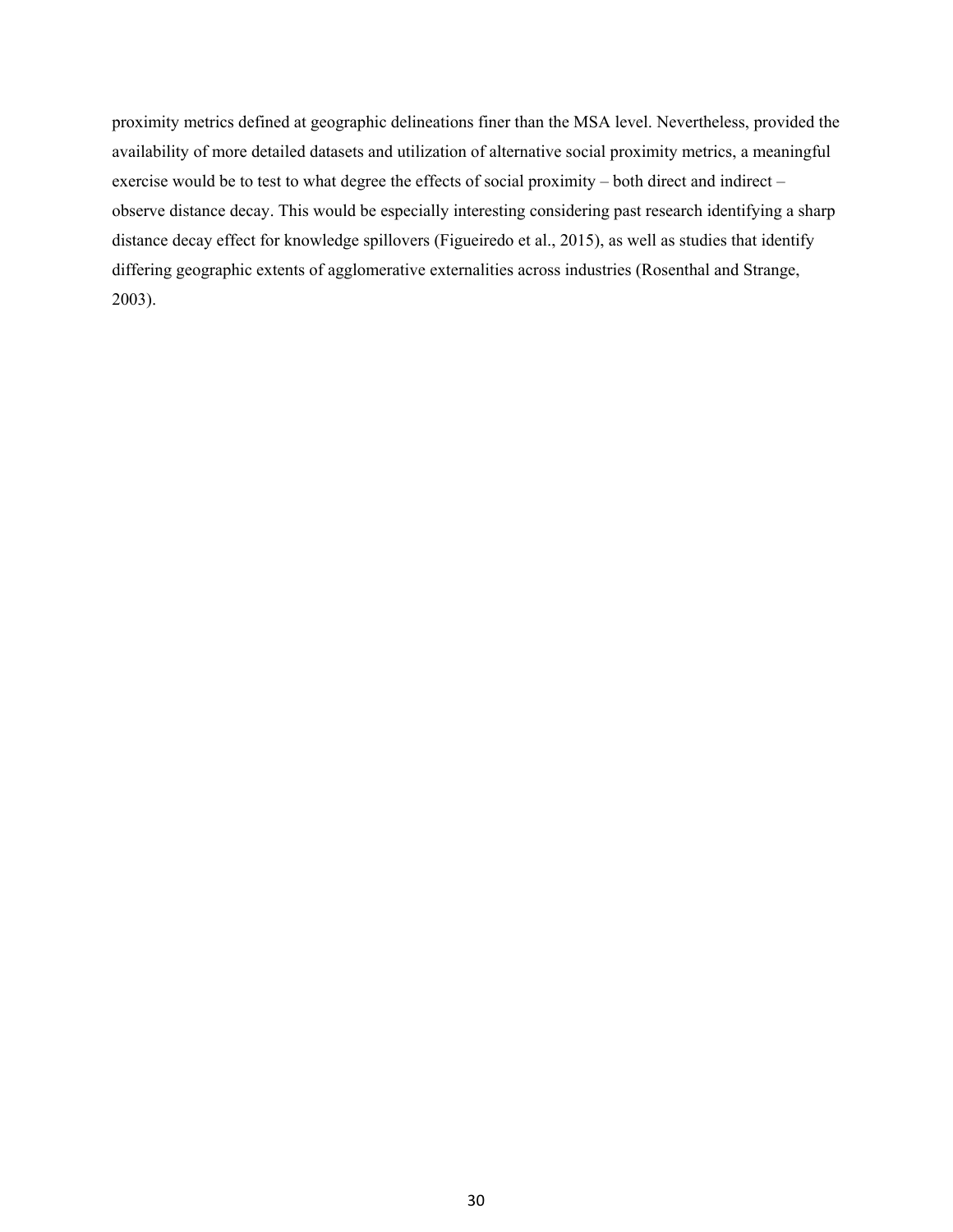proximity metrics defined at geographic delineations finer than the MSA level. Nevertheless, provided the availability of more detailed datasets and utilization of alternative social proximity metrics, a meaningful exercise would be to test to what degree the effects of social proximity – both direct and indirect – observe distance decay. This would be especially interesting considering past research identifying a sharp distance decay effect for knowledge spillovers (Figueiredo et al., 2015), as well as studies that identify differing geographic extents of agglomerative externalities across industries (Rosenthal and Strange, 2003).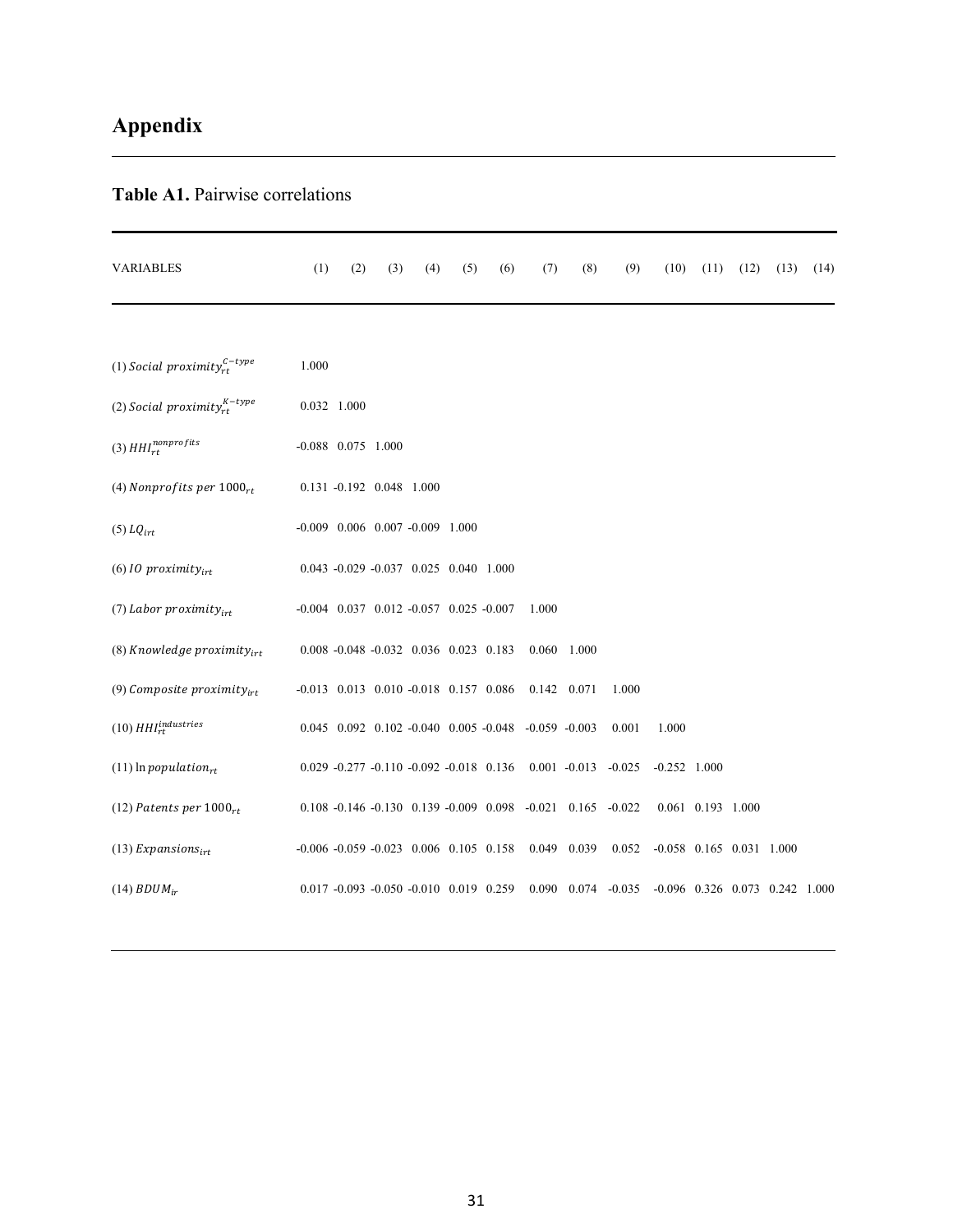# **Appendix**

# **Table A1.** Pairwise correlations

| <b>VARIABLES</b>                    | (1)                  | (2) | (3)                                                | (4) | (5) | (6) | (7)                                                                 | (8)         | (9)                                                                       | (10)                             | (11)              | (12) | (13) | (14) |
|-------------------------------------|----------------------|-----|----------------------------------------------------|-----|-----|-----|---------------------------------------------------------------------|-------------|---------------------------------------------------------------------------|----------------------------------|-------------------|------|------|------|
|                                     |                      |     |                                                    |     |     |     |                                                                     |             |                                                                           |                                  |                   |      |      |      |
| (1) Social proximity $c^{-type}$    | 1.000                |     |                                                    |     |     |     |                                                                     |             |                                                                           |                                  |                   |      |      |      |
| (2) Social proximity $x_t^{K-type}$ | 0.032 1.000          |     |                                                    |     |     |     |                                                                     |             |                                                                           |                                  |                   |      |      |      |
| (3) $\mathit{HH}_{rt}^{nonprofits}$ | $-0.088$ 0.075 1.000 |     |                                                    |     |     |     |                                                                     |             |                                                                           |                                  |                   |      |      |      |
| (4) Nonprofits per $1000_{rt}$      |                      |     | 0.131 -0.192 0.048 1.000                           |     |     |     |                                                                     |             |                                                                           |                                  |                   |      |      |      |
| $(5)$ LQ <sub>irt</sub>             |                      |     | $-0.009$ $0.006$ $0.007$ $-0.009$ $1.000$          |     |     |     |                                                                     |             |                                                                           |                                  |                   |      |      |      |
| (6) IO proximity <sub>irt</sub>     |                      |     | $0.043 -0.029 -0.037$ $0.025$ $0.040$ $1.000$      |     |     |     |                                                                     |             |                                                                           |                                  |                   |      |      |      |
| (7) Labor proximity <sub>irt</sub>  |                      |     | $-0.004$ $0.037$ $0.012$ $-0.057$ $0.025$ $-0.007$ |     |     |     | 1.000                                                               |             |                                                                           |                                  |                   |      |      |      |
| (8) Knowledge proximity $_{irt}$    |                      |     | $0.008 - 0.048 - 0.032$ $0.036$ $0.023$ $0.183$    |     |     |     |                                                                     | 0.060 1.000 |                                                                           |                                  |                   |      |      |      |
| (9) Composite proximity $_{irt}$    |                      |     | $-0.013$ 0.013 0.010 $-0.018$ 0.157 0.086          |     |     |     |                                                                     | 0.142 0.071 | 1.000                                                                     |                                  |                   |      |      |      |
| $(10) HHIrtindustries$              |                      |     |                                                    |     |     |     | $0.045$ $0.092$ $0.102$ $-0.040$ $0.005$ $-0.048$ $-0.059$ $-0.003$ |             | 0.001                                                                     | 1.000                            |                   |      |      |      |
| $(11)$ ln population <sub>rt</sub>  |                      |     | $0.029 -0.277 -0.110 -0.092 -0.018$ 0.136          |     |     |     |                                                                     |             | $0.001 - 0.013 - 0.025$                                                   | $-0.252$ 1.000                   |                   |      |      |      |
| (12) Patents per $1000_{rt}$        |                      |     |                                                    |     |     |     |                                                                     |             | $0.108 - 0.146 - 0.130$ $0.139 - 0.009$ $0.098$ $-0.021$ $0.165$ $-0.022$ |                                  | 0.061 0.193 1.000 |      |      |      |
| (13) Expansions <sub>irt</sub>      |                      |     | $-0.006 - 0.059 - 0.023$ 0.006 0.105 0.158         |     |     |     |                                                                     | 0.049 0.039 | 0.052                                                                     | $-0.058$ 0.165 0.031 1.000       |                   |      |      |      |
| $(14) BDUM_{ir}$                    |                      |     | $0.017 - 0.093 - 0.050 - 0.010$ $0.019$ $0.259$    |     |     |     |                                                                     |             | $0.090$ $0.074$ $-0.035$                                                  | $-0.096$ 0.326 0.073 0.242 1.000 |                   |      |      |      |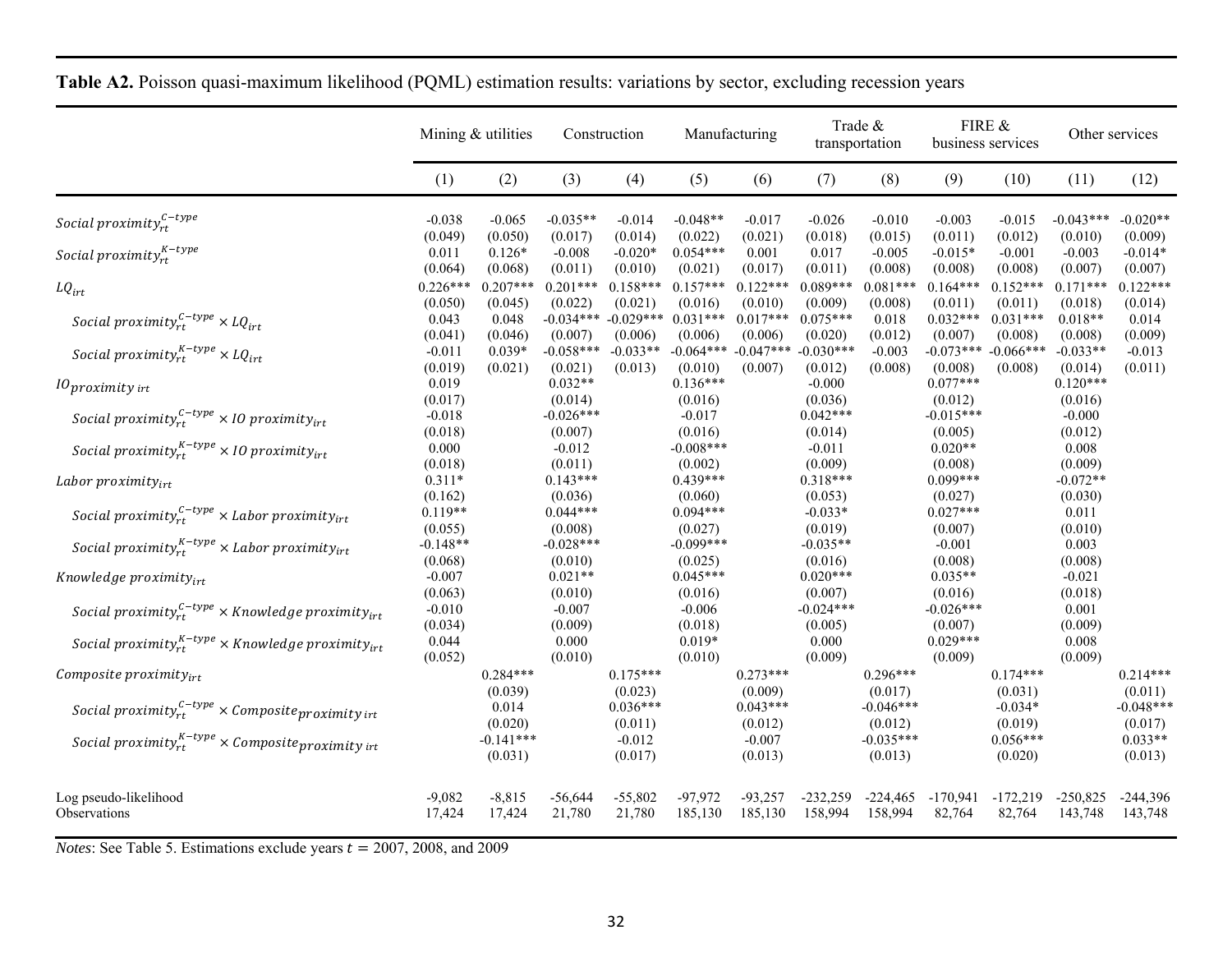|                                                                      | Mining & utilities    |                        |                        | Construction           |                        | Manufacturing                      |                        | Trade &<br>transportation |                                 | FIRE &<br>business services |                        | Other services         |
|----------------------------------------------------------------------|-----------------------|------------------------|------------------------|------------------------|------------------------|------------------------------------|------------------------|---------------------------|---------------------------------|-----------------------------|------------------------|------------------------|
|                                                                      | (1)                   | (2)                    | (3)                    | (4)                    | (5)                    | (6)                                | (7)                    | (8)                       | (9)                             | (10)                        | (11)                   | (12)                   |
| Social proximity $_{rt}^{C-type}$                                    | $-0.038$<br>(0.049)   | $-0.065$<br>(0.050)    | $-0.035**$<br>(0.017)  | $-0.014$<br>(0.014)    | $-0.048**$<br>(0.022)  | $-0.017$<br>(0.021)                | $-0.026$<br>(0.018)    | $-0.010$<br>(0.015)       | $-0.003$<br>(0.011)             | $-0.015$<br>(0.012)         | $-0.043***$<br>(0.010) | $-0.020**$<br>(0.009)  |
| Social proximity ${}_{rt}^{K-type}$                                  | 0.011<br>(0.064)      | $0.126*$<br>(0.068)    | $-0.008$<br>(0.011)    | $-0.020*$<br>(0.010)   | $0.054***$<br>(0.021)  | 0.001<br>(0.017)                   | 0.017<br>(0.011)       | $-0.005$<br>(0.008)       | $-0.015*$<br>(0.008)            | $-0.001$<br>(0.008)         | $-0.003$<br>(0.007)    | $-0.014*$<br>(0.007)   |
| $LQ_{irt}$                                                           | $0.226***$<br>(0.050) | $0.207***$<br>(0.045)  | $0.201***$<br>(0.022)  | $0.158***$<br>(0.021)  | $0.157***$<br>(0.016)  | $0.122***$<br>(0.010)              | $0.089***$<br>(0.009)  | $0.081***$<br>(0.008)     | $0.164***$<br>(0.011)           | $0.152***$<br>(0.011)       | $0.171***$<br>(0.018)  | $0.122***$<br>(0.014)  |
| Social proximity $_{rt}^{c-type} \times LQ_{irt}$                    | 0.043<br>(0.041)      | 0.048<br>(0.046)       | $-0.034***$<br>(0.007) | $-0.029***$<br>(0.006) | $0.031***$<br>(0.006)  | $0.017***$<br>(0.006)              | $0.075***$<br>(0.020)  | 0.018<br>(0.012)          | $0.032***$<br>(0.007)           | $0.031***$<br>(0.008)       | $0.018**$<br>(0.008)   | 0.014<br>(0.009)       |
| Social proximity $x_t^{K-type} \times LQ_{irt}$                      | $-0.011$<br>(0.019)   | $0.039*$<br>(0.021)    | $-0.058***$<br>(0.021) | $-0.033**$<br>(0.013)  | (0.010)                | $-0.064***$ $-0.047***$<br>(0.007) | $-0.030***$<br>(0.012) | $-0.003$<br>(0.008)       | $-0.073***$<br>(0.008)          | $-0.066***$<br>(0.008)      | $-0.033**$<br>(0.014)  | $-0.013$<br>(0.011)    |
| $10$ proximity irt                                                   | 0.019<br>(0.017)      |                        | $0.032**$<br>(0.014)   |                        | $0.136***$<br>(0.016)  |                                    | $-0.000$<br>(0.036)    |                           | $0.077***$<br>(0.012)           |                             | $0.120***$<br>(0.016)  |                        |
| Social proximity $r_t^{c-type} \times 10$ proximity <sub>irt</sub>   | $-0.018$<br>(0.018)   |                        | $-0.026***$<br>(0.007) |                        | $-0.017$<br>(0.016)    |                                    | $0.042***$<br>(0.014)  |                           | $-0.015***$<br>(0.005)          |                             | $-0.000$<br>(0.012)    |                        |
| Social proximity $_{rt}^{K-type}$ × 10 proximity $_{irt}$            | 0.000<br>(0.018)      |                        | $-0.012$<br>(0.011)    |                        | $-0.008***$<br>(0.002) |                                    | $-0.011$<br>(0.009)    |                           | $0.020**$<br>(0.008)            |                             | 0.008<br>(0.009)       |                        |
| Labor proximity $_{irt}$                                             | $0.311*$<br>(0.162)   |                        | $0.143***$<br>(0.036)  |                        | $0.439***$<br>(0.060)  |                                    | $0.318***$<br>(0.053)  |                           | $0.099***$<br>(0.027)           |                             | $-0.072**$<br>(0.030)  |                        |
| Social proximity $r_t^{C-type}$ × Labor proximity <sub>irt</sub>     | $0.119**$<br>(0.055)  |                        | $0.044***$<br>(0.008)  |                        | $0.094***$<br>(0.027)  |                                    | $-0.033*$<br>(0.019)   |                           | $0.027***$<br>(0.007)           |                             | 0.011<br>(0.010)       |                        |
| Social proximity $y_{rt}^{K-type}$ × Labor proximity <sub>irt</sub>  | $-0.148**$<br>(0.068) |                        | $-0.028***$<br>(0.010) |                        | $-0.099***$<br>(0.025) |                                    | $-0.035**$<br>(0.016)  |                           | $-0.001$<br>(0.008)             |                             | 0.003<br>(0.008)       |                        |
| Knowledge proximity $_{irt}$                                         | $-0.007$<br>(0.063)   |                        | $0.021**$<br>(0.010)   |                        | $0.045***$<br>(0.016)  |                                    | $0.020***$<br>(0.007)  |                           | $0.035**$<br>(0.016)            |                             | $-0.021$<br>(0.018)    |                        |
| Social proximity $r_t^{C-type}$ × Knowledge proximity <sub>irt</sub> | $-0.010$<br>(0.034)   |                        | $-0.007$<br>(0.009)    |                        | $-0.006$<br>(0.018)    |                                    | $-0.024***$<br>(0.005) |                           | $-0.026***$<br>(0.007)          |                             | 0.001<br>(0.009)       |                        |
| Social proximity ${}_{rt}^{K-type}$ × Knowledge proximity ${}_{irt}$ | 0.044<br>(0.052)      |                        | 0.000<br>(0.010)       |                        | $0.019*$<br>(0.010)    |                                    | 0.000<br>(0.009)       |                           | $0.029***$<br>(0.009)           |                             | 0.008<br>(0.009)       |                        |
| Composite proximity $_{irt}$                                         |                       | $0.284***$<br>(0.039)  |                        | $0.175***$<br>(0.023)  |                        | $0.273***$<br>(0.009)              |                        | $0.296***$<br>(0.017)     |                                 | $0.174***$<br>(0.031)       |                        | $0.214***$<br>(0.011)  |
| Social proximity $r_t^{C-type} \times$ Composite proximity int       |                       | 0.014<br>(0.020)       |                        | $0.036***$<br>(0.011)  |                        | $0.043***$<br>(0.012)              |                        | $-0.046***$<br>(0.012)    |                                 | $-0.034*$<br>(0.019)        |                        | $-0.048***$<br>(0.017) |
| Social proximity $r_t^{K-type} \times$ Composite proximity int       |                       | $-0.141***$<br>(0.031) |                        | $-0.012$<br>(0.017)    |                        | $-0.007$<br>(0.013)                |                        | $-0.035***$<br>(0.013)    |                                 | $0.056***$<br>(0.020)       |                        | $0.033**$<br>(0.013)   |
| Log pseudo-likelihood<br>Observations                                | $-9,082$<br>17,424    | $-8,815$<br>17,424     | $-56,644$<br>21,780    | $-55,802$<br>21,780    | $-97,972$<br>185,130   | $-93,257$<br>185,130               | $-232,259$<br>158,994  | 158,994                   | $-224,465$ $-170,941$<br>82,764 | $-172,219$<br>82,764        | $-250,825$<br>143,748  | $-244,396$<br>143,748  |

|  | <b>Table A2.</b> Poisson quasi-maximum likelihood (POML) estimation results: variations by sector, excluding recession years |  |  |
|--|------------------------------------------------------------------------------------------------------------------------------|--|--|
|--|------------------------------------------------------------------------------------------------------------------------------|--|--|

*Notes*: See Table 5. Estimations exclude years  $t = 2007, 2008$ , and 2009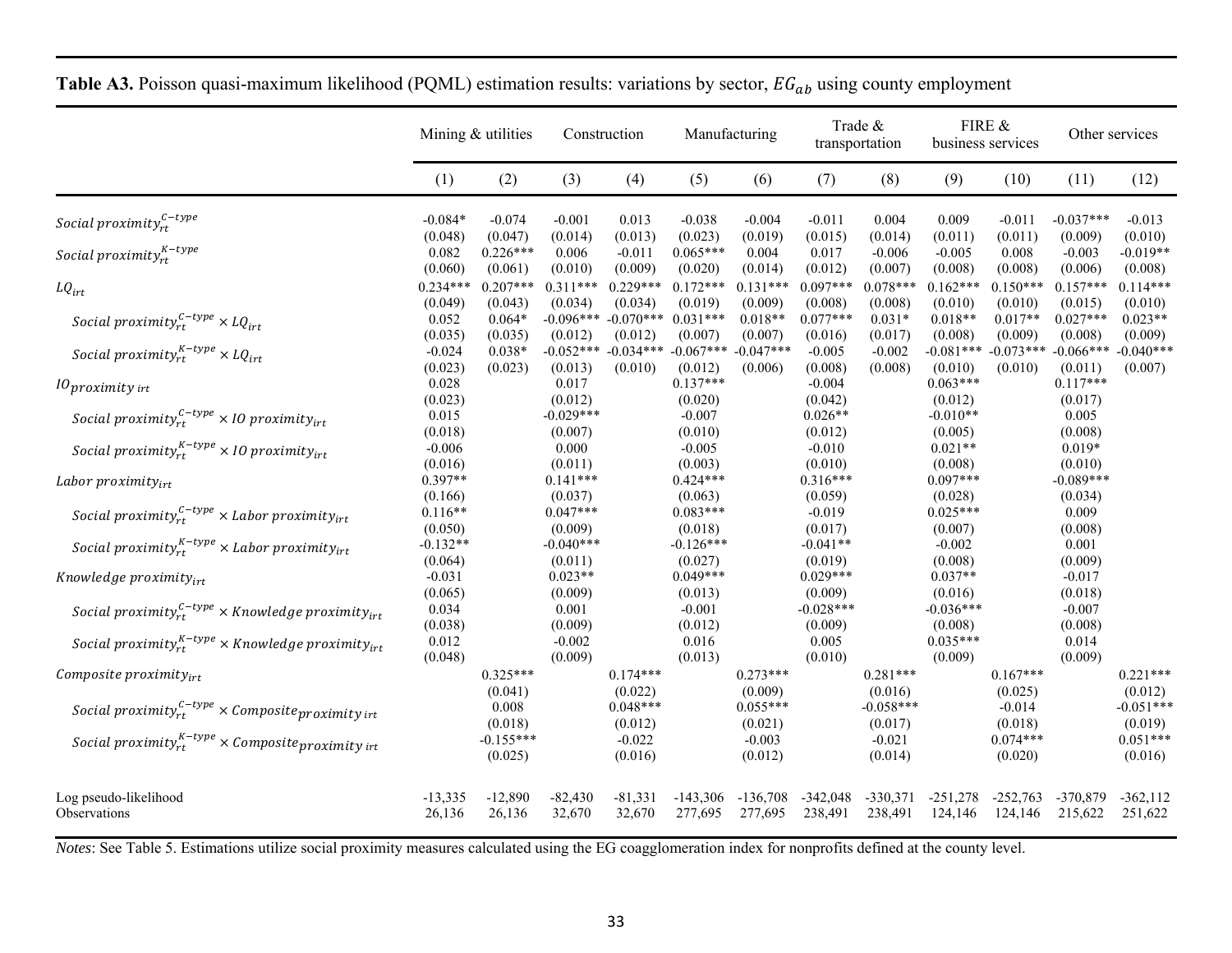|                                                                      | Mining & utilities    |                        | Construction           |                                    | Manufacturing          |                                               | Trade &<br>transportation |                        | FIRE &<br>business services |                        | Other services         |                        |
|----------------------------------------------------------------------|-----------------------|------------------------|------------------------|------------------------------------|------------------------|-----------------------------------------------|---------------------------|------------------------|-----------------------------|------------------------|------------------------|------------------------|
|                                                                      | (1)                   | (2)                    | (3)                    | (4)                                | (5)                    | (6)                                           | (7)                       | (8)                    | (9)                         | (10)                   | (11)                   | (12)                   |
| Social proximity $_{rt}^{C-type}$                                    | $-0.084*$<br>(0.048)  | $-0.074$<br>(0.047)    | $-0.001$<br>(0.014)    | 0.013<br>(0.013)                   | $-0.038$<br>(0.023)    | $-0.004$<br>(0.019)                           | $-0.011$<br>(0.015)       | 0.004<br>(0.014)       | 0.009<br>(0.011)            | $-0.011$<br>(0.011)    | $-0.037***$<br>(0.009) | $-0.013$<br>(0.010)    |
| Social proximity $_{rt}^{K-type}$                                    | 0.082<br>(0.060)      | $0.226***$<br>(0.061)  | 0.006<br>(0.010)       | $-0.011$<br>(0.009)                | $0.065***$<br>(0.020)  | 0.004<br>(0.014)                              | 0.017<br>(0.012)          | $-0.006$<br>(0.007)    | $-0.005$<br>(0.008)         | 0.008<br>(0.008)       | $-0.003$<br>(0.006)    | $-0.019**$<br>(0.008)  |
| $LQ_{irt}$                                                           | $0.234***$<br>(0.049) | $0.207***$<br>(0.043)  | $0.311***$<br>(0.034)  | $0.229***$<br>(0.034)              | $0.172***$<br>(0.019)  | $0.131***$<br>(0.009)                         | $0.097***$<br>(0.008)     | $0.078***$<br>(0.008)  | $0.162***$<br>(0.010)       | $0.150***$<br>(0.010)  | $0.157***$<br>(0.015)  | $0.114***$<br>(0.010)  |
| Social proximity $r_t^{c-type} \times LQ_{irt}$                      | 0.052<br>(0.035)      | $0.064*$<br>(0.035)    | $-0.096***$<br>(0.012) | $-0.070***$<br>(0.012)             | $0.031***$<br>(0.007)  | $0.018**$<br>(0.007)                          | $0.077***$<br>(0.016)     | $0.031*$<br>(0.017)    | $0.018**$<br>(0.008)        | $0.017**$<br>(0.009)   | $0.027***$<br>(0.008)  | $0.023**$<br>(0.009)   |
| Social proximity $x_t^{K-type} \times LQ_{irt}$                      | $-0.024$<br>(0.023)   | $0.038*$<br>(0.023)    | (0.013)                | $-0.052***$ $-0.034***$<br>(0.010) | $-0.067***$<br>(0.012) | $-0.047***$<br>(0.006)                        | $-0.005$<br>(0.008)       | $-0.002$<br>(0.008)    | $-0.081***$<br>(0.010)      | $-0.073***$<br>(0.010) | $-0.066***$<br>(0.011) | $-0.040***$<br>(0.007) |
| $10$ proximity irt                                                   | 0.028<br>(0.023)      |                        | 0.017<br>(0.012)       |                                    | $0.137***$<br>(0.020)  |                                               | $-0.004$<br>(0.042)       |                        | $0.063***$<br>(0.012)       |                        | $0.117***$<br>(0.017)  |                        |
| Social proximity $r_t^{c-type} \times 10$ proximity <sub>irt</sub>   | 0.015<br>(0.018)      |                        | $-0.029***$<br>(0.007) |                                    | $-0.007$<br>(0.010)    |                                               | $0.026**$<br>(0.012)      |                        | $-0.010**$<br>(0.005)       |                        | 0.005<br>(0.008)       |                        |
| Social proximity $y_{rt}^{K-type}$ × 10 proximity $y_{irt}$          | $-0.006$<br>(0.016)   |                        | 0.000<br>(0.011)       |                                    | $-0.005$<br>(0.003)    |                                               | $-0.010$<br>(0.010)       |                        | $0.021**$<br>(0.008)        |                        | $0.019*$<br>(0.010)    |                        |
| Labor proximity $v_{irt}$                                            | $0.397**$<br>(0.166)  |                        | $0.141***$<br>(0.037)  |                                    | $0.424***$<br>(0.063)  |                                               | $0.316***$<br>(0.059)     |                        | $0.097***$<br>(0.028)       |                        | $-0.089***$<br>(0.034) |                        |
| Social proximity $y_{rt}^{c-type}$ × Labor proximity <sub>irt</sub>  | $0.116**$<br>(0.050)  |                        | $0.047***$<br>(0.009)  |                                    | $0.083***$<br>(0.018)  |                                               | $-0.019$<br>(0.017)       |                        | $0.025***$<br>(0.007)       |                        | 0.009<br>(0.008)       |                        |
| Social proximity ${}_{rt}^{K-type}$ × Labor proximity ${}_{irt}$     | $-0.132**$<br>(0.064) |                        | $-0.040***$<br>(0.011) |                                    | $-0.126***$<br>(0.027) |                                               | $-0.041**$<br>(0.019)     |                        | $-0.002$<br>(0.008)         |                        | 0.001<br>(0.009)       |                        |
| Knowledge proximity $_{irt}$                                         | $-0.031$<br>(0.065)   |                        | $0.023**$<br>(0.009)   |                                    | $0.049***$<br>(0.013)  |                                               | $0.029***$<br>(0.009)     |                        | $0.037**$<br>(0.016)        |                        | $-0.017$<br>(0.018)    |                        |
| Social proximity ${}_{rt}^{c-type}$ × Knowledge proximity ${}_{irt}$ | 0.034<br>(0.038)      |                        | 0.001<br>(0.009)       |                                    | $-0.001$<br>(0.012)    |                                               | $-0.028***$<br>(0.009)    |                        | $-0.036***$<br>(0.008)      |                        | $-0.007$<br>(0.008)    |                        |
| Social proximity $x_t^{K-type}$ × Knowledge proximity $y_{irt}$      | 0.012<br>(0.048)      |                        | $-0.002$<br>(0.009)    |                                    | 0.016<br>(0.013)       |                                               | 0.005<br>(0.010)          |                        | $0.035***$<br>(0.009)       |                        | 0.014<br>(0.009)       |                        |
| Composite $proximity_{irt}$                                          |                       | $0.325***$<br>(0.041)  |                        | $0.174***$<br>(0.022)              |                        | $0.273***$<br>(0.009)                         |                           | $0.281***$<br>(0.016)  |                             | $0.167***$<br>(0.025)  |                        | $0.221***$<br>(0.012)  |
| Social proximity $r_t^{C-type} \times$ Composite proximity int       |                       | 0.008<br>(0.018)       |                        | $0.048***$<br>(0.012)              |                        | $0.055***$<br>(0.021)                         |                           | $-0.058***$<br>(0.017) |                             | $-0.014$<br>(0.018)    |                        | $-0.051***$<br>(0.019) |
| Social proximity ${}_{rt}^{K-type}$ × Composite proximity int        |                       | $-0.155***$<br>(0.025) |                        | $-0.022$<br>(0.016)                |                        | $-0.003$<br>(0.012)                           |                           | $-0.021$<br>(0.014)    |                             | $0.074***$<br>(0.020)  |                        | $0.051***$<br>(0.016)  |
| Log pseudo-likelihood<br>Observations                                | $-13,335$<br>26,136   | $-12,890$<br>26,136    | $-82,430$<br>32,670    | $-81,331$<br>32,670                | $-143,306$             | $-136,708$<br>277,695 277,695 238,491 238,491 | $-342,048$                | $-330,371$             | $-251,278$<br>124,146       | $-252,763$<br>124,146  | -370,879<br>215,622    | $-362, 112$<br>251,622 |

| <b>Table A3.</b> Poisson quasi-maximum likelihood (PQML) estimation results: variations by sector, $EG_{ab}$ using county employment |  |
|--------------------------------------------------------------------------------------------------------------------------------------|--|
|--------------------------------------------------------------------------------------------------------------------------------------|--|

*Notes*: See Table 5. Estimations utilize social proximity measures calculated using the EG coagglomeration index for nonprofits defined at the county level.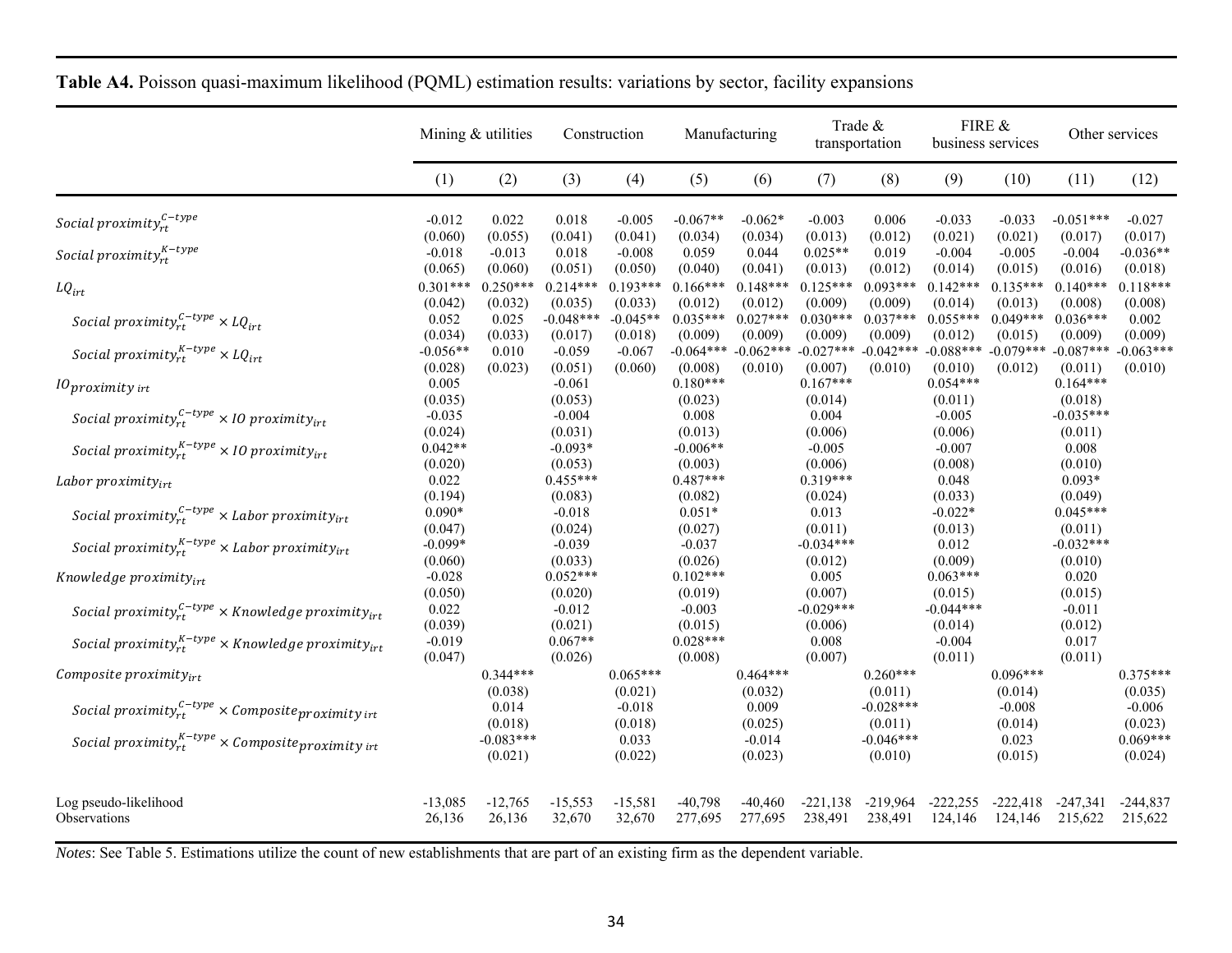|                                                                      | Mining & utilities    |                        | Construction           |                       | Manufacturing          |                        | Trade &<br>transportation          |                        | FIRE &<br>business services |                        | Other services         |                        |
|----------------------------------------------------------------------|-----------------------|------------------------|------------------------|-----------------------|------------------------|------------------------|------------------------------------|------------------------|-----------------------------|------------------------|------------------------|------------------------|
|                                                                      | (1)                   | (2)                    | (3)                    | (4)                   | (5)                    | (6)                    | (7)                                | (8)                    | (9)                         | (10)                   | (11)                   | (12)                   |
| Social proximity $_{rt}^{c-type}$                                    | $-0.012$<br>(0.060)   | 0.022<br>(0.055)       | 0.018<br>(0.041)       | $-0.005$<br>(0.041)   | $-0.067**$<br>(0.034)  | $-0.062*$<br>(0.034)   | $-0.003$<br>(0.013)                | 0.006<br>(0.012)       | $-0.033$<br>(0.021)         | $-0.033$<br>(0.021)    | $-0.051***$<br>(0.017) | $-0.027$<br>(0.017)    |
| Social proximity $_{rt}^{K-type}$                                    | $-0.018$<br>(0.065)   | $-0.013$<br>(0.060)    | 0.018<br>(0.051)       | $-0.008$<br>(0.050)   | 0.059<br>(0.040)       | 0.044<br>(0.041)       | $0.025**$<br>(0.013)               | 0.019<br>(0.012)       | $-0.004$<br>(0.014)         | $-0.005$<br>(0.015)    | $-0.004$<br>(0.016)    | $-0.036**$<br>(0.018)  |
| $LQ_{irt}$                                                           | $0.301***$<br>(0.042) | $0.250***$<br>(0.032)  | $0.214***$<br>(0.035)  | $0.193***$<br>(0.033) | $0.166***$<br>(0.012)  | $0.148***$<br>(0.012)  | $0.125***$<br>(0.009)              | $0.093***$<br>(0.009)  | $0.142***$<br>(0.014)       | $0.135***$<br>(0.013)  | $0.140***$<br>(0.008)  | $0.118***$<br>(0.008)  |
| Social proximity $r_t^{c-type} \times LQ_{irt}$                      | 0.052<br>(0.034)      | 0.025<br>(0.033)       | $-0.048***$<br>(0.017) | $-0.045**$<br>(0.018) | $0.035***$<br>(0.009)  | $0.027***$<br>(0.009)  | $0.030***$<br>(0.009)              | $0.037***$<br>(0.009)  | $0.055***$<br>(0.012)       | $0.049***$<br>(0.015)  | $0.036***$<br>(0.009)  | 0.002<br>(0.009)       |
| Social proximity $x_t^{K-type} \times LQ_{irt}$                      | $-0.056**$<br>(0.028) | 0.010<br>(0.023)       | $-0.059$<br>(0.051)    | $-0.067$<br>(0.060)   | $-0.064***$<br>(0.008) | $-0.062***$<br>(0.010) | $-0.027***$ $-0.042***$<br>(0.007) | (0.010)                | $-0.088***$<br>(0.010)      | $-0.079***$<br>(0.012) | $-0.087***$<br>(0.011) | $-0.063***$<br>(0.010) |
| $10$ proximity irt                                                   | 0.005<br>(0.035)      |                        | $-0.061$<br>(0.053)    |                       | $0.180***$<br>(0.023)  |                        | $0.167***$<br>(0.014)              |                        | $0.054***$<br>(0.011)       |                        | $0.164***$<br>(0.018)  |                        |
| Social proximity $r_t^{C-type} \times 10$ proximity <sub>irt</sub>   | $-0.035$<br>(0.024)   |                        | $-0.004$<br>(0.031)    |                       | 0.008<br>(0.013)       |                        | 0.004<br>(0.006)                   |                        | $-0.005$<br>(0.006)         |                        | $-0.035***$<br>(0.011) |                        |
| Social proximity $y_{rt}^{K-type}$ × 10 proximity <sub>irt</sub>     | $0.042**$<br>(0.020)  |                        | $-0.093*$<br>(0.053)   |                       | $-0.006**$<br>(0.003)  |                        | $-0.005$<br>(0.006)                |                        | $-0.007$<br>(0.008)         |                        | 0.008<br>(0.010)       |                        |
| Labor proximity $_{irt}$                                             | 0.022<br>(0.194)      |                        | $0.455***$<br>(0.083)  |                       | $0.487***$<br>(0.082)  |                        | $0.319***$<br>(0.024)              |                        | 0.048<br>(0.033)            |                        | $0.093*$<br>(0.049)    |                        |
| Social proximity $r_t^{C-type}$ × Labor proximity <sub>irt</sub>     | $0.090*$<br>(0.047)   |                        | $-0.018$<br>(0.024)    |                       | $0.051*$<br>(0.027)    |                        | 0.013<br>(0.011)                   |                        | $-0.022*$<br>(0.013)        |                        | $0.045***$<br>(0.011)  |                        |
| Social proximity ${}_{rt}^{K-type}$ × Labor proximity ${}_{irt}$     | $-0.099*$<br>(0.060)  |                        | $-0.039$<br>(0.033)    |                       | $-0.037$<br>(0.026)    |                        | $-0.034***$<br>(0.012)             |                        | 0.012<br>(0.009)            |                        | $-0.032***$<br>(0.010) |                        |
| Knowledge proximity $_{irt}$                                         | $-0.028$<br>(0.050)   |                        | $0.052***$<br>(0.020)  |                       | $0.102***$<br>(0.019)  |                        | 0.005<br>(0.007)                   |                        | $0.063***$<br>(0.015)       |                        | 0.020<br>(0.015)       |                        |
| Social proximity $r_t^{C-type}$ × Knowledge proximity $r_{irt}$      | 0.022<br>(0.039)      |                        | $-0.012$<br>(0.021)    |                       | $-0.003$<br>(0.015)    |                        | $-0.029***$<br>(0.006)             |                        | $-0.044***$<br>(0.014)      |                        | $-0.011$<br>(0.012)    |                        |
| Social proximity ${}_{rt}^{K-type}$ × Knowledge proximity ${}_{irt}$ | $-0.019$<br>(0.047)   |                        | $0.067**$<br>(0.026)   |                       | $0.028***$<br>(0.008)  |                        | 0.008<br>(0.007)                   |                        | $-0.004$<br>(0.011)         |                        | 0.017<br>(0.011)       |                        |
| $Composite$ proximity <sub>irt</sub>                                 |                       | $0.344***$<br>(0.038)  |                        | $0.065***$<br>(0.021) |                        | $0.464***$<br>(0.032)  |                                    | $0.260***$<br>(0.011)  |                             | $0.096***$<br>(0.014)  |                        | $0.375***$<br>(0.035)  |
| Social proximity $r_t^{c-type} \times$ Composite proximity int       |                       | 0.014<br>(0.018)       |                        | $-0.018$<br>(0.018)   |                        | 0.009<br>(0.025)       |                                    | $-0.028***$<br>(0.011) |                             | $-0.008$<br>(0.014)    |                        | $-0.006$<br>(0.023)    |
| Social proximity ${}_{rt}^{K-type}$ × Composite proximity irt        |                       | $-0.083***$<br>(0.021) |                        | 0.033<br>(0.022)      |                        | $-0.014$<br>(0.023)    |                                    | $-0.046***$<br>(0.010) |                             | 0.023<br>(0.015)       |                        | $0.069***$<br>(0.024)  |
| Log pseudo-likelihood<br>Observations                                | $-13,085$<br>26,136   | $-12,765$<br>26,136    | $-15,553$<br>32,670    | $-15,581$<br>32,670   | $-40,798$<br>277,695   | $-40.460$<br>277,695   | $-221.138$<br>238,491              | $-219,964$<br>238,491  | $-222.255$<br>124,146       | $-222.418$<br>124,146  | $-247.341$<br>215,622  | $-244.837$<br>215,622  |

| <b>Table A4.</b> Poisson quasi-maximum likelihood (PQML) estimation results: variations by sector, facility expansions |  |  |  |
|------------------------------------------------------------------------------------------------------------------------|--|--|--|
|------------------------------------------------------------------------------------------------------------------------|--|--|--|

*Notes*: See Table 5. Estimations utilize the count of new establishments that are part of an existing firm as the dependent variable.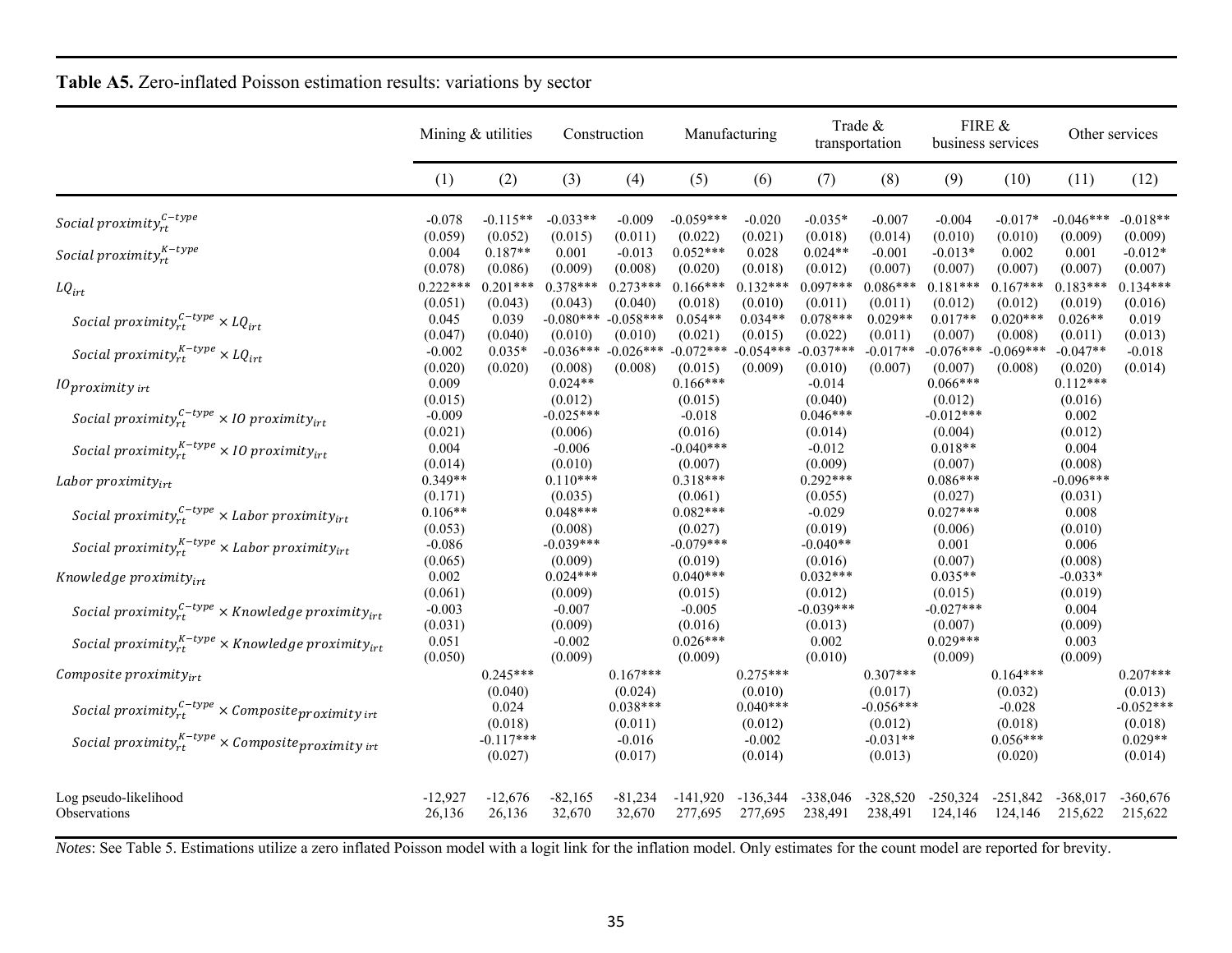|                                                                             | Mining & utilities    |                        | Construction           |                        | Manufacturing                                              |                       | Trade &<br>transportation   |                        | FIRE &<br>business services |                               | Other services         |                        |
|-----------------------------------------------------------------------------|-----------------------|------------------------|------------------------|------------------------|------------------------------------------------------------|-----------------------|-----------------------------|------------------------|-----------------------------|-------------------------------|------------------------|------------------------|
|                                                                             | (1)                   | (2)                    | (3)                    | (4)                    | (5)                                                        | (6)                   | (7)                         | (8)                    | (9)                         | (10)                          | (11)                   | (12)                   |
| Social proximity $_{rt}^{\mathcal{C}-type}$                                 | $-0.078$<br>(0.059)   | $-0.115**$<br>(0.052)  | $-0.033**$<br>(0.015)  | $-0.009$<br>(0.011)    | $-0.059***$<br>(0.022)                                     | $-0.020$<br>(0.021)   | $-0.035*$<br>(0.018)        | $-0.007$<br>(0.014)    | $-0.004$<br>(0.010)         | $-0.017*$<br>(0.010)          | $-0.046***$<br>(0.009) | $-0.018**$<br>(0.009)  |
| Social proximity ${}_{rt}^{K-type}$                                         | 0.004<br>(0.078)      | $0.187**$<br>(0.086)   | 0.001<br>(0.009)       | $-0.013$<br>(0.008)    | $0.052***$<br>(0.020)                                      | 0.028<br>(0.018)      | $0.024**$<br>(0.012)        | $-0.001$<br>(0.007)    | $-0.013*$<br>(0.007)        | 0.002<br>(0.007)              | 0.001<br>(0.007)       | $-0.012*$<br>(0.007)   |
| $LQ_{irt}$                                                                  | $0.222***$<br>(0.051) | $0.201***$<br>(0.043)  | $0.378***$<br>(0.043)  | $0.273***$<br>(0.040)  | $0.166***$<br>(0.018)                                      | $0.132***$<br>(0.010) | $0.097***$<br>(0.011)       | $0.086***$<br>(0.011)  | $0.181***$<br>(0.012)       | $0.167***$<br>(0.012)         | $0.183***$<br>(0.019)  | $0.134***$<br>(0.016)  |
| Social proximity $r_t^{c-type} \times LQ_{irt}$                             | 0.045<br>(0.047)      | 0.039<br>(0.040)       | $-0.080***$<br>(0.010) | $-0.058***$<br>(0.010) | $0.054**$<br>(0.021)                                       | $0.034**$<br>(0.015)  | $0.078***$<br>(0.022)       | $0.029**$<br>(0.011)   | $0.017**$<br>(0.007)        | $0.020***$<br>(0.008)         | $0.026**$<br>(0.011)   | 0.019<br>(0.013)       |
| Social proximity $y_{rt}^{K-type} \times LQ_{irt}$                          | $-0.002$<br>(0.020)   | $0.035*$<br>(0.020)    | (0.008)                | (0.008)                | $-0.036***$ $-0.026***$ $-0.072***$ $-0.054***$<br>(0.015) | (0.009)               | $-0.037***$<br>(0.010)      | $-0.017**$<br>(0.007)  | $-0.076***$<br>(0.007)      | $-0.069***$<br>(0.008)        | $-0.047**$<br>(0.020)  | $-0.018$<br>(0.014)    |
| $10$ proximity irt                                                          | 0.009<br>(0.015)      |                        | $0.024**$<br>(0.012)   |                        | $0.166***$<br>(0.015)                                      |                       | $-0.014$<br>(0.040)         |                        | $0.066***$<br>(0.012)       |                               | $0.112***$<br>(0.016)  |                        |
| Social proximity $r_t^{C-type} \times 10$ proximity <sub>irt</sub>          | $-0.009$<br>(0.021)   |                        | $-0.025***$<br>(0.006) |                        | $-0.018$<br>(0.016)                                        |                       | $0.046***$<br>(0.014)       |                        | $-0.012***$<br>(0.004)      |                               | 0.002<br>(0.012)       |                        |
| Social proximity $_{rt}^{K-type}$ × 10 proximity $_{irt}$                   | 0.004<br>(0.014)      |                        | $-0.006$<br>(0.010)    |                        | $-0.040***$<br>(0.007)                                     |                       | $-0.012$<br>(0.009)         |                        | $0.018**$<br>(0.007)        |                               | 0.004<br>(0.008)       |                        |
| Labor proximity $v_{irt}$                                                   | $0.349**$<br>(0.171)  |                        | $0.110***$<br>(0.035)  |                        | $0.318***$<br>(0.061)                                      |                       | $0.292***$<br>(0.055)       |                        | $0.086***$<br>(0.027)       |                               | $-0.096***$<br>(0.031) |                        |
| Social proximity $y_{rt}^{C-type}$ × Labor proximity <sub>irt</sub>         | $0.106**$<br>(0.053)  |                        | $0.048***$<br>(0.008)  |                        | $0.082***$<br>(0.027)                                      |                       | $-0.029$<br>(0.019)         |                        | $0.027***$<br>(0.006)       |                               | 0.008<br>(0.010)       |                        |
| Social proximity $y_{rt}^{K-type}$ × Labor proximity <sub>irt</sub>         | $-0.086$<br>(0.065)   |                        | $-0.039***$<br>(0.009) |                        | $-0.079***$<br>(0.019)                                     |                       | $-0.040**$<br>(0.016)       |                        | 0.001<br>(0.007)            |                               | 0.006<br>(0.008)       |                        |
| Knowledge proximity $_{irr}$                                                | 0.002<br>(0.061)      |                        | $0.024***$<br>(0.009)  |                        | $0.040***$<br>(0.015)                                      |                       | $0.032***$<br>(0.012)       |                        | $0.035**$<br>(0.015)        |                               | $-0.033*$<br>(0.019)   |                        |
| Social proximity $r_t^{C-type}$ × Knowledge proximity <sub>irt</sub>        | $-0.003$<br>(0.031)   |                        | $-0.007$<br>(0.009)    |                        | $-0.005$<br>(0.016)                                        |                       | $-0.039***$<br>(0.013)      |                        | $-0.027***$<br>(0.007)      |                               | 0.004<br>(0.009)       |                        |
| Social proximity ${}_{rt}^{K-type}$ $\times$ Knowledge proximity ${}_{irt}$ | 0.051<br>(0.050)      |                        | $-0.002$<br>(0.009)    |                        | $0.026***$<br>(0.009)                                      |                       | 0.002<br>(0.010)            |                        | $0.029***$<br>(0.009)       |                               | 0.003<br>(0.009)       |                        |
| Composite proximity $_{irt}$                                                |                       | $0.245***$<br>(0.040)  |                        | $0.167***$<br>(0.024)  |                                                            | $0.275***$<br>(0.010) |                             | $0.307***$<br>(0.017)  |                             | $0.164***$<br>(0.032)         |                        | $0.207***$<br>(0.013)  |
| Social proximity $r_t^{c-type} \times$ Composite proximity int              |                       | 0.024<br>(0.018)       |                        | $0.038***$<br>(0.011)  |                                                            | $0.040***$<br>(0.012) |                             | $-0.056***$<br>(0.012) |                             | $-0.028$<br>(0.018)           |                        | $-0.052***$<br>(0.018) |
| Social proximity $_{rt}^{K-type}$ × Composite proximity int                 |                       | $-0.117***$<br>(0.027) |                        | $-0.016$<br>(0.017)    |                                                            | $-0.002$<br>(0.014)   |                             | $-0.031**$<br>(0.013)  |                             | $0.056***$<br>(0.020)         |                        | $0.029**$<br>(0.014)   |
| Log pseudo-likelihood<br>Observations                                       | $-12,927$<br>26,136   | $-12,676$<br>26,136    | $-82,165$<br>32,670    | $-81,234$<br>32,670    | -141,920<br>277,695                                        | -136,344              | -338,046<br>277,695 238,491 | $-328,520$<br>238,491  | $-250,324$<br>124,146       | $-251,842$<br>124,146 215,622 | $-368,017$             | $-360,676$<br>215,622  |

**Table A5.** Zero-inflated Poisson estimation results: variations by sector

*Notes*: See Table 5. Estimations utilize a zero inflated Poisson model with a logit link for the inflation model. Only estimates for the count model are reported for brevity.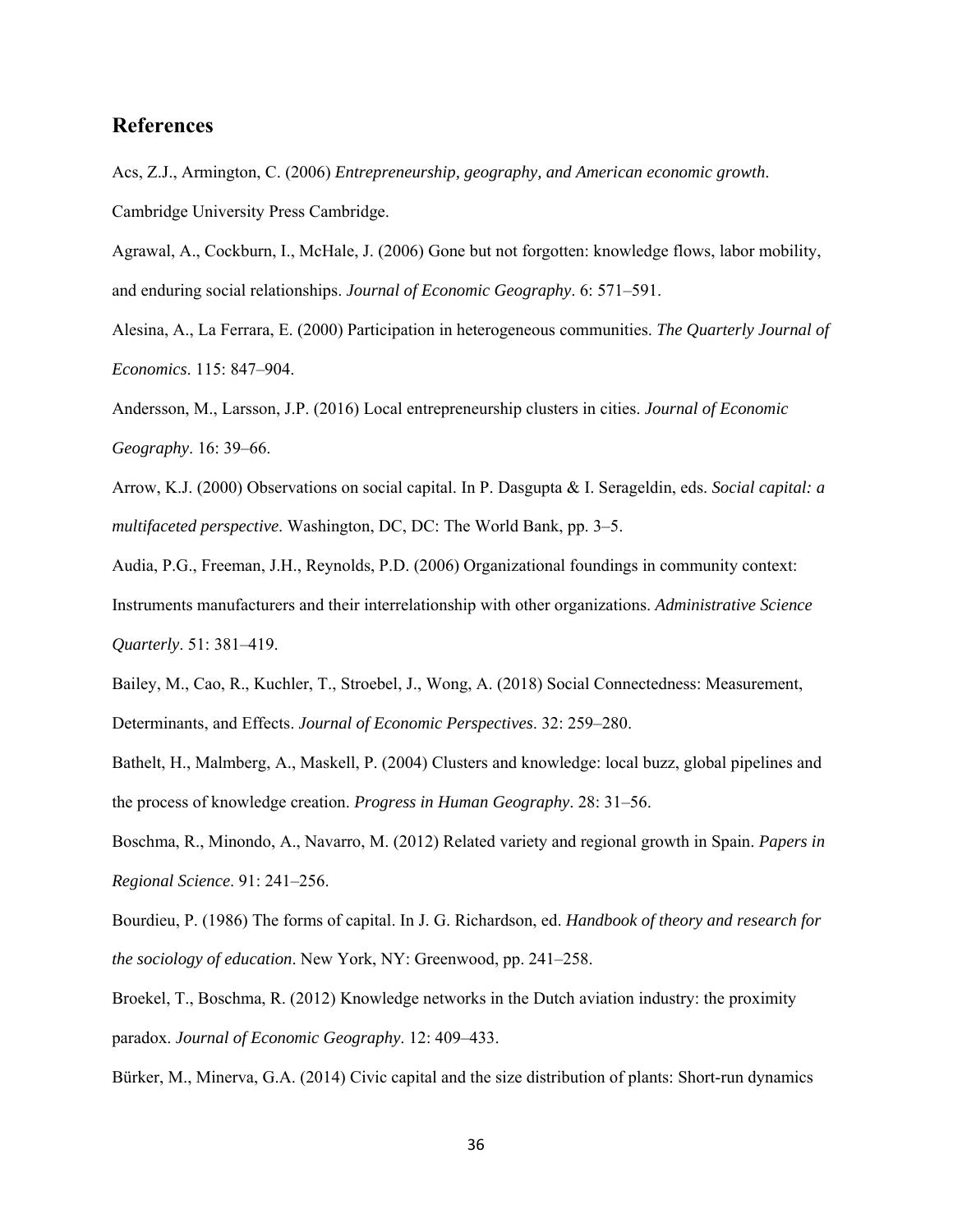# **References**

Acs, Z.J., Armington, C. (2006) *Entrepreneurship, geography, and American economic growth*. Cambridge University Press Cambridge.

Agrawal, A., Cockburn, I., McHale, J. (2006) Gone but not forgotten: knowledge flows, labor mobility, and enduring social relationships. *Journal of Economic Geography*. 6: 571–591.

Alesina, A., La Ferrara, E. (2000) Participation in heterogeneous communities. *The Quarterly Journal of Economics*. 115: 847–904.

Andersson, M., Larsson, J.P. (2016) Local entrepreneurship clusters in cities. *Journal of Economic Geography*. 16: 39–66.

Arrow, K.J. (2000) Observations on social capital. In P. Dasgupta & I. Serageldin, eds. *Social capital: a multifaceted perspective*. Washington, DC, DC: The World Bank, pp. 3–5.

Audia, P.G., Freeman, J.H., Reynolds, P.D. (2006) Organizational foundings in community context: Instruments manufacturers and their interrelationship with other organizations. *Administrative Science Quarterly*. 51: 381–419.

Bailey, M., Cao, R., Kuchler, T., Stroebel, J., Wong, A. (2018) Social Connectedness: Measurement, Determinants, and Effects. *Journal of Economic Perspectives*. 32: 259–280.

 the process of knowledge creation. *Progress in Human Geography*. 28: 31–56. Bathelt, H., Malmberg, A., Maskell, P. (2004) Clusters and knowledge: local buzz, global pipelines and

Boschma, R., Minondo, A., Navarro, M. (2012) Related variety and regional growth in Spain. *Papers in Regional Science*. 91: 241–256.

Bourdieu, P. (1986) The forms of capital. In J. G. Richardson, ed. *Handbook of theory and research for the sociology of education*. New York, NY: Greenwood, pp. 241–258.

Broekel, T., Boschma, R. (2012) Knowledge networks in the Dutch aviation industry: the proximity paradox. *Journal of Economic Geography*. 12: 409–433.

Bürker, M., Minerva, G.A. (2014) Civic capital and the size distribution of plants: Short-run dynamics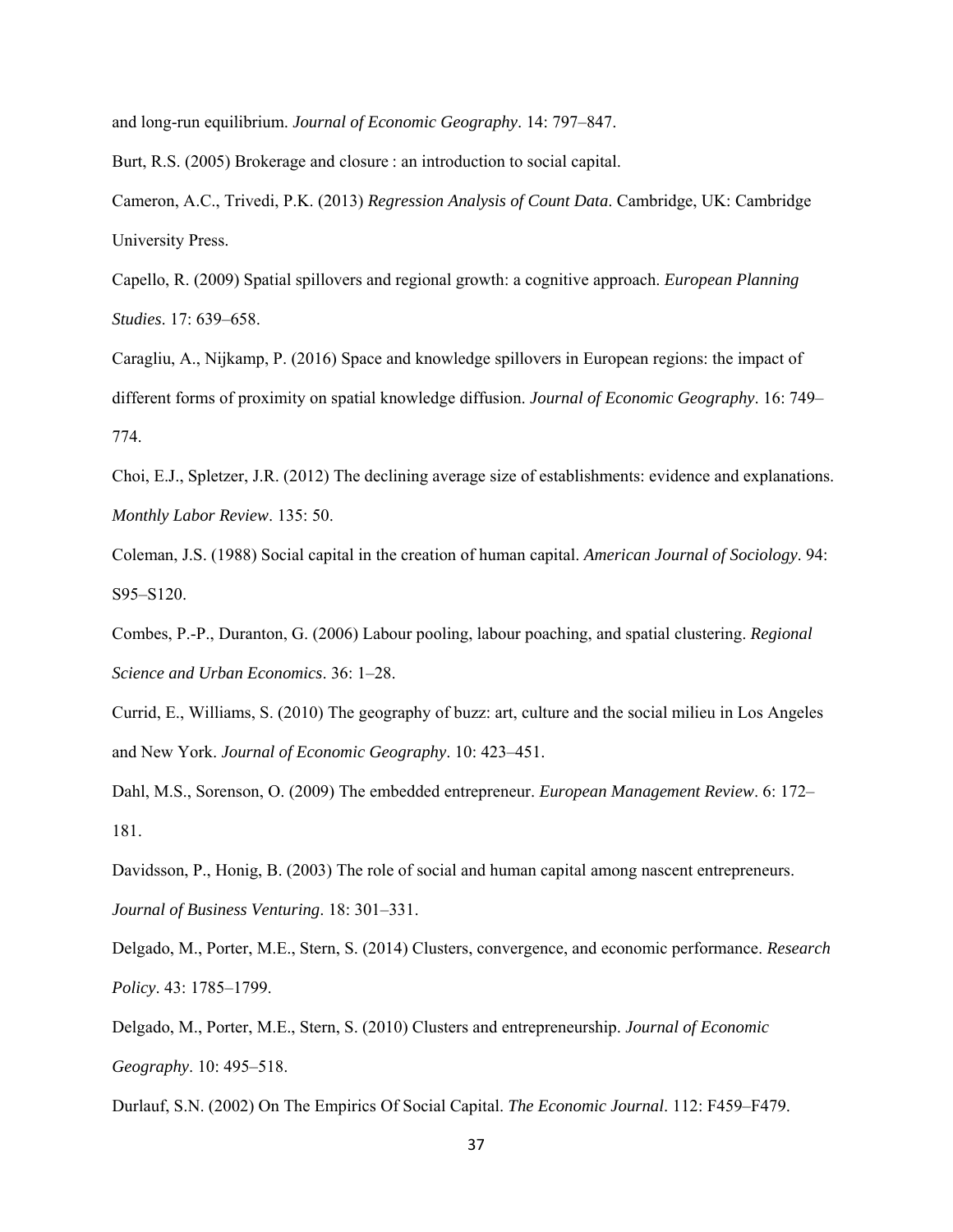and long-run equilibrium. *Journal of Economic Geography*. 14: 797–847.

Burt, R.S. (2005) Brokerage and closure : an introduction to social capital.

Cameron, A.C., Trivedi, P.K. (2013) *Regression Analysis of Count Data*. Cambridge, UK: Cambridge University Press.

Capello, R. (2009) Spatial spillovers and regional growth: a cognitive approach. *European Planning Studies*. 17: 639–658.

Caragliu, A., Nijkamp, P. (2016) Space and knowledge spillovers in European regions: the impact of different forms of proximity on spatial knowledge diffusion. *Journal of Economic Geography*. 16: 749– 774.

Choi, E.J., Spletzer, J.R. (2012) The declining average size of establishments: evidence and explanations. *Monthly Labor Review*. 135: 50.

Coleman, J.S. (1988) Social capital in the creation of human capital. *American Journal of Sociology*. 94: S95–S120.

Combes, P.-P., Duranton, G. (2006) Labour pooling, labour poaching, and spatial clustering. *Regional Science and Urban Economics*. 36: 1–28.

Currid, E., Williams, S. (2010) The geography of buzz: art, culture and the social milieu in Los Angeles and New York. *Journal of Economic Geography*. 10: 423–451.

Dahl, M.S., Sorenson, O. (2009) The embedded entrepreneur. *European Management Review*. 6: 172– 181.

Davidsson, P., Honig, B. (2003) The role of social and human capital among nascent entrepreneurs. *Journal of Business Venturing*. 18: 301–331.

Delgado, M., Porter, M.E., Stern, S. (2014) Clusters, convergence, and economic performance. *Research Policy*. 43: 1785–1799.

Delgado, M., Porter, M.E., Stern, S. (2010) Clusters and entrepreneurship. *Journal of Economic Geography*. 10: 495–518.

Durlauf, S.N. (2002) On The Empirics Of Social Capital. *The Economic Journal*. 112: F459–F479.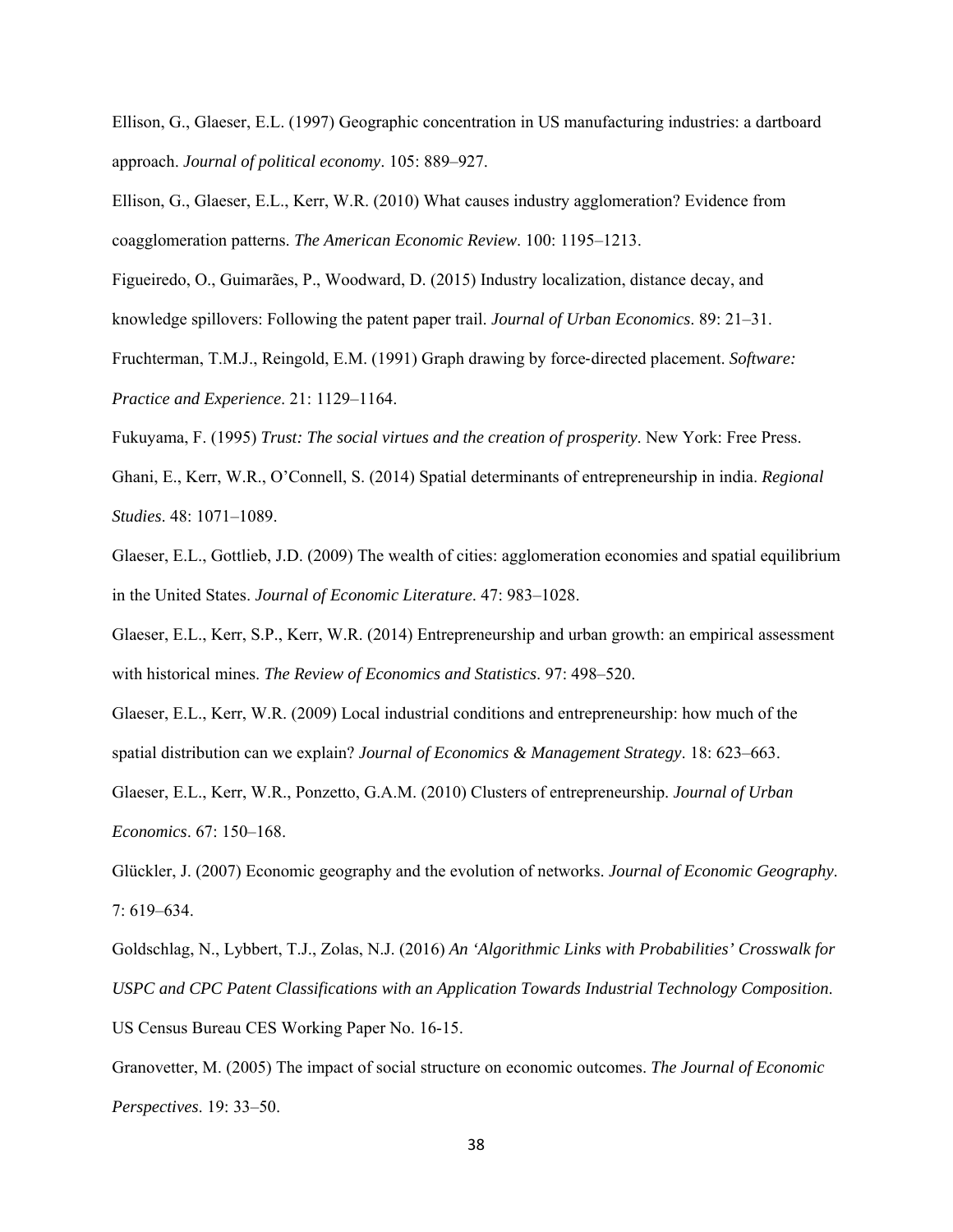Ellison, G., Glaeser, E.L. (1997) Geographic concentration in US manufacturing industries: a dartboard approach. *Journal of political economy*. 105: 889–927.

Ellison, G., Glaeser, E.L., Kerr, W.R. (2010) What causes industry agglomeration? Evidence from coagglomeration patterns. *The American Economic Review*. 100: 1195–1213.

Figueiredo, O., Guimarães, P., Woodward, D. (2015) Industry localization, distance decay, and knowledge spillovers: Following the patent paper trail. *Journal of Urban Economics*. 89: 21–31.

Fruchterman, T.M.J., Reingold, E.M. (1991) Graph drawing by force-directed placement. *Software: Practice and Experience*. 21: 1129–1164.

Fukuyama, F. (1995) *Trust: The social virtues and the creation of prosperity*. New York: Free Press.

Ghani, E., Kerr, W.R., O'Connell, S. (2014) Spatial determinants of entrepreneurship in india. *Regional Studies*. 48: 1071–1089.

Glaeser, E.L., Gottlieb, J.D. (2009) The wealth of cities: agglomeration economies and spatial equilibrium in the United States. *Journal of Economic Literature*. 47: 983–1028.

Glaeser, E.L., Kerr, S.P., Kerr, W.R. (2014) Entrepreneurship and urban growth: an empirical assessment with historical mines. *The Review of Economics and Statistics*. 97: 498–520.

Glaeser, E.L., Kerr, W.R. (2009) Local industrial conditions and entrepreneurship: how much of the spatial distribution can we explain? *Journal of Economics & Management Strategy*. 18: 623–663.

Glaeser, E.L., Kerr, W.R., Ponzetto, G.A.M. (2010) Clusters of entrepreneurship. *Journal of Urban Economics*. 67: 150–168.

Glückler, J. (2007) Economic geography and the evolution of networks. *Journal of Economic Geography*. 7: 619–634.

Goldschlag, N., Lybbert, T.J., Zolas, N.J. (2016) *An 'Algorithmic Links with Probabilities' Crosswalk for USPC and CPC Patent Classifications with an Application Towards Industrial Technology Composition*. US Census Bureau CES Working Paper No. 16-15.

Granovetter, M. (2005) The impact of social structure on economic outcomes. *The Journal of Economic Perspectives*. 19: 33–50.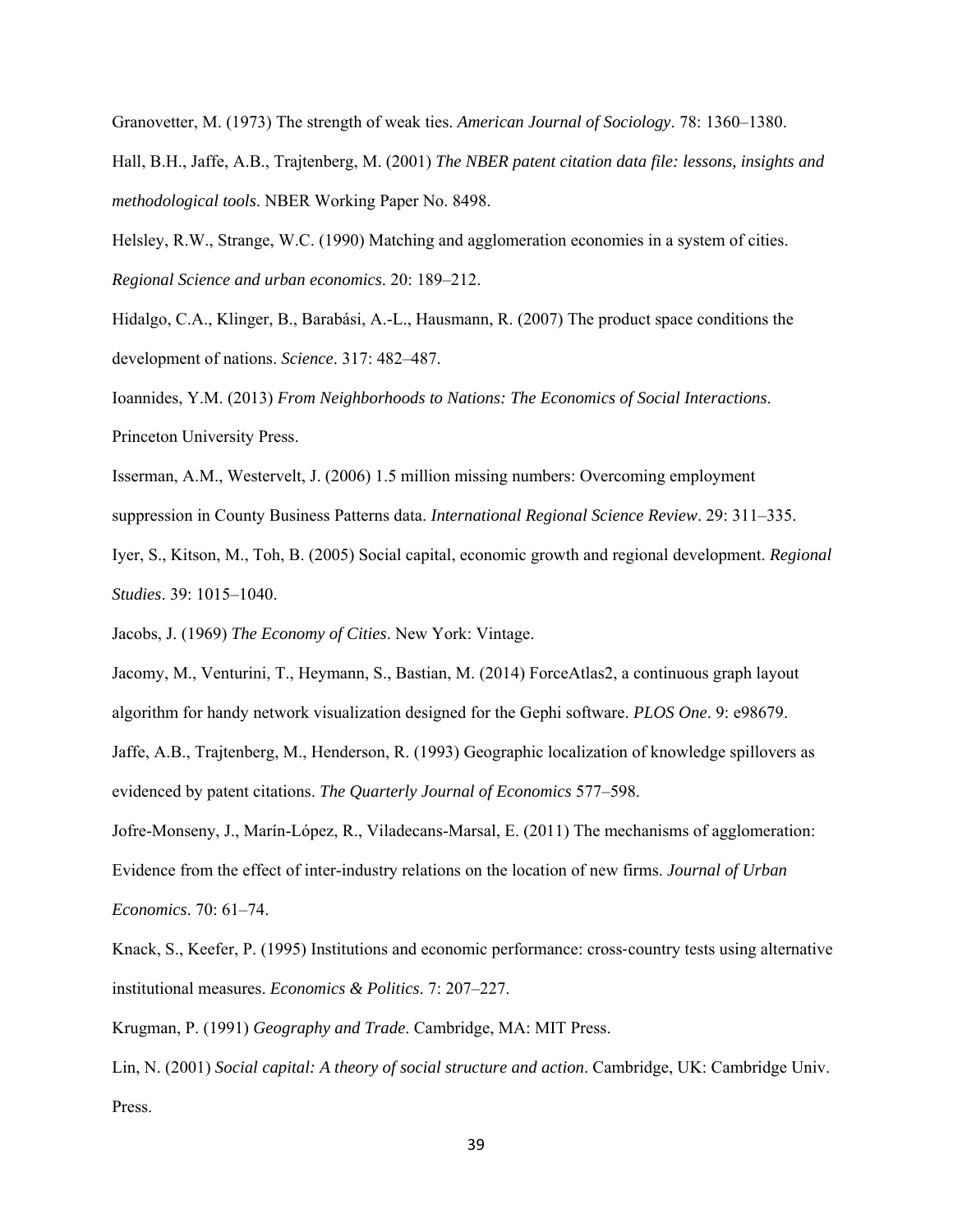Granovetter, M. (1973) The strength of weak ties. *American Journal of Sociology*. 78: 1360–1380. Hall, B.H., Jaffe, A.B., Trajtenberg, M. (2001) *The NBER patent citation data file: lessons, insights and methodological tools*. NBER Working Paper No. 8498.

Helsley, R.W., Strange, W.C. (1990) Matching and agglomeration economies in a system of cities. *Regional Science and urban economics*. 20: 189–212.

Hidalgo, C.A., Klinger, B., Barabási, A.-L., Hausmann, R. (2007) The product space conditions the development of nations. *Science*. 317: 482–487.

Ioannides, Y.M. (2013) *From Neighborhoods to Nations: The Economics of Social Interactions*. Princeton University Press.

Isserman, A.M., Westervelt, J. (2006) 1.5 million missing numbers: Overcoming employment suppression in County Business Patterns data. *International Regional Science Review*. 29: 311–335.

Iyer, S., Kitson, M., Toh, B. (2005) Social capital, economic growth and regional development. *Regional Studies*. 39: 1015–1040.

Jacobs, J. (1969) *The Economy of Cities*. New York: Vintage.

 algorithm for handy network visualization designed for the Gephi software. *PLOS One*. 9: e98679. Jacomy, M., Venturini, T., Heymann, S., Bastian, M. (2014) ForceAtlas2, a continuous graph layout Jaffe, A.B., Trajtenberg, M., Henderson, R. (1993) Geographic localization of knowledge spillovers as evidenced by patent citations. *The Quarterly Journal of Economics* 577–598.

Jofre-Monseny, J., Marín-López, R., Viladecans-Marsal, E. (2011) The mechanisms of agglomeration: Evidence from the effect of inter-industry relations on the location of new firms. *Journal of Urban Economics*. 70: 61–74.

Knack, S., Keefer, P. (1995) Institutions and economic performance: cross-country tests using alternative institutional measures. *Economics & Politics*. 7: 207–227.

Krugman, P. (1991) *Geography and Trade*. Cambridge, MA: MIT Press.

Lin, N. (2001) *Social capital: A theory of social structure and action*. Cambridge, UK: Cambridge Univ. Press.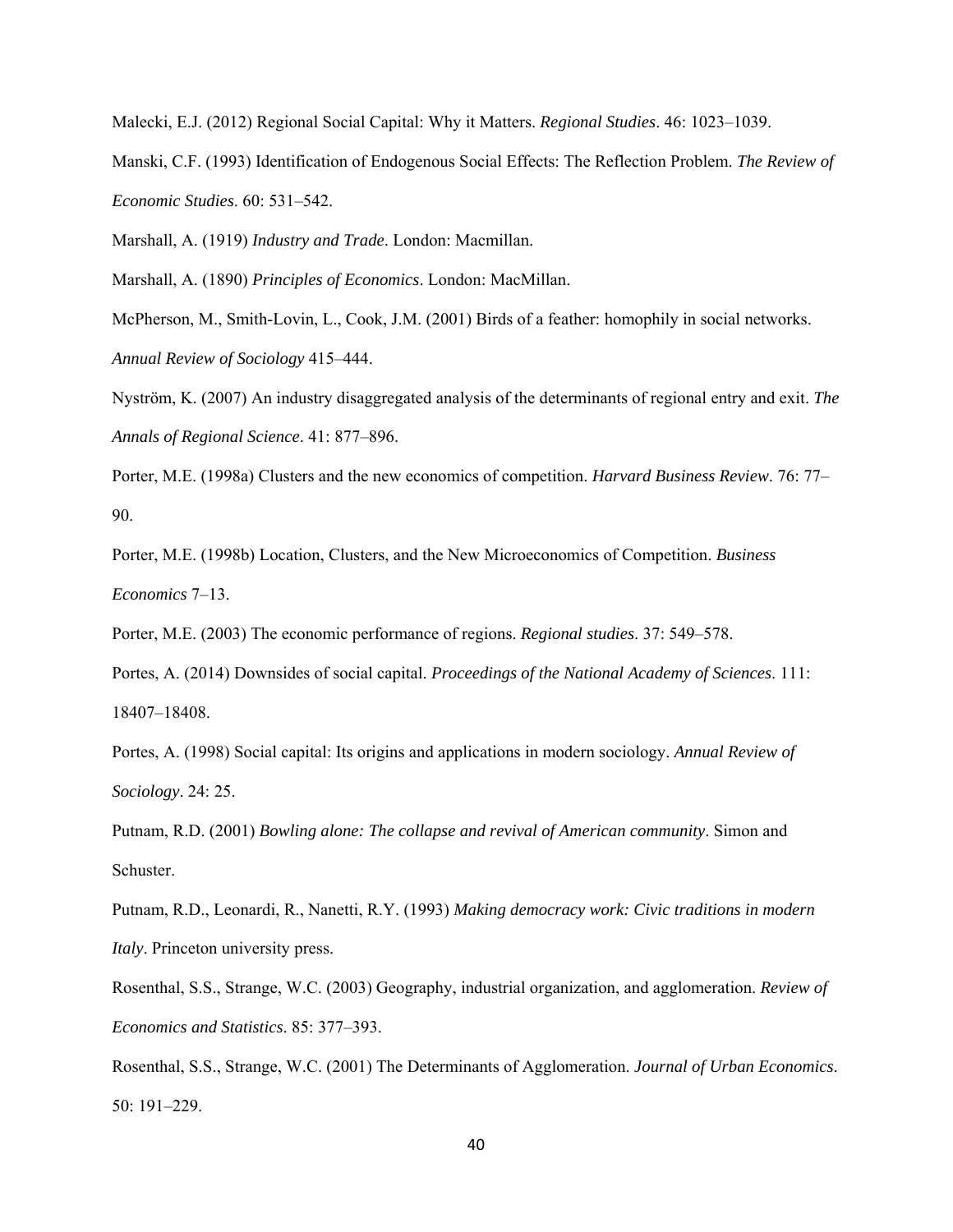Malecki, E.J. (2012) Regional Social Capital: Why it Matters. *Regional Studies*. 46: 1023–1039.

Manski, C.F. (1993) Identification of Endogenous Social Effects: The Reflection Problem. *The Review of Economic Studies*. 60: 531–542.

Marshall, A. (1919) *Industry and Trade*. London: Macmillan.

Marshall, A. (1890) *Principles of Economics*. London: MacMillan.

McPherson, M., Smith-Lovin, L., Cook, J.M. (2001) Birds of a feather: homophily in social networks. *Annual Review of Sociology* 415–444.

Nyström, K. (2007) An industry disaggregated analysis of the determinants of regional entry and exit. *The Annals of Regional Science*. 41: 877–896.

Porter, M.E. (1998a) Clusters and the new economics of competition. *Harvard Business Review*. 76: 77– 90.

Porter, M.E. (1998b) Location, Clusters, and the New Microeconomics of Competition. *Business Economics* 7–13.

Porter, M.E. (2003) The economic performance of regions. *Regional studies*. 37: 549–578.

Portes, A. (2014) Downsides of social capital. *Proceedings of the National Academy of Sciences*. 111: 18407–18408.

Portes, A. (1998) Social capital: Its origins and applications in modern sociology. *Annual Review of Sociology*. 24: 25.

Putnam, R.D. (2001) *Bowling alone: The collapse and revival of American community*. Simon and Schuster.

Putnam, R.D., Leonardi, R., Nanetti, R.Y. (1993) *Making democracy work: Civic traditions in modern Italy*. Princeton university press.

Rosenthal, S.S., Strange, W.C. (2003) Geography, industrial organization, and agglomeration. *Review of Economics and Statistics*. 85: 377–393.

Rosenthal, S.S., Strange, W.C. (2001) The Determinants of Agglomeration. *Journal of Urban Economics*. 50: 191–229.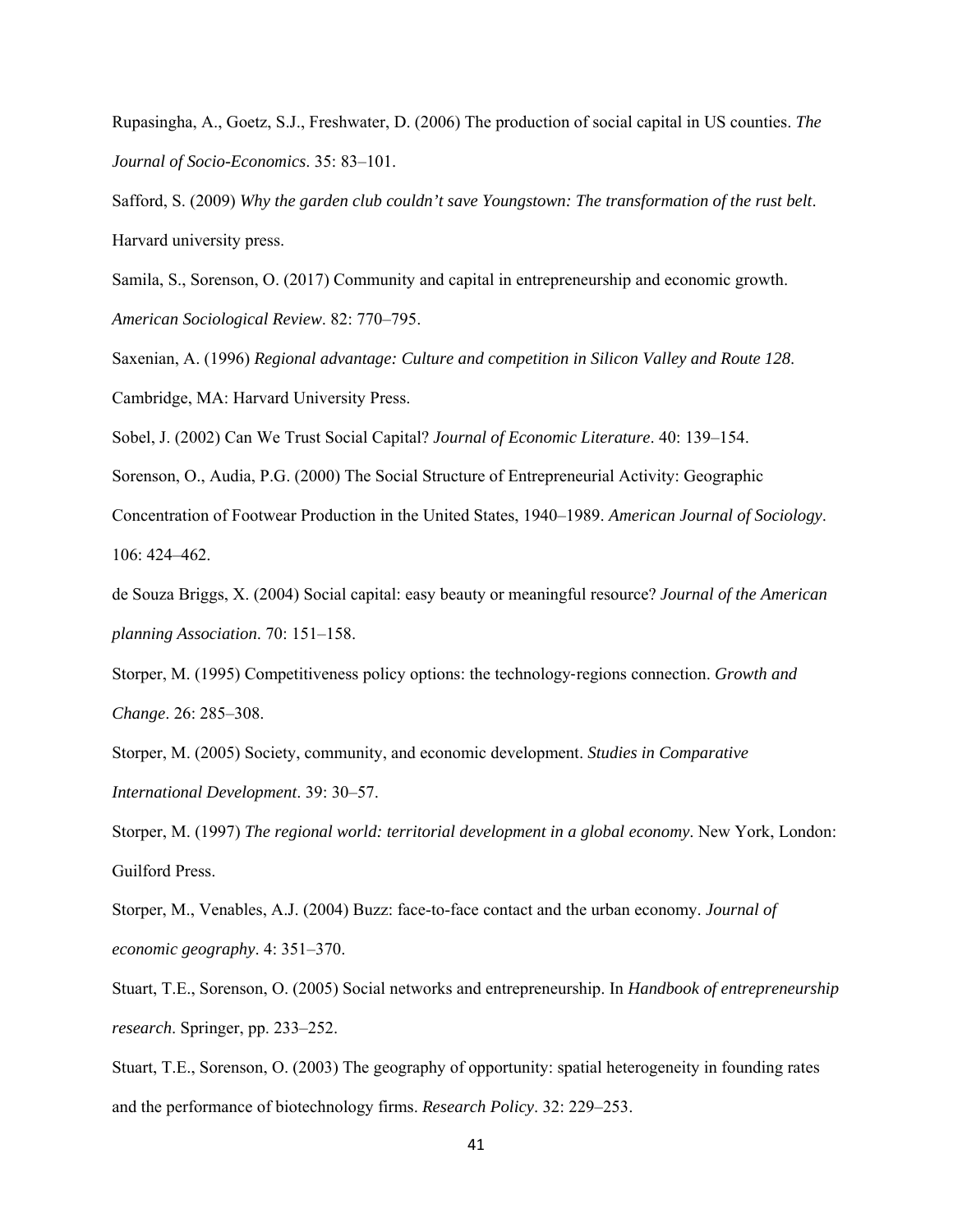Rupasingha, A., Goetz, S.J., Freshwater, D. (2006) The production of social capital in US counties. *The Journal of Socio-Economics*. 35: 83–101.

Safford, S. (2009) *Why the garden club couldn't save Youngstown: The transformation of the rust belt*. Harvard university press.

Samila, S., Sorenson, O. (2017) Community and capital in entrepreneurship and economic growth. *American Sociological Review*. 82: 770–795.

Saxenian, A. (1996) *Regional advantage: Culture and competition in Silicon Valley and Route 128*. Cambridge, MA: Harvard University Press.

Sobel, J. (2002) Can We Trust Social Capital? *Journal of Economic Literature*. 40: 139–154.

Sorenson, O., Audia, P.G. (2000) The Social Structure of Entrepreneurial Activity: Geographic

Concentration of Footwear Production in the United States, 1940–1989. *American Journal of Sociology*. 106: 424–462.

de Souza Briggs, X. (2004) Social capital: easy beauty or meaningful resource? *Journal of the American planning Association*. 70: 151–158.

Storper, M. (1995) Competitiveness policy options: the technology‐regions connection. *Growth and Change*. 26: 285–308.

Storper, M. (2005) Society, community, and economic development. *Studies in Comparative International Development*. 39: 30–57.

Storper, M. (1997) *The regional world: territorial development in a global economy*. New York, London: Guilford Press.

 *economic geography*. 4: 351–370. Storper, M., Venables, A.J. (2004) Buzz: face-to-face contact and the urban economy. *Journal of* 

Stuart, T.E., Sorenson, O. (2005) Social networks and entrepreneurship. In *Handbook of entrepreneurship research*. Springer, pp. 233–252.

Stuart, T.E., Sorenson, O. (2003) The geography of opportunity: spatial heterogeneity in founding rates and the performance of biotechnology firms. *Research Policy*. 32: 229–253.